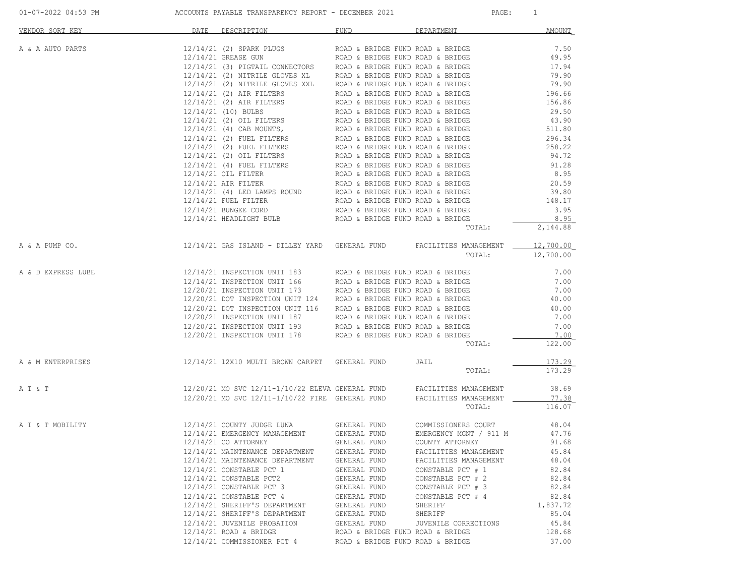| VENDOR SORT KEY    | DATE<br>DESCRIPTION                                                                                                                                                                                                                                                                                                                                                                                                    | FUND                             | DEPARTMENT            | <b>AMOUNT</b> |
|--------------------|------------------------------------------------------------------------------------------------------------------------------------------------------------------------------------------------------------------------------------------------------------------------------------------------------------------------------------------------------------------------------------------------------------------------|----------------------------------|-----------------------|---------------|
| A & A AUTO PARTS   | $12/14/21 (2) \mbox{ HPTRLE GLOWISTS} \noindent {\tt ROD 6 BRIDGE FUND ROD 6 BRIDGE FUND ROD 6 BRIDGE FUND ROD 6 BRIDGE FUND ROD 6 BRIDGE FUND ROD 6 BRIDGE FUND ROD 19/14/21 (3) PITRILE GLOVES XLR. ROD 6 BRIDGE FUND ROD 8 ARIDGE FUND ROD 19/14/21 (2) \mbox{ NITRILE GLOVES XLR. ROD 6 BRIDGE FUND ROD 8 ARIDGE FUND ROD 19/14/21 (3) \mbox{ NITRIE GLOVES XXL. ROD 6 BRIDGE FUND ROD 6 ARIDGE FUND ROD 79/90/14$ |                                  |                       |               |
|                    |                                                                                                                                                                                                                                                                                                                                                                                                                        |                                  |                       |               |
|                    |                                                                                                                                                                                                                                                                                                                                                                                                                        |                                  |                       |               |
|                    |                                                                                                                                                                                                                                                                                                                                                                                                                        |                                  |                       |               |
|                    |                                                                                                                                                                                                                                                                                                                                                                                                                        |                                  |                       |               |
|                    |                                                                                                                                                                                                                                                                                                                                                                                                                        |                                  |                       |               |
|                    |                                                                                                                                                                                                                                                                                                                                                                                                                        |                                  |                       |               |
|                    |                                                                                                                                                                                                                                                                                                                                                                                                                        |                                  |                       |               |
|                    |                                                                                                                                                                                                                                                                                                                                                                                                                        |                                  |                       |               |
|                    |                                                                                                                                                                                                                                                                                                                                                                                                                        |                                  |                       |               |
|                    |                                                                                                                                                                                                                                                                                                                                                                                                                        |                                  |                       |               |
|                    |                                                                                                                                                                                                                                                                                                                                                                                                                        |                                  |                       |               |
|                    |                                                                                                                                                                                                                                                                                                                                                                                                                        |                                  |                       |               |
|                    |                                                                                                                                                                                                                                                                                                                                                                                                                        |                                  |                       |               |
|                    |                                                                                                                                                                                                                                                                                                                                                                                                                        |                                  |                       |               |
|                    |                                                                                                                                                                                                                                                                                                                                                                                                                        |                                  |                       |               |
|                    |                                                                                                                                                                                                                                                                                                                                                                                                                        |                                  |                       |               |
|                    |                                                                                                                                                                                                                                                                                                                                                                                                                        |                                  |                       |               |
|                    |                                                                                                                                                                                                                                                                                                                                                                                                                        |                                  |                       |               |
|                    |                                                                                                                                                                                                                                                                                                                                                                                                                        |                                  |                       |               |
|                    |                                                                                                                                                                                                                                                                                                                                                                                                                        |                                  |                       |               |
|                    |                                                                                                                                                                                                                                                                                                                                                                                                                        |                                  |                       |               |
|                    |                                                                                                                                                                                                                                                                                                                                                                                                                        |                                  | TOTAL:                | 2,144.88      |
| A & A PUMP CO.     | 12/14/21 GAS ISLAND - DILLEY YARD GENERAL FUND FACILITIES MANAGEMENT _____ 12,700.00                                                                                                                                                                                                                                                                                                                                   |                                  |                       |               |
|                    |                                                                                                                                                                                                                                                                                                                                                                                                                        |                                  | TOTAL:                | 12,700.00     |
|                    |                                                                                                                                                                                                                                                                                                                                                                                                                        |                                  |                       |               |
| A & D EXPRESS LUBE | $12/14/21 \hbox{ INSPECTION UNIT 183} \hbox{ROAD & BRIDGE FUND ROAD & BRIDGE} \\ 12/14/21 \hbox{ INSPECTION UNIT 166} \hbox{ROAD & BRIDGE FUND ROAD & BRIDGE} \\ 12/20/21 \hbox{ INSPECTION UNIT 173} \hbox{ROAD & BRIDGE FUND ROAD & BRIDGE} \\ 12/20/21 \hbox{ DOT INSPECTION UNIT 124} \hbox{ROAD & BRIDGE FUND ROAD & BRIDGE}$                                                                                     |                                  |                       | 7.00          |
|                    |                                                                                                                                                                                                                                                                                                                                                                                                                        |                                  |                       | 7.00          |
|                    |                                                                                                                                                                                                                                                                                                                                                                                                                        |                                  |                       | 7.00          |
|                    |                                                                                                                                                                                                                                                                                                                                                                                                                        |                                  |                       | 40.00         |
|                    |                                                                                                                                                                                                                                                                                                                                                                                                                        |                                  |                       |               |
|                    |                                                                                                                                                                                                                                                                                                                                                                                                                        |                                  |                       | 40.00         |
|                    |                                                                                                                                                                                                                                                                                                                                                                                                                        |                                  |                       | 7.00          |
|                    |                                                                                                                                                                                                                                                                                                                                                                                                                        |                                  |                       | 7.00          |
|                    | $12/20/21 \,\, \text{DOT INSPECTION \,\,UNIT 116} \qquad \qquad \text{ROAD} \,\, & \,\, \text{BRIDGE} \,\, \text{FUND ROAD} \,\, & \,\, \text{BRIDGE} \,\, \\ 12/20/21 \,\, \text{INSPECTION \,\,UNIT 193} \qquad \qquad \text{ROAD} \,\, & \,\, \text{BRIDGE} \,\, \text{FUND ROAD} \,\, & \,\, \text{BRIDGE} \,\, \\ 12/20/21 \,\, \text{INSPECTION \,\,UNIT 178} \qquad \qquad \text{ROAD} \,\, & \$                |                                  |                       | 7.00          |
|                    |                                                                                                                                                                                                                                                                                                                                                                                                                        |                                  | TOTAL:                | 122.00        |
| A & M ENTERPRISES  | 12/14/21 12X10 MULTI BROWN CARPET GENERAL FUND                                                                                                                                                                                                                                                                                                                                                                         |                                  | JAIL                  | 173.29        |
|                    |                                                                                                                                                                                                                                                                                                                                                                                                                        |                                  | TOTAL:                | 173.29        |
|                    |                                                                                                                                                                                                                                                                                                                                                                                                                        |                                  |                       |               |
| A T & T            | 12/20/21 MO SVC 12/11-1/10/22 ELEVA GENERAL FUND FACILITIES MANAGEMENT 12/20/21 MO SVC 12/11-1/10/22 FIRE GENERAL FUND FACILITIES MANAGEMENT                                                                                                                                                                                                                                                                           |                                  |                       | 38.69         |
|                    |                                                                                                                                                                                                                                                                                                                                                                                                                        |                                  |                       | 77.38         |
|                    |                                                                                                                                                                                                                                                                                                                                                                                                                        |                                  | TOTAL:                | 116.07        |
| A T & T MOBILITY   | 12/14/21 COUNTY JUDGE LUNA GENERAL FUND COMMISSIONERS COURT<br>12/14/21 EMERGENCY MANAGEMENT GENERAL FUND EMERGENCY MGNT / 911 M<br>12/14/21 CO ATTORNEY GENERAL FUND COUNTY ATTORNEY                                                                                                                                                                                                                                  |                                  |                       | 48.04         |
|                    |                                                                                                                                                                                                                                                                                                                                                                                                                        |                                  |                       | 47.76         |
|                    |                                                                                                                                                                                                                                                                                                                                                                                                                        |                                  |                       | 91.68         |
|                    | 12/14/21 MAINTENANCE DEPARTMENT                                                                                                                                                                                                                                                                                                                                                                                        | GENERAL FUND                     | FACILITIES MANAGEMENT | 45.84         |
|                    | 12/14/21 MAINTENANCE DEPARTMENT                                                                                                                                                                                                                                                                                                                                                                                        |                                  |                       | 48.04         |
|                    |                                                                                                                                                                                                                                                                                                                                                                                                                        | GENERAL FUND                     | FACILITIES MANAGEMENT |               |
|                    | 12/14/21 CONSTABLE PCT 1                                                                                                                                                                                                                                                                                                                                                                                               | GENERAL FUND                     | CONSTABLE PCT # 1     | 82.84         |
|                    |                                                                                                                                                                                                                                                                                                                                                                                                                        |                                  | CONSTABLE PCT # 2     | 82.84         |
|                    | 12/14/21 CONSTABLE PCT2                                                                                                                                                                                                                                                                                                                                                                                                | GENERAL FUND                     |                       |               |
|                    | 12/14/21 CONSTABLE PCT 3                                                                                                                                                                                                                                                                                                                                                                                               | GENERAL FUND                     | CONSTABLE PCT # 3     | 82.84         |
|                    | 12/14/21 CONSTABLE PCT 4                                                                                                                                                                                                                                                                                                                                                                                               | GENERAL FUND                     | CONSTABLE PCT # 4     | 82.84         |
|                    | 12/14/21 SHERIFF'S DEPARTMENT                                                                                                                                                                                                                                                                                                                                                                                          | GENERAL FUND                     | SHERIFF               | 1,837.72      |
|                    | 12/14/21 SHERIFF'S DEPARTMENT                                                                                                                                                                                                                                                                                                                                                                                          | GENERAL FUND                     | SHERIFF               | 85.04         |
|                    | 12/14/21 JUVENILE PROBATION                                                                                                                                                                                                                                                                                                                                                                                            | GENERAL FUND                     | JUVENILE CORRECTIONS  | 45.84         |
|                    | $12/14/21$ ROAD & BRIDGE                                                                                                                                                                                                                                                                                                                                                                                               | ROAD & BRIDGE FUND ROAD & BRIDGE |                       | 128.68        |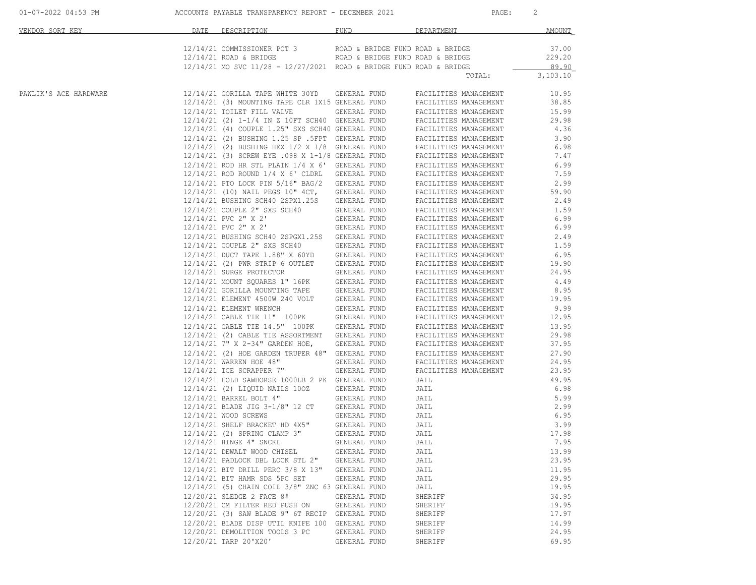|  | $01 - 07 - 2022$ 04:53 PM |  |  |
|--|---------------------------|--|--|
|  |                           |  |  |

ACCOUNTS PAYABLE TRANSPARENCY REPORT - DECEMBER 2021 PAGE: 2

| VENDOR SORT KEY       | DATE | DESCRIPTION                                                                                        | FUND                         | DEPARTMENT                                     | <b>AMOUNT</b>  |
|-----------------------|------|----------------------------------------------------------------------------------------------------|------------------------------|------------------------------------------------|----------------|
|                       |      | 12/14/21 COMMISSIONER PCT 3 ROAD & BRIDGE FUND ROAD & BRIDGE                                       |                              |                                                | 37.00          |
|                       |      | $12/14/21$ ROAD & BRIDGE ROAD & BRIDGE FUND ROAD & BRIDGE                                          |                              |                                                | 229.20         |
|                       |      | $12/14/21$ MO SVC $11/28$ - $12/27/2021$ ROAD & BRIDGE FUND ROAD & BRIDGE                          |                              |                                                | 89.90          |
|                       |      |                                                                                                    |                              | TOTAL:                                         | 3,103.10       |
| PAWLIK'S ACE HARDWARE |      | 12/14/21 GORILLA TAPE WHITE 30YD                                                                   | GENERAL FUND                 | FACILITIES MANAGEMENT                          | 10.95          |
|                       |      | 12/14/21 (3) MOUNTING TAPE CLR 1X15 GENERAL FUND                                                   |                              | FACILITIES MANAGEMENT                          | 38.85          |
|                       |      | 12/14/21 TOILET FILL VALVE                                                                         | GENERAL FUND                 | FACILITIES MANAGEMENT                          | 15.99          |
|                       |      | 12/14/21 (2) 1-1/4 IN Z 10FT SCH40 GENERAL FUND                                                    |                              | FACILITIES MANAGEMENT                          | 29.98          |
|                       |      | 12/14/21 (4) COUPLE 1.25" SXS SCH40 GENERAL FUND                                                   |                              | FACILITIES MANAGEMENT                          | 4.36           |
|                       |      | 12/14/21 (2) BUSHING 1.25 SP .5FPT GENERAL FUND<br>12/14/21 (2) BUSHING HEX 1/2 X 1/8 GENERAL FUND |                              | FACILITIES MANAGEMENT<br>FACILITIES MANAGEMENT | 3.90<br>6.98   |
|                       |      | 12/14/21 (3) SCREW EYE .098 X 1-1/8 GENERAL FUND                                                   |                              | FACILITIES MANAGEMENT                          | 7.47           |
|                       |      | 12/14/21 ROD HR STL PLAIN 1/4 X 6' GENERAL FUND                                                    |                              | FACILITIES MANAGEMENT                          | 6.99           |
|                       |      | 12/14/21 ROD ROUND 1/4 X 6' CLDRL                                                                  | GENERAL FUND                 | FACILITIES MANAGEMENT                          | 7.59           |
|                       |      | 12/14/21 PTO LOCK PIN 5/16" BAG/2                                                                  | GENERAL FUND                 | FACILITIES MANAGEMENT                          | 2.99           |
|                       |      | 12/14/21 (10) NAIL PEGS 10" 4CT,                                                                   | GENERAL FUND                 | FACILITIES MANAGEMENT                          | 59.90          |
|                       |      | 12/14/21 BUSHING SCH40 2SPX1.25S                                                                   | GENERAL FUND                 | FACILITIES MANAGEMENT                          | 2.49           |
|                       |      | 12/14/21 COUPLE 2" SXS SCH40                                                                       | GENERAL FUND                 | FACILITIES MANAGEMENT                          | 1.59           |
|                       |      | 12/14/21 PVC 2" X 2'                                                                               | GENERAL FUND                 | FACILITIES MANAGEMENT                          | 6.99           |
|                       |      | 12/14/21 PVC 2" X 2'                                                                               | GENERAL FUND                 | FACILITIES MANAGEMENT                          | 6.99           |
|                       |      | 12/14/21 BUSHING SCH40 2SPGX1.25S                                                                  | GENERAL FUND                 | FACILITIES MANAGEMENT                          | 2.49           |
|                       |      | 12/14/21 COUPLE 2" SXS SCH40                                                                       | GENERAL FUND                 | FACILITIES MANAGEMENT                          | 1.59           |
|                       |      | 12/14/21 DUCT TAPE 1.88" X 60YD                                                                    | GENERAL FUND                 | FACILITIES MANAGEMENT                          | 6.95           |
|                       |      | 12/14/21 (2) PWR STRIP 6 OUTLET                                                                    | GENERAL FUND                 | FACILITIES MANAGEMENT                          | 19.90          |
|                       |      | 12/14/21 SURGE PROTECTOR                                                                           | GENERAL FUND                 | FACILITIES MANAGEMENT                          | 24.95          |
|                       |      | 12/14/21 MOUNT SQUARES 1" 16PK<br>12/14/21 GORILLA MOUNTING TAPE                                   | GENERAL FUND                 | FACILITIES MANAGEMENT                          | 4.49           |
|                       |      |                                                                                                    | GENERAL FUND                 | FACILITIES MANAGEMENT                          | 8.95           |
|                       |      | 12/14/21 ELEMENT 4500W 240 VOLT                                                                    | GENERAL FUND                 | FACILITIES MANAGEMENT                          | 19.95          |
|                       |      | 12/14/21 ELEMENT WRENCH                                                                            | GENERAL FUND                 | FACILITIES MANAGEMENT                          | 9.99           |
|                       |      | 12/14/21 CABLE TIE 11" 100PK                                                                       | GENERAL FUND                 | FACILITIES MANAGEMENT                          | 12.95          |
|                       |      | 12/14/21 CABLE TIE 14.5" 100PK                                                                     | GENERAL FUND                 | FACILITIES MANAGEMENT                          | 13.95          |
|                       |      | 12/14/21 (2) CABLE TIE ASSORTMENT<br>12/14/21 7" X 2-34" GARDEN HOE,                               | GENERAL FUND                 | FACILITIES MANAGEMENT                          | 29.98<br>37.95 |
|                       |      |                                                                                                    | GENERAL FUND                 | FACILITIES MANAGEMENT                          |                |
|                       |      | 12/14/21 (2) HOE GARDEN TRUPER 48"<br>12/14/21 WARREN HOE 48"                                      | GENERAL FUND<br>GENERAL FUND | FACILITIES MANAGEMENT<br>FACILITIES MANAGEMENT | 27.90<br>24.95 |
|                       |      | 12/14/21 ICE SCRAPPER 7"                                                                           | GENERAL FUND                 | FACILITIES MANAGEMENT                          | 23.95          |
|                       |      | 12/14/21 FOLD SAWHORSE 1000LB 2 PK GENERAL FUND                                                    |                              | JAIL                                           | 49.95          |
|                       |      | 12/14/21 (2) LIQUID NAILS 100Z                                                                     | GENERAL FUND                 | JAIL                                           | 6.98           |
|                       |      | 12/14/21 BARREL BOLT 4"                                                                            | GENERAL FUND                 | JAIL                                           | 5.99           |
|                       |      | 12/14/21 BLADE JIG 3-1/8" 12 CT                                                                    | GENERAL FUND                 | JAIL                                           | 2.99           |
|                       |      | 12/14/21 WOOD SCREWS                                                                               | GENERAL FUND                 | JAIL                                           | 6.95           |
|                       |      | 12/14/21 SHELF BRACKET HD 4X5"<br>12/14/21 (2) SPRING CLAMP 3"                                     | GENERAL FUND                 | JAIL                                           | 3.99           |
|                       |      | 12/14/21 (2) SPRING CLAMP 3"                                                                       | GENERAL FUND                 | JAIL                                           | 17.98          |
|                       |      | 12/14/21 HINGE 4" SNCKL                                                                            | GENERAL FUND                 | JAIL                                           | 7.95           |
|                       |      | 12/14/21 DEWALT WOOD CHISEL                                                                        | GENERAL FUND                 | JAIL                                           | 13.99          |
|                       |      | 12/14/21 PADLOCK DBL LOCK STL 2"                                                                   | GENERAL FUND                 | JAIL                                           | 23.95          |
|                       |      | 12/14/21 BIT DRILL PERC 3/8 X 13"                                                                  | GENERAL FUND                 | JAIL                                           | 11.95          |
|                       |      | 12/14/21 BIT HAMR SDS 5PC SET                                                                      | GENERAL FUND                 | JAIL                                           | 29.95          |
|                       |      | 12/14/21 (5) CHAIN COIL 3/8" ZNC 63 GENERAL FUND                                                   |                              | JAIL                                           | 19.95          |
|                       |      | 12/20/21 SLEDGE 2 FACE 8#                                                                          | GENERAL FUND                 | SHERIFF                                        | 34.95          |
|                       |      | 12/20/21 CM FILTER RED PUSH ON                                                                     | GENERAL FUND                 | SHERIFF                                        | 19.95          |
|                       |      | 12/20/21 (3) SAW BLADE 9" 6T RECIP GENERAL FUND                                                    |                              | SHERIFF                                        | 17.97          |
|                       |      | 12/20/21 BLADE DISP UTIL KNIFE 100                                                                 | GENERAL FUND                 | SHERIFF                                        | 14.99          |
|                       |      | 12/20/21 DEMOLITION TOOLS 3 PC                                                                     | GENERAL FUND                 | SHERIFF                                        | 24.95          |
|                       |      | 12/20/21 TARP 20'X20'                                                                              | GENERAL FUND                 | SHERIFF                                        | 69.95          |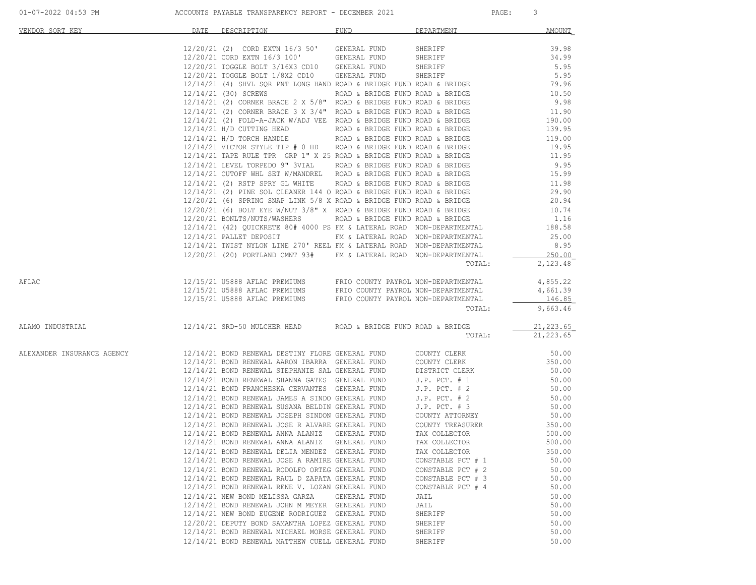| VENDOR SORT KEY                                                                | DATE DESCRIPTION FUND FUND DEPARTMENT                                                                                                                                                                                                                                                                                                                                                    |              |                   | AMOUNT           |
|--------------------------------------------------------------------------------|------------------------------------------------------------------------------------------------------------------------------------------------------------------------------------------------------------------------------------------------------------------------------------------------------------------------------------------------------------------------------------------|--------------|-------------------|------------------|
|                                                                                |                                                                                                                                                                                                                                                                                                                                                                                          |              |                   |                  |
|                                                                                |                                                                                                                                                                                                                                                                                                                                                                                          |              |                   |                  |
|                                                                                |                                                                                                                                                                                                                                                                                                                                                                                          |              |                   |                  |
|                                                                                |                                                                                                                                                                                                                                                                                                                                                                                          |              |                   |                  |
|                                                                                |                                                                                                                                                                                                                                                                                                                                                                                          |              |                   |                  |
|                                                                                |                                                                                                                                                                                                                                                                                                                                                                                          |              |                   |                  |
|                                                                                |                                                                                                                                                                                                                                                                                                                                                                                          |              |                   |                  |
|                                                                                |                                                                                                                                                                                                                                                                                                                                                                                          |              |                   |                  |
|                                                                                |                                                                                                                                                                                                                                                                                                                                                                                          |              |                   |                  |
|                                                                                |                                                                                                                                                                                                                                                                                                                                                                                          |              |                   |                  |
|                                                                                |                                                                                                                                                                                                                                                                                                                                                                                          |              |                   |                  |
|                                                                                |                                                                                                                                                                                                                                                                                                                                                                                          |              |                   |                  |
|                                                                                |                                                                                                                                                                                                                                                                                                                                                                                          |              |                   |                  |
|                                                                                |                                                                                                                                                                                                                                                                                                                                                                                          |              |                   |                  |
|                                                                                |                                                                                                                                                                                                                                                                                                                                                                                          |              |                   |                  |
|                                                                                |                                                                                                                                                                                                                                                                                                                                                                                          |              |                   |                  |
|                                                                                |                                                                                                                                                                                                                                                                                                                                                                                          |              |                   |                  |
|                                                                                | $12/14/21 \mbox{ PALLET DEPOSTT} \hspace{1.5cm} \mbox{FM} \hspace{1.5cm} \& \hspace{1.5cm} \mbox{LATERAL ROAD} \hspace{1.5cm} \mbox{NON-DEPARTMENTAL} \hspace{1.5cm} \mbox{25.00} \hspace{1.5cm} \mbox{12/14/21 TWIST NYLON LINE 270'} \hspace{1.5cm} \mbox{EPEL FM} \hspace{1.5cm} \& \hspace{1.5cm} \mbox{LATERAL ROAD} \hspace{1.5cm} \mbox{NON-DEPARTMENTAL} \hspace{1.5cm} \mbox{8$ |              |                   |                  |
|                                                                                | 12/20/21 (20) PORTLAND CMNT 93# FM & LATERAL ROAD NON-DEPARTMENTAL 250.00                                                                                                                                                                                                                                                                                                                |              |                   |                  |
|                                                                                |                                                                                                                                                                                                                                                                                                                                                                                          |              | TOTAL:            | 2,123.48         |
| AFLAC                                                                          |                                                                                                                                                                                                                                                                                                                                                                                          |              |                   |                  |
|                                                                                |                                                                                                                                                                                                                                                                                                                                                                                          |              |                   |                  |
|                                                                                |                                                                                                                                                                                                                                                                                                                                                                                          |              |                   |                  |
|                                                                                |                                                                                                                                                                                                                                                                                                                                                                                          |              |                   |                  |
| ALAMO INDUSTRIAL 12/14/21 SRD-50 MULCHER HEAD ROAD & BRIDGE FUND ROAD & BRIDGE |                                                                                                                                                                                                                                                                                                                                                                                          |              |                   | 21,223.65        |
|                                                                                |                                                                                                                                                                                                                                                                                                                                                                                          |              |                   | TOTAL: 21,223.65 |
| ALEXANDER INSURANCE AGENCY                                                     | 12/14/21 BOND RENEWAL DESTINY FLORE GENERAL FUND COUNTY CLERK 60 00 12/14/21 BOND RENEWAL ARRON IBARRA GENERAL FUND COUNTY CLERK 60.00 12/14/21 BOND RENEWAL STEPHANIE SAL GENERAL FUND DISTRICT CLERK 60.00 50.00                                                                                                                                                                       |              |                   |                  |
|                                                                                |                                                                                                                                                                                                                                                                                                                                                                                          |              |                   |                  |
|                                                                                |                                                                                                                                                                                                                                                                                                                                                                                          |              |                   |                  |
|                                                                                | $12/14/21 BOND RENEWAL SHANNA GATES GENERRAL FUND J.P. PCT. # 1\n12/14/21 BOND RENEWAL SHANNA GATES GENERRAL FUND J.P. PCT. # 1\n12/14/21 BOND RENEWAL JAMES A SINDO GENERAL FUND J.P. PCT. # 2\n12/14/21 BOND RENEWAL JAMES A SINDO GENERAL FUND J.P. PCT. # 2\n12/14/21 BOND RENEWAL JOMES A SINDO GENERAL FUND J.P. PCT. # 3\n12/14/21 BOND RENEWAL JOSEPH SINDO GENERAL FUND\n12/14$ |              |                   |                  |
|                                                                                |                                                                                                                                                                                                                                                                                                                                                                                          |              |                   |                  |
|                                                                                |                                                                                                                                                                                                                                                                                                                                                                                          |              |                   |                  |
|                                                                                |                                                                                                                                                                                                                                                                                                                                                                                          |              |                   |                  |
|                                                                                | $12/14/21\  \, {\tt BOND}\  \, {\tt RENEWAL}\  \, {\tt JOSE}\  \, {\tt R\  \, {\tt ALVARE}\  \, {\tt GENERAL}\  \, {\tt FUND}\  \, \, {\tt COUNTY}\  \, {\tt TRESSURER}\  \, \, {\tt S0.00}\  \, {\tt 350.00}\  \, {\tt 350.00}\  \, {\tt 350.00}\  \, {\tt 350.00}\  \, {\tt 350.00}\  \, {\tt 350.00}\  \, {\tt 350.00}\  \, {\tt 350.00}\  \, {\tt 350.00}\$                          |              |                   |                  |
|                                                                                | 12/14/21 BOND RENEWAL ANNA ALANIZ GENERAL FUND                                                                                                                                                                                                                                                                                                                                           |              |                   | 500.00           |
|                                                                                | 12/14/21 BOND RENEWAL DELIA MENDEZ GENERAL FUND TAX COLLECTOR                                                                                                                                                                                                                                                                                                                            |              | TAX COLLECTOR     | 350.00           |
|                                                                                | 12/14/21 BOND RENEWAL JOSE A RAMIRE GENERAL FUND                                                                                                                                                                                                                                                                                                                                         |              | CONSTABLE PCT # 1 | 50.00            |
|                                                                                | 12/14/21 BOND RENEWAL RODOLFO ORTEG GENERAL FUND                                                                                                                                                                                                                                                                                                                                         |              | CONSTABLE PCT # 2 | 50.00            |
|                                                                                | 12/14/21 BOND RENEWAL RAUL D ZAPATA GENERAL FUND                                                                                                                                                                                                                                                                                                                                         |              | CONSTABLE PCT # 3 | 50.00            |
|                                                                                | 12/14/21 BOND RENEWAL RENE V. LOZAN GENERAL FUND                                                                                                                                                                                                                                                                                                                                         |              | CONSTABLE PCT # 4 | 50.00            |
|                                                                                | 12/14/21 NEW BOND MELISSA GARZA<br>12/14/21 BOND RENEWAL JOHN M MEYER GENERAL FUND                                                                                                                                                                                                                                                                                                       | GENERAL FUND | JAIL<br>JAIL      | 50.00<br>50.00   |
|                                                                                | 12/14/21 NEW BOND EUGENE RODRIGUEZ GENERAL FUND                                                                                                                                                                                                                                                                                                                                          |              | SHERIFF           | 50.00            |
|                                                                                | 12/20/21 DEPUTY BOND SAMANTHA LOPEZ GENERAL FUND                                                                                                                                                                                                                                                                                                                                         |              | SHERIFF           | 50.00            |
|                                                                                | 12/14/21 BOND RENEWAL MICHAEL MORSE GENERAL FUND                                                                                                                                                                                                                                                                                                                                         |              | SHERIFF           | 50.00            |
|                                                                                | 12/14/21 BOND RENEWAL MATTHEW CUELL GENERAL FUND                                                                                                                                                                                                                                                                                                                                         |              | SHERIFF           | 50.00            |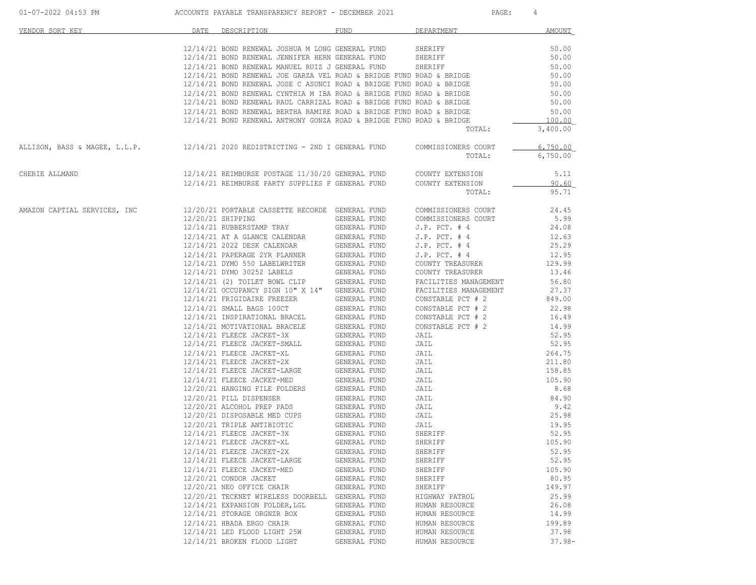| VENDOR SORT KEY                                                                                | DATE | DESCRIPTION                                                                                                                            | FUND                         | DEPARTMENT                    | AMOUNT               |
|------------------------------------------------------------------------------------------------|------|----------------------------------------------------------------------------------------------------------------------------------------|------------------------------|-------------------------------|----------------------|
|                                                                                                |      | $12/14/21$ BOND RENEWAL JOSHUA M LONG GENERAL FUND SHERIFF $12/14/21$ BOND RENEWAL JENNIFER HERN GENERAL FUND SHERIFF                  |                              |                               | 50.00                |
|                                                                                                |      |                                                                                                                                        |                              |                               | 50.00                |
|                                                                                                |      | 12/14/21 BOND RENEWAL MANUEL RUIZ J GENERAL FUND                                                                                       |                              | SHERIFF                       | 50.00                |
|                                                                                                |      | 12/14/21 BOND RENEWAL JOE GARZA VEL ROAD & BRIDGE FUND ROAD & BRIDGE                                                                   |                              |                               | 50.00                |
|                                                                                                |      | 12/14/21 BOND RENEWAL JOSE C ASUNCI ROAD & BRIDGE FUND ROAD & BRIDGE                                                                   |                              |                               | 50.00                |
|                                                                                                |      | 12/14/21 BOND RENEWAL CYNTHIA M IBA ROAD & BRIDGE FUND ROAD & BRIDGE                                                                   |                              |                               | 50.00                |
|                                                                                                |      | 12/14/21 BOND RENEWAL RAUL CARRIZAL ROAD & BRIDGE FUND ROAD & BRIDGE                                                                   |                              |                               | 50.00                |
|                                                                                                |      | 12/14/21 BOND RENEWAL BERTHA RAMIRE ROAD & BRIDGE FUND ROAD & BRIDGE                                                                   |                              |                               | 50.00                |
|                                                                                                |      | 12/14/21 BOND RENEWAL ANTHONY GONZA ROAD & BRIDGE FUND ROAD & BRIDGE                                                                   |                              |                               | 100.00               |
|                                                                                                |      |                                                                                                                                        |                              | TOTAL:                        | 3,400.00             |
| ALLISON, BASS & MAGEE, L.L.P.                 12/14/21 2020 REDISTRICTING - 2ND I GENERAL FUND |      |                                                                                                                                        |                              | COMMISSIONERS COURT<br>TOTAL: | 6.750.00<br>6,750.00 |
| CHERIE ALLMAND                                                                                 |      |                                                                                                                                        |                              |                               | 5.11                 |
|                                                                                                |      | 12/14/21 REIMBURSE POSTAGE 11/30/20 GENERAL FUND COUNTY EXTENSION<br>12/14/21 REIMBURSE PARTY SUPPLIES F GENERAL FUND COUNTY EXTENSION |                              |                               | 90.60                |
|                                                                                                |      |                                                                                                                                        |                              | TOTAL:                        | 95.71                |
|                                                                                                |      |                                                                                                                                        |                              |                               |                      |
| AMAZON CAPTIAL SERVICES, INC                                                                   |      | 12/20/21 PORTABLE CASSETTE RECORDE GENERAL FUND                                                                                        |                              | COMMISSIONERS COURT           | 24.45                |
|                                                                                                |      | 12/20/21 SHIPPING                                                                                                                      | GENERAL FUND                 | COMMISSIONERS COURT           | 5.99                 |
|                                                                                                |      | 12/14/21 RUBBERSTAMP TRAY                                                                                                              | GENERAL FUND                 | $J.P.$ PCT. $#4$              | 24.08                |
|                                                                                                |      | 12/14/21 AT A GLANCE CALENDAR                                                                                                          | GENERAL FUND                 | $J.P.$ PCT. $#4$              | 12.63                |
|                                                                                                |      | 12/14/21 2022 DESK CALENDAR                                                                                                            | GENERAL FUND                 | $J.P.$ PCT. $#4$              | 25.29                |
|                                                                                                |      | 12/14/21 PAPERAGE 2YR PLANNER                                                                                                          | GENERAL FUND                 | $J.P.$ PCT. $#4$              | 12.95                |
|                                                                                                |      | 12/14/21 DYMO 550 LABELWRITER                                                                                                          | GENERAL FUND                 | COUNTY TREASURER              | 129.99               |
|                                                                                                |      | 12/14/21 DYMO 30252 LABELS                                                                                                             | GENERAL FUND                 | COUNTY TREASURER              | 13.46                |
|                                                                                                |      | 12/14/21 (2) TOILET BOWL CLIP                                                                                                          | GENERAL FUND                 | FACILITIES MANAGEMENT         | 56.80                |
|                                                                                                |      | 12/14/21 OCCUPANCY SIGN 10" X 14" GENERAL FUND                                                                                         |                              | FACILITIES MANAGEMENT         | 27.37                |
|                                                                                                |      | 12/14/21 FRIGIDAIRE FREEZER                                                                                                            | GENERAL FUND                 | CONSTABLE PCT # 2             | 849.00               |
|                                                                                                |      | 12/14/21 SMALL BAGS 100CT                                                                                                              | GENERAL FUND                 | CONSTABLE PCT # 2             | 22.98                |
|                                                                                                |      | 12/14/21 INSPIRATIONAL BRACEL                                                                                                          | GENERAL FUND                 | CONSTABLE PCT # 2             | 16.49                |
|                                                                                                |      | 12/14/21 MOTIVATIONAL BRACELE                                                                                                          | GENERAL FUND                 | CONSTABLE PCT # 2             | 14.99                |
|                                                                                                |      | 12/14/21 FLEECE JACKET-3X                                                                                                              | GENERAL FUND                 | JAIL                          | 52.95                |
|                                                                                                |      | 12/14/21 FLEECE JACKET-SMALL                                                                                                           | GENERAL FUND                 | JAIL                          | 52.95                |
|                                                                                                |      | 12/14/21 FLEECE JACKET-XL                                                                                                              |                              | JAIL                          | 264.75               |
|                                                                                                |      | 12/14/21 FLEECE JACKET-2X                                                                                                              | GENERAL FUND<br>GENERAL FUND | JAIL                          | 211.80               |
|                                                                                                |      | 12/14/21 FLEECE JACKET-LARGE                                                                                                           | GENERAL FUND                 | JAIL                          | 158.85               |
|                                                                                                |      | 12/14/21 FLEECE JACKET-MED                                                                                                             | GENERAL FUND                 |                               | 105.90               |
|                                                                                                |      | 12/20/21 HANGING FILE FOLDERS                                                                                                          | GENERAL FUND                 | JAIL<br>JAIL                  | 8.68                 |
|                                                                                                |      |                                                                                                                                        |                              |                               |                      |
|                                                                                                |      | 12/20/21 PILL DISPENSER                                                                                                                | GENERAL FUND                 | JAIL<br>JAIL                  | 84.90                |
|                                                                                                |      | 12/20/21 ALCOHOL PREP PADS                                                                                                             | GENERAL FUND                 | JAIL                          | 9.42<br>25.98        |
|                                                                                                |      | 12/20/21 DISPOSABLE MED CUPS                                                                                                           | GENERAL FUND                 | JAIL                          |                      |
|                                                                                                |      | 12/20/21 TRIPLE ANTIBIOTIC                                                                                                             | GENERAL FUND                 | JAIL                          | 19.95                |
|                                                                                                |      | 12/14/21 FLEECE JACKET-3X                                                                                                              | GENERAL FUND                 | SHERIFF                       | 52.95                |
|                                                                                                |      | 12/14/21 FLEECE JACKET-XL                                                                                                              | GENERAL FUND                 | SHERIFF                       | 105.90               |
|                                                                                                |      | 12/14/21 FLEECE JACKET-2X                                                                                                              | GENERAL FUND                 | SHERIFF                       | 52.95                |
|                                                                                                |      | 12/14/21 FLEECE JACKET-LARGE                                                                                                           | GENERAL FUND                 | SHERIFF                       | 52.95                |
|                                                                                                |      | 12/14/21 FLEECE JACKET-MED                                                                                                             | GENERAL FUND                 | SHERIFF                       | 105.90               |
|                                                                                                |      | 12/20/21 CONDOR JACKET                                                                                                                 | GENERAL FUND                 | SHERIFF                       | 80.95                |
|                                                                                                |      | 12/20/21 NEO OFFICE CHAIR                                                                                                              | GENERAL FUND                 | SHERIFF                       | 149.97               |
|                                                                                                |      | 12/20/21 TECKNET WIRELESS DOORBELL                                                                                                     | GENERAL FUND                 | HIGHWAY PATROL                | 25.99                |
|                                                                                                |      | 12/14/21 EXPANSION FOLDER, LGL                                                                                                         | GENERAL FUND                 | HUMAN RESOURCE                | 26.08                |
|                                                                                                |      | 12/14/21 STORAGE ORGNZR BOX                                                                                                            | GENERAL FUND                 | HUMAN RESOURCE                | 14.99                |
|                                                                                                |      | 12/14/21 HBADA ERGO CHAIR                                                                                                              | GENERAL FUND                 | HUMAN RESOURCE                | 199.89               |
|                                                                                                |      | 12/14/21 LED FLOOD LIGHT 25W                                                                                                           | GENERAL FUND                 | HUMAN RESOURCE                | 37.98                |
|                                                                                                |      | 12/14/21 BROKEN FLOOD LIGHT                                                                                                            | GENERAL FUND                 | HUMAN RESOURCE                | $37.98 -$            |

01-07-2022 04:53 PM ACCOUNTS PAYABLE TRANSPARENCY REPORT - DECEMBER 2021 PAGE: 4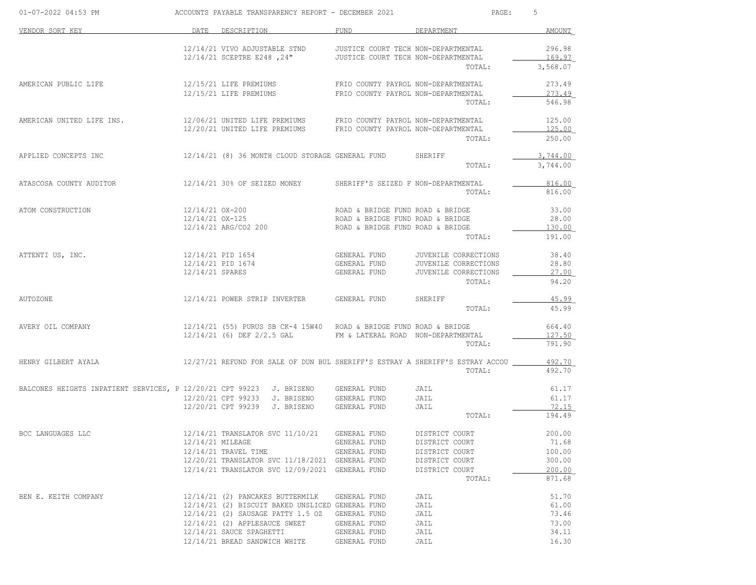| 01-07-2022 04:53 PM                                                               |                  |                                                  | ACCOUNTS PAYABLE TRANSPARENCY REPORT - DECEMBER 2021                                                                                                                                                         | PAGE:                                                                         | 5                  |
|-----------------------------------------------------------------------------------|------------------|--------------------------------------------------|--------------------------------------------------------------------------------------------------------------------------------------------------------------------------------------------------------------|-------------------------------------------------------------------------------|--------------------|
| VENDOR SORT KEY                                                                   | DATE             | DESCRIPTION                                      | FUND                                                                                                                                                                                                         | DEPARTMENT                                                                    | AMOUNT             |
|                                                                                   |                  | 12/14/21 VIVO ADJUSTABLE STND                    | JUSTICE COURT TECH NON-DEPARTMENTAL                                                                                                                                                                          |                                                                               | 296.98             |
|                                                                                   |                  |                                                  | 12/14/21 SCEPTRE E248, 24" JUSTICE COURT TECH NON-DEPARTMENTAL                                                                                                                                               | TOTAL:                                                                        | 169.97<br>3,568.07 |
| AMERICAN PUBLIC LIFE                                                              |                  | 12/15/21 LIFE PREMIUMS                           | FRIO COUNTY PAYROL NON-DEPARTMENTAL                                                                                                                                                                          |                                                                               | 273.49             |
|                                                                                   |                  | 12/15/21 LIFE PREMIUMS                           | FRIO COUNTY PAYROL NON-DEPARTMENTAL                                                                                                                                                                          |                                                                               | 273.49             |
|                                                                                   |                  |                                                  |                                                                                                                                                                                                              | TOTAL:                                                                        | 546.98             |
| AMERICAN UNITED LIFE INS.                                                         |                  |                                                  | $12/06/21 \quad \text{UNITED LIFE PREMIUMS} \qquad \qquad \text{FRIO COUNTY PAYROL NON-DEPARTMENTAL} \\ 12/20/21 \quad \text{UNITED LIFE PREMIUMS} \qquad \qquad \text{FRIO COUNTY PAYROL NON-DEPARTMENTAL}$ |                                                                               | 125.00             |
|                                                                                   |                  |                                                  |                                                                                                                                                                                                              | TOTAL:                                                                        | 125.00<br>250.00   |
|                                                                                   |                  |                                                  |                                                                                                                                                                                                              |                                                                               |                    |
| APPLIED CONCEPTS INC                                                              |                  |                                                  | 12/14/21 (8) 36 MONTH CLOUD STORAGE GENERAL FUND SHERIFF                                                                                                                                                     |                                                                               | 3,744.00           |
|                                                                                   |                  |                                                  |                                                                                                                                                                                                              | TOTAL:                                                                        | 3,744.00           |
| ATASCOSA COUNTY AUDITOR                                                           |                  | 12/14/21 30% OF SEIZED MONEY                     | SHERIFF'S SEIZED F NON-DEPARTMENTAL                                                                                                                                                                          |                                                                               | 816.00             |
|                                                                                   |                  |                                                  |                                                                                                                                                                                                              | TOTAL:                                                                        | 816.00             |
| ATOM CONSTRUCTION                                                                 |                  | 12/14/21 OX-200                                  | ROAD & BRIDGE FUND ROAD & BRIDGE                                                                                                                                                                             |                                                                               | 33.00              |
|                                                                                   |                  | 12/14/21 OX-125                                  | ROAD & BRIDGE FUND ROAD & BRIDGE                                                                                                                                                                             |                                                                               | 28.00              |
|                                                                                   |                  | 12/14/21 ARG/CO2 200                             | ROAD & BRIDGE FUND ROAD & BRIDGE                                                                                                                                                                             |                                                                               | 130.00             |
|                                                                                   |                  |                                                  |                                                                                                                                                                                                              | TOTAL:                                                                        | 191.00             |
| ATTENTI US, INC.                                                                  |                  | 12/14/21 PID 1654                                | GENERAL FUND                                                                                                                                                                                                 | JUVENILE CORRECTIONS                                                          | 38.40              |
|                                                                                   |                  | 12/14/21 PID 1674                                | GENERAL FUND                                                                                                                                                                                                 | JUVENILE CORRECTIONS                                                          | 28.80              |
|                                                                                   | 12/14/21 SPARES  |                                                  | GENERAL FUND                                                                                                                                                                                                 | JUVENILE CORRECTIONS                                                          | 27.00              |
|                                                                                   |                  |                                                  |                                                                                                                                                                                                              | TOTAL:                                                                        | 94.20              |
| <b>AUTOZONE</b>                                                                   |                  | 12/14/21 POWER STRIP INVERTER                    | GENERAL FUND                                                                                                                                                                                                 | SHERIFF                                                                       | 45.99              |
|                                                                                   |                  |                                                  |                                                                                                                                                                                                              | TOTAL:                                                                        | 45.99              |
| AVERY OIL COMPANY                                                                 |                  |                                                  | $12/14/21$ (55) PURUS SB CK-4 15W40 ROAD & BRIDGE FUND ROAD & BRIDGE                                                                                                                                         |                                                                               | 664.40             |
|                                                                                   |                  | $12/14/21$ (6) DEF 2/2.5 GAL                     | FM & LATERAL ROAD NON-DEPARTMENTAL                                                                                                                                                                           |                                                                               | 127.50             |
|                                                                                   |                  |                                                  |                                                                                                                                                                                                              | TOTAL:                                                                        | 791.90             |
| HENRY GILBERT AYALA                                                               |                  |                                                  |                                                                                                                                                                                                              | 12/27/21 REFUND FOR SALE OF DUN BUL SHERIFF'S ESTRAY A SHERIFF'S ESTRAY ACCOU | 492.70             |
|                                                                                   |                  |                                                  |                                                                                                                                                                                                              | TOTAL:                                                                        | 492.70             |
| BALCONES HEIGHTS INPATIENT SERVICES, P 12/20/21 CPT 99223 J. BRISENO GENERAL FUND |                  |                                                  |                                                                                                                                                                                                              | JAIL                                                                          | 61.17              |
|                                                                                   |                  | 12/20/21 CPT 99233 J. BRISENO GENERAL FUND       |                                                                                                                                                                                                              | JAIL                                                                          | 61.17              |
|                                                                                   |                  | 12/20/21 CPT 99239 J. BRISENO                    | GENERAL FUND                                                                                                                                                                                                 | JAIL                                                                          | 72.15              |
|                                                                                   |                  |                                                  |                                                                                                                                                                                                              | TOTAL:                                                                        | 194.49             |
| BCC LANGUAGES LLC                                                                 |                  | 12/14/21 TRANSLATOR SVC 11/10/21                 | GENERAL FUND                                                                                                                                                                                                 | DISTRICT COURT                                                                | 200.00             |
|                                                                                   | 12/14/21 MILEAGE |                                                  | GENERAL FUND                                                                                                                                                                                                 | DISTRICT COURT                                                                | 71.68              |
|                                                                                   |                  | $12/14/21$ TRAVEL TIME                           | GENERAL FUND                                                                                                                                                                                                 | DISTRICT COURT                                                                | 100.00             |
|                                                                                   |                  | 12/20/21 TRANSLATOR SVC 11/18/2021 GENERAL FUND  |                                                                                                                                                                                                              | DISTRICT COURT                                                                | 300.00             |
|                                                                                   |                  | 12/14/21 TRANSLATOR SVC 12/09/2021 GENERAL FUND  |                                                                                                                                                                                                              | DISTRICT COURT                                                                | 200.00             |
|                                                                                   |                  |                                                  |                                                                                                                                                                                                              | TOTAL:                                                                        | 871.68             |
| BEN E. KEITH COMPANY                                                              |                  | 12/14/21 (2) PANCAKES BUTTERMILK                 | GENERAL FUND                                                                                                                                                                                                 | JAIL                                                                          | 51.70              |
|                                                                                   |                  | 12/14/21 (2) BISCUIT BAKED UNSLICED GENERAL FUND |                                                                                                                                                                                                              | JAIL                                                                          | 61.00              |
|                                                                                   |                  | 12/14/21 (2) SAUSAGE PATTY 1.5 OZ                | GENERAL FUND                                                                                                                                                                                                 | JAIL                                                                          | 73.46              |
|                                                                                   |                  | 12/14/21 (2) APPLESAUCE SWEET                    | GENERAL FUND                                                                                                                                                                                                 | JAIL                                                                          | 73.00              |
|                                                                                   |                  | 12/14/21 SAUCE SPAGHETTI                         | GENERAL FUND                                                                                                                                                                                                 | JAIL                                                                          | 34.11              |
|                                                                                   |                  | 12/14/21 BREAD SANDWICH WHITE                    | GENERAL FUND                                                                                                                                                                                                 | JAIL                                                                          | 16.30              |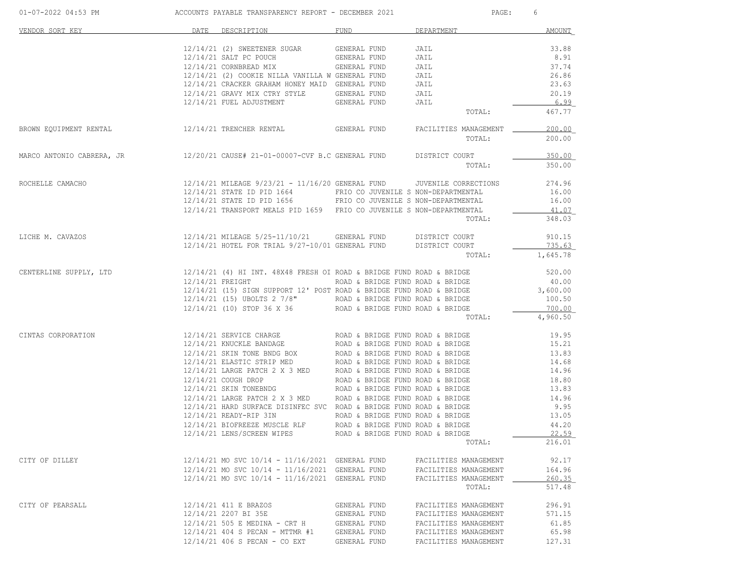| 01-07-2022 04:53 PM ACCOUNTS PAYABLE TRANSPARENCY REPORT - DECEMBER 2021                                                                                                                                |                  |                                                                                                                                                                                                                                                        |              | PAGE: 6                                                                         |                                   |
|---------------------------------------------------------------------------------------------------------------------------------------------------------------------------------------------------------|------------------|--------------------------------------------------------------------------------------------------------------------------------------------------------------------------------------------------------------------------------------------------------|--------------|---------------------------------------------------------------------------------|-----------------------------------|
| VENDOR SORT KEY                                                                                                                                                                                         | DATE DESCRIPTION |                                                                                                                                                                                                                                                        | <b>FUND</b>  | DEPARTMENT                                                                      | AMOUNT                            |
|                                                                                                                                                                                                         |                  |                                                                                                                                                                                                                                                        |              | JAIL                                                                            | 33.88                             |
|                                                                                                                                                                                                         |                  |                                                                                                                                                                                                                                                        |              | JAIL                                                                            | 8.91                              |
|                                                                                                                                                                                                         |                  | $12/14/21 (2) SWEETENER SUGAR \t\t  GENERAL FUND12/14/21 SALT PC POUCH \t\t  GENERAL FUND12/14/21 CORNBERAD MIX \t\t  GENERAL FUND$                                                                                                                    |              | JAIL                                                                            | 37.74                             |
|                                                                                                                                                                                                         |                  |                                                                                                                                                                                                                                                        |              | JAIL                                                                            | 26.86                             |
|                                                                                                                                                                                                         |                  | 12/14/21 (2) COOKIE NILLA VANILLA W GENERAL FUND<br>12/14/21 CRACKER GRAHAM HONEY MAID GENERAL FUND                                                                                                                                                    |              | JAIL                                                                            | 23.63                             |
|                                                                                                                                                                                                         |                  |                                                                                                                                                                                                                                                        |              | JAIL                                                                            | 20.19                             |
|                                                                                                                                                                                                         |                  | 12/14/21 GRAVY MIX CTRY STYLE GENERAL FUND<br>12/14/21 FUEL ADJUSTMENT GENERAL FUND                                                                                                                                                                    |              | JAIL                                                                            | 6.99                              |
|                                                                                                                                                                                                         |                  |                                                                                                                                                                                                                                                        |              | TOTAL:                                                                          | 467.77                            |
| BROWN EQUIPMENT RENTAL <b>12/14/21 TRENCHER RENTAL</b> GENERAL FUND FACILITIES MANAGEMENT 100.00                                                                                                        |                  |                                                                                                                                                                                                                                                        |              |                                                                                 |                                   |
|                                                                                                                                                                                                         |                  |                                                                                                                                                                                                                                                        |              | TOTAL:                                                                          | 200.00                            |
| MARCO ANTONIO CABRERA, JR               12/20/21 CAUSE# 21-01-00007-CVF B.C GENERAL FUND DISTRICT COURT                                                                                                 |                  |                                                                                                                                                                                                                                                        |              |                                                                                 | 350.00                            |
|                                                                                                                                                                                                         |                  |                                                                                                                                                                                                                                                        |              | TOTAL:                                                                          | 350.00                            |
| ROCHELLE CAMACHO  12/14/21 MILEAGE 9/23/21 - 11/16/20 GENERAL FUND UVENILE CORRECTIONS 274.96                                                                                                           |                  |                                                                                                                                                                                                                                                        |              |                                                                                 |                                   |
|                                                                                                                                                                                                         |                  |                                                                                                                                                                                                                                                        |              |                                                                                 | 16.00                             |
|                                                                                                                                                                                                         |                  | 12/14/21 STATE ID PID 1664 FRIO CO JUVENILE S NON-DEPARTMENTAL<br>12/14/21 STATE ID PID 1656 FRIO CO JUVENILE S NON-DEPARTMENTAL                                                                                                                       |              |                                                                                 | 16.00                             |
|                                                                                                                                                                                                         |                  | 12/14/21 TRANSPORT MEALS PID 1659 FRIO CO JUVENILE S NON-DEPARTMENTAL                                                                                                                                                                                  |              |                                                                                 | 41.07                             |
|                                                                                                                                                                                                         |                  |                                                                                                                                                                                                                                                        |              | TOTAL:                                                                          | 348.03                            |
| $12/14/21 \text{ MILEAGE } 5/25 - 11/10/21 \qquad \text{GENERAL FUND} \qquad \text{DISTRIC CURT}$<br>$12/14/21 \text{ HOTEL FOR TRIAL } 9/27 - 10/01 \text{ GENERAL FUND} \qquad \text{DISTRICC COUNT}$ |                  |                                                                                                                                                                                                                                                        |              |                                                                                 | 910.15                            |
|                                                                                                                                                                                                         |                  |                                                                                                                                                                                                                                                        |              |                                                                                 | 735.63                            |
|                                                                                                                                                                                                         |                  |                                                                                                                                                                                                                                                        |              | TOTAL: 1,645.78                                                                 |                                   |
| CENTERLINE SUPPLY, LTD 30.00 12/14/21 (4) HI INT. 48X48 FRESH OI ROAD & BRIDGE FUND ROAD & BRIDGE                                                                                                       |                  |                                                                                                                                                                                                                                                        |              |                                                                                 |                                   |
|                                                                                                                                                                                                         |                  | $12/14/21 \begin{tabular}{lcccccc} FREIGHT & & & & & & & & & \\ 12/14/21 \begin{tabular}{lcccccc} FREIGHT & & & & & & & \\ 12/14/21 & (15) & SIGN & SUPPORT & 12 & POST & ROAD & & BRIDGE & FUND & ROAD & & BRIDGE & & \\ \end{tabular} \end{tabular}$ |              |                                                                                 | 40.00                             |
|                                                                                                                                                                                                         |                  |                                                                                                                                                                                                                                                        |              |                                                                                 |                                   |
|                                                                                                                                                                                                         |                  | $12/14/21$ (15) UBOLTS 2 7/8" ROAD & BRIDGE FUND ROAD & BRIDGE<br>$12/14/21$ (10) STOP 36 X 36 ROAD & BRIDGE FUND ROAD & BRIDGE                                                                                                                        |              |                                                                                 | 100.50<br>$\frac{100.00}{700.00}$ |
|                                                                                                                                                                                                         |                  |                                                                                                                                                                                                                                                        |              |                                                                                 |                                   |
|                                                                                                                                                                                                         |                  |                                                                                                                                                                                                                                                        |              | TOTAL:                                                                          | 4,960.50                          |
| CINTAS CORPORATION                                                                                                                                                                                      |                  |                                                                                                                                                                                                                                                        |              |                                                                                 |                                   |
|                                                                                                                                                                                                         |                  |                                                                                                                                                                                                                                                        |              |                                                                                 | 15.21                             |
|                                                                                                                                                                                                         |                  |                                                                                                                                                                                                                                                        |              |                                                                                 | 13.83                             |
|                                                                                                                                                                                                         |                  | 12/14/21 SKIN TONE BANDAGE BOX<br>12/14/21 SKIN TONE BNDG BOX<br>12/14/21 ELASTIC STRIP MED<br>12/14/21 LARGE PATCH 2 X 3 MED<br>12/14/21 COUGH DROP<br>12/14/21 SKIN TONEBNDG ROAD & BRIDGE FUND ROAD & BRIDGE<br>12/14/21 SKIN TONEBNDG ROAD &       |              |                                                                                 | 14.68                             |
|                                                                                                                                                                                                         |                  |                                                                                                                                                                                                                                                        |              |                                                                                 | 14.96                             |
|                                                                                                                                                                                                         |                  |                                                                                                                                                                                                                                                        |              |                                                                                 | 18.80                             |
|                                                                                                                                                                                                         |                  |                                                                                                                                                                                                                                                        |              |                                                                                 | 13.83                             |
|                                                                                                                                                                                                         |                  | 12/14/21 LARGE PATCHE 2 X 3 MED<br>12/14/21 LARGE PATCHE 2 X 3 MED<br>12/14/21 HARGE PATCHE SUCREMENT ROAD & BRIDGE FUND ROAD & BRIDGE<br>12/14/21 READY-RIP 3IN<br>12/14/21 BIOFREEZE MUSCLE RLF ROAD & BRIDGE FUND ROAD & BRIDGE<br>12/14/2          |              |                                                                                 |                                   |
|                                                                                                                                                                                                         |                  |                                                                                                                                                                                                                                                        |              |                                                                                 |                                   |
|                                                                                                                                                                                                         |                  |                                                                                                                                                                                                                                                        |              |                                                                                 |                                   |
|                                                                                                                                                                                                         |                  | 12/14/21 LENS/SCREEN WIPES                                                                                                                                                                                                                             |              | ROAD & BRIDGE FUND ROAD & BRIDGE TO THE TABLE THAT A STATE OF THE ROAD & BRIDGE | 22.59                             |
|                                                                                                                                                                                                         |                  |                                                                                                                                                                                                                                                        |              | TOTAL:                                                                          | 216.01                            |
| CITY OF DILLEY                                                                                                                                                                                          |                  | 12/14/21 MO SVC 10/14 - 11/16/2021 GENERAL FUND                                                                                                                                                                                                        |              | FACILITIES MANAGEMENT                                                           | 92.17                             |
|                                                                                                                                                                                                         |                  | 12/14/21 MO SVC 10/14 - 11/16/2021 GENERAL FUND                                                                                                                                                                                                        |              | FACILITIES MANAGEMENT                                                           | 164.96                            |
|                                                                                                                                                                                                         |                  | 12/14/21 MO SVC 10/14 - 11/16/2021 GENERAL FUND                                                                                                                                                                                                        |              | FACILITIES MANAGEMENT                                                           | 260.35                            |
|                                                                                                                                                                                                         |                  |                                                                                                                                                                                                                                                        |              | TOTAL:                                                                          | 517.48                            |
| CITY OF PEARSALL                                                                                                                                                                                        |                  | 12/14/21 411 E BRAZOS                                                                                                                                                                                                                                  | GENERAL FUND | FACILITIES MANAGEMENT                                                           | 296.91                            |
|                                                                                                                                                                                                         |                  | 12/14/21 2207 BI 35E                                                                                                                                                                                                                                   | GENERAL FUND | FACILITIES MANAGEMENT                                                           | 571.15                            |
|                                                                                                                                                                                                         |                  | 12/14/21 505 E MEDINA - CRT H                                                                                                                                                                                                                          | GENERAL FUND | FACILITIES MANAGEMENT                                                           | 61.85                             |
|                                                                                                                                                                                                         |                  | 12/14/21 404 S PECAN - MTTMR #1                                                                                                                                                                                                                        | GENERAL FUND | FACILITIES MANAGEMENT                                                           | 65.98                             |
|                                                                                                                                                                                                         |                  | $12/14/21$ 406 S PECAN - CO EXT                                                                                                                                                                                                                        | GENERAL FUND | FACILITIES MANAGEMENT                                                           | 127.31                            |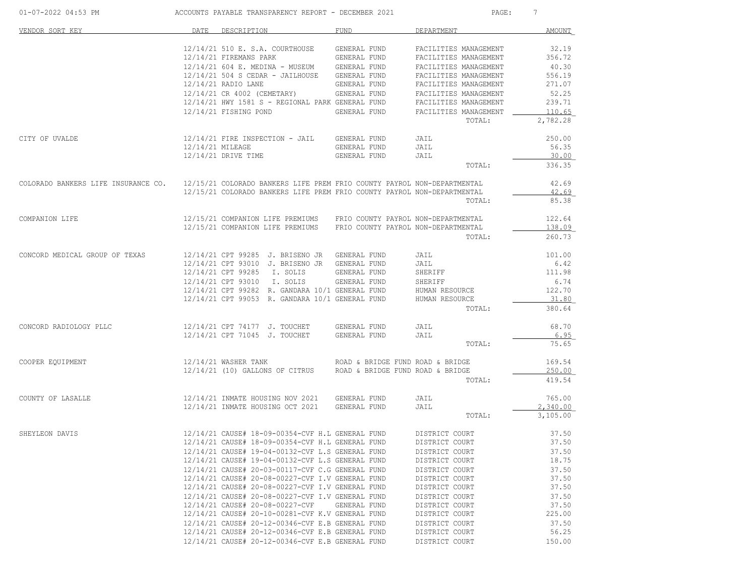| 01-07-2022 04:53 PM                                                                                         |      | ACCOUNTS PAYABLE TRANSPARENCY REPORT - DECEMBER 2021                                                                                                                      |                                     | PAGE:                                                                                            | 7                                  |
|-------------------------------------------------------------------------------------------------------------|------|---------------------------------------------------------------------------------------------------------------------------------------------------------------------------|-------------------------------------|--------------------------------------------------------------------------------------------------|------------------------------------|
| VENDOR SORT KEY                                                                                             | DATE | DESCRIPTION                                                                                                                                                               | FUND                                | DEPARTMENT                                                                                       | AMOUNT                             |
|                                                                                                             |      | 12/14/21 510 E. S.A. COURTHOUSE GENERAL FUND<br>12/14/21 FIREMANS PARK<br>$12/14/21$ 604 E. MEDINA - MUSEUM GENERAL FUND<br>12/14/21 504 S CEDAR - JAILHOUSE GENERAL FUND | <b>GENERAL FUND</b>                 | FACILITIES MANAGEMENT<br>FACILITIES MANAGEMENT<br>FACILITIES MANAGEMENT<br>FACILITIES MANAGEMENT | 32.19<br>356.72<br>40.30<br>556.19 |
|                                                                                                             |      | 12/14/21 RADIO LANE                                                                                                                                                       | GENERAL FUND                        | FACILITIES MANAGEMENT                                                                            | 271.07                             |
|                                                                                                             |      | 12/14/21 CR 4002 (CEMETARY) GENERAL FUND<br>12/14/21 HWY 1581 S - REGIONAL PARK GENERAL FUND                                                                              |                                     | FACILITIES MANAGEMENT<br>FACILITIES MANAGEMENT                                                   | 52.25<br>239.71                    |
|                                                                                                             |      | 12/14/21 FISHING POND GENERAL FUND                                                                                                                                        |                                     | FACILITIES MANAGEMENT<br>TOTAL:                                                                  | 110.65<br>2,782.28                 |
| CITY OF UVALDE                                                                                              |      | 12/14/21 FIRE INSPECTION - JAIL GENERAL FUND                                                                                                                              |                                     | JAIL                                                                                             | 250.00                             |
|                                                                                                             |      | 12/14/21 MILEAGE<br>12/14/21 DRIVE TIME                                                                                                                                   | GENERAL FUND<br><b>GENERAL FUND</b> | JAIL<br>JAIL                                                                                     | 56.35<br>30.00                     |
|                                                                                                             |      |                                                                                                                                                                           |                                     | TOTAL:                                                                                           | 336.35                             |
| COLORADO BANKERS LIFE INSURANCE CO. 12/15/21 COLORADO BANKERS LIFE PREM FRIO COUNTY PAYROL NON-DEPARTMENTAL |      | 12/15/21 COLORADO BANKERS LIFE PREM FRIO COUNTY PAYROL NON-DEPARTMENTAL                                                                                                   |                                     | TOTAL:                                                                                           | 42.69<br>42.69<br>85.38            |
| COMPANION LIFE                                                                                              |      | 12/15/21 COMPANION LIFE PREMIUMS FRIO COUNTY PAYROL NON-DEPARTMENTAL<br>12/15/21 COMPANION LIFE PREMIUMS FRIO COUNTY PAYROL NON-DEPARTMENTAL                              |                                     |                                                                                                  | 122.64<br>138.09                   |
|                                                                                                             |      |                                                                                                                                                                           |                                     | TOTAL:                                                                                           | 260.73                             |
| CONCORD MEDICAL GROUP OF TEXAS                                                                              |      | 12/14/21 CPT 99285 J. BRISENO JR GENERAL FUND<br>12/14/21 CPT 93010 J. BRISENO JR GENERAL FUND                                                                            |                                     | JAIL<br>JAIL                                                                                     | 101.00<br>6.42                     |
|                                                                                                             |      | 12/14/21 CPT 99285 I. SOLIS GENERAL FUND<br>12/14/21 CPT 93010 I. SOLIS                                                                                                   | GENERAL FUND                        | SHERIFF<br>SHERIFF                                                                               | 111.98<br>6.74                     |
|                                                                                                             |      | 12/14/21 CPT 99282 R. GANDARA 10/1 GENERAL FUND HUMAN RESOURCE<br>12/14/21 CPT 99053 R. GANDARA 10/1 GENERAL FUND                                                         |                                     | HUMAN RESOURCE                                                                                   | 122.70<br>31.80                    |
|                                                                                                             |      |                                                                                                                                                                           |                                     | TOTAL:                                                                                           | 380.64                             |
| CONCORD RADIOLOGY PLLC                                                                                      |      | 12/14/21 CPT 74177 J. TOUCHET GENERAL FUND<br>12/14/21 CPT 71045 J. TOUCHET GENERAL FUND                                                                                  |                                     | JAIL<br>JAIL                                                                                     | 68.70<br>6.95                      |
|                                                                                                             |      |                                                                                                                                                                           |                                     | TOTAL:                                                                                           | 75.65                              |
| COOPER EQUIPMENT                                                                                            |      | 12/14/21 WASHER TANK<br>12/14/21 (10) GALLONS OF CITRUS ROAD & BRIDGE FUND ROAD & BRIDGE                                                                                  | ROAD & BRIDGE FUND ROAD & BRIDGE    |                                                                                                  | 169.54<br>250.00                   |
|                                                                                                             |      |                                                                                                                                                                           |                                     | TOTAL:                                                                                           | 419.54                             |
| COUNTY OF LASALLE                                                                                           |      | 12/14/21 INMATE HOUSING NOV 2021 GENERAL FUND<br>12/14/21 INMATE HOUSING OCT 2021 GENERAL FUND                                                                            |                                     | JAIL<br>JAIL<br>TOTAL:                                                                           | 765.00<br>2,340.00<br>3,105.00     |
|                                                                                                             |      | $12/14/21$ CAUSE# $18-09-00354$ -CVF H.L GENERAL FUND DISTRICT COURT                                                                                                      |                                     |                                                                                                  | 37.50                              |
| SHEYLEON DAVIS                                                                                              |      | 12/14/21 CAUSE# 18-09-00354-CVF H.L GENERAL FUND                                                                                                                          |                                     | DISTRICT COURT                                                                                   | 37.50                              |
|                                                                                                             |      | 12/14/21 CAUSE# 19-04-00132-CVF L.S GENERAL FUND<br>12/14/21 CAUSE# 19-04-00132-CVF L.S GENERAL FUND                                                                      |                                     | DISTRICT COURT                                                                                   | 37.50<br>18.75                     |
|                                                                                                             |      | 12/14/21 CAUSE# 20-03-00117-CVF C.G GENERAL FUND                                                                                                                          |                                     | DISTRICT COURT<br>DISTRICT COURT                                                                 | 37.50                              |
|                                                                                                             |      | 12/14/21 CAUSE# 20-08-00227-CVF I.V GENERAL FUND                                                                                                                          |                                     | DISTRICT COURT                                                                                   | 37.50                              |
|                                                                                                             |      | 12/14/21 CAUSE# 20-08-00227-CVF I.V GENERAL FUND                                                                                                                          |                                     | DISTRICT COURT                                                                                   | 37.50                              |
|                                                                                                             |      | 12/14/21 CAUSE# 20-08-00227-CVF I.V GENERAL FUND                                                                                                                          |                                     | DISTRICT COURT                                                                                   | 37.50                              |
|                                                                                                             |      | 12/14/21 CAUSE# 20-08-00227-CVF                                                                                                                                           | GENERAL FUND                        | DISTRICT COURT                                                                                   | 37.50                              |
|                                                                                                             |      | 12/14/21 CAUSE# 20-10-00281-CVF K.V GENERAL FUND<br>12/14/21 CAUSE# 20-12-00346-CVF E.B GENERAL FUND                                                                      |                                     | DISTRICT COURT<br>DISTRICT COURT                                                                 | 225.00<br>37.50                    |
|                                                                                                             |      | 12/14/21 CAUSE# 20-12-00346-CVF E.B GENERAL FUND                                                                                                                          |                                     | DISTRICT COURT                                                                                   | 56.25                              |
|                                                                                                             |      | 12/14/21 CAUSE# 20-12-00346-CVF E.B GENERAL FUND                                                                                                                          |                                     | DISTRICT COURT                                                                                   | 150.00                             |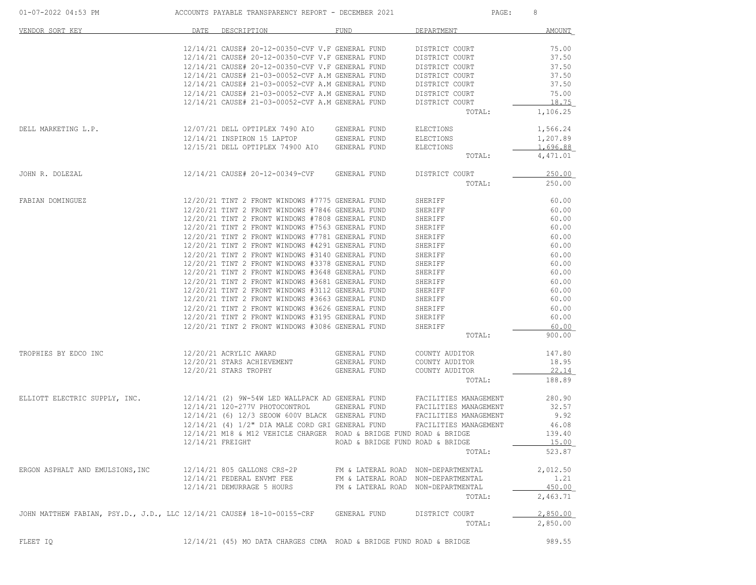| 01-07-2022 04:53 PM                                                    |                  | ACCOUNTS PAYABLE TRANSPARENCY REPORT - DECEMBER 2021                |                                    | $\mathtt{PAGE}$ :     | 8               |
|------------------------------------------------------------------------|------------------|---------------------------------------------------------------------|------------------------------------|-----------------------|-----------------|
| VENDOR SORT KEY                                                        | DATE             | DESCRIPTION                                                         | FUND                               | DEPARTMENT            | AMOUNT          |
|                                                                        |                  | 12/14/21 CAUSE# 20-12-00350-CVF V.F GENERAL FUND                    |                                    | DISTRICT COURT        | 75.00           |
|                                                                        |                  | 12/14/21 CAUSE# 20-12-00350-CVF V.F GENERAL FUND                    |                                    | DISTRICT COURT        | 37.50           |
|                                                                        |                  | 12/14/21 CAUSE# 20-12-00350-CVF V.F GENERAL FUND                    |                                    | DISTRICT COURT        | 37.50           |
|                                                                        |                  | 12/14/21 CAUSE# 21-03-00052-CVF A.M GENERAL FUND                    |                                    | DISTRICT COURT        | 37.50           |
|                                                                        |                  | 12/14/21 CAUSE# 21-03-00052-CVF A.M GENERAL FUND                    |                                    | DISTRICT COURT        | 37.50           |
|                                                                        |                  | 12/14/21 CAUSE# 21-03-00052-CVF A.M GENERAL FUND                    |                                    | DISTRICT COURT        | 75.00           |
|                                                                        |                  | 12/14/21 CAUSE# 21-03-00052-CVF A.M GENERAL FUND                    |                                    | DISTRICT COURT        | 18.75           |
|                                                                        |                  |                                                                     |                                    | TOTAL:                | 1,106.25        |
| DELL MARKETING L.P.                                                    |                  | 12/07/21 DELL OPTIPLEX 7490 AIO GENERAL FUND                        |                                    | ELECTIONS             | 1,566.24        |
|                                                                        |                  | 12/14/21 INSPIRON 15 LAPTOP GENERAL FUND                            |                                    | ELECTIONS             | 1,207.89        |
|                                                                        |                  | 12/15/21 DELL OPTIPLEX 74900 AIO GENERAL FUND                       |                                    | ELECTIONS             | <u>1,696.88</u> |
|                                                                        |                  |                                                                     |                                    | TOTAL:                | 4,471.01        |
| JOHN R. DOLEZAL                                                        |                  | 12/14/21 CAUSE# 20-12-00349-CVF GENERAL FUND                        |                                    | DISTRICT COURT        | 250.00          |
|                                                                        |                  |                                                                     |                                    | TOTAL:                | 250.00          |
| FABIAN DOMINGUEZ                                                       |                  | 12/20/21 TINT 2 FRONT WINDOWS #7775 GENERAL FUND                    |                                    | SHERIFF               | 60.00           |
|                                                                        |                  | 12/20/21 TINT 2 FRONT WINDOWS #7846 GENERAL FUND                    |                                    | SHERIFF               | 60.00           |
|                                                                        |                  | 12/20/21 TINT 2 FRONT WINDOWS #7808 GENERAL FUND                    |                                    | SHERIFF               | 60.00           |
|                                                                        |                  | 12/20/21 TINT 2 FRONT WINDOWS #7563 GENERAL FUND                    |                                    | SHERIFF               | 60.00           |
|                                                                        |                  | 12/20/21 TINT 2 FRONT WINDOWS #7781 GENERAL FUND                    |                                    | SHERIFF               | 60.00           |
|                                                                        |                  | 12/20/21 TINT 2 FRONT WINDOWS #4291 GENERAL FUND                    |                                    | SHERIFF               | 60.00           |
|                                                                        |                  | 12/20/21 TINT 2 FRONT WINDOWS #3140 GENERAL FUND                    |                                    | SHERIFF               | 60.00           |
|                                                                        |                  | 12/20/21 TINT 2 FRONT WINDOWS #3378 GENERAL FUND                    |                                    | SHERIFF               | 60.00           |
|                                                                        |                  | 12/20/21 TINT 2 FRONT WINDOWS #3648 GENERAL FUND                    |                                    | SHERIFF               | 60.00           |
|                                                                        |                  | 12/20/21 TINT 2 FRONT WINDOWS #3681 GENERAL FUND                    |                                    | SHERIFF               | 60.00           |
|                                                                        |                  | 12/20/21 TINT 2 FRONT WINDOWS #3112 GENERAL FUND                    |                                    | SHERIFF               | 60.00           |
|                                                                        |                  | 12/20/21 TINT 2 FRONT WINDOWS #3663 GENERAL FUND                    |                                    | SHERIFF               | 60.00           |
|                                                                        |                  | 12/20/21 TINT 2 FRONT WINDOWS #3626 GENERAL FUND                    |                                    | SHERIFF               | 60.00           |
|                                                                        |                  | 12/20/21 TINT 2 FRONT WINDOWS #3195 GENERAL FUND                    |                                    | SHERIFF               | 60.00           |
|                                                                        |                  | 12/20/21 TINT 2 FRONT WINDOWS #3086 GENERAL FUND                    |                                    | SHERIFF               | 60.00           |
|                                                                        |                  |                                                                     |                                    | TOTAL:                | 900.00          |
| TROPHIES BY EDCO INC                                                   |                  | 12/20/21 ACRYLIC AWARD                                              | GENERAL FUND                       | COUNTY AUDITOR        | 147.80          |
|                                                                        |                  | 12/20/21 STARS ACHIEVEMENT                                          | GENERAL FUND                       | COUNTY AUDITOR        | 18.95           |
|                                                                        |                  | 12/20/21 STARS TROPHY                                               | GENERAL FUND                       | COUNTY AUDITOR        | 22.14           |
|                                                                        |                  |                                                                     |                                    | TOTAL:                | 188.89          |
| ELLIOTT ELECTRIC SUPPLY, INC.                                          |                  | 12/14/21 (2) 9W-54W LED WALLPACK AD GENERAL FUND                    |                                    | FACILITIES MANAGEMENT | 280.90          |
|                                                                        |                  | 12/14/21 120-277V PHOTOCONTROL GENERAL FUND                         |                                    | FACILITIES MANAGEMENT | 32.57           |
|                                                                        |                  | 12/14/21 (6) 12/3 SEOOW 600V BLACK GENERAL FUND                     |                                    | FACILITIES MANAGEMENT | 9.92            |
|                                                                        |                  | 12/14/21 (4) 1/2" DIA MALE CORD GRI GENERAL FUND                    |                                    | FACILITIES MANAGEMENT | 46.08           |
|                                                                        |                  | 12/14/21 M18 & M12 VEHICLE CHARGER ROAD & BRIDGE FUND ROAD & BRIDGE |                                    |                       | 139.40          |
|                                                                        | 12/14/21 FREIGHT |                                                                     | ROAD & BRIDGE FUND ROAD & BRIDGE   |                       | 15.00           |
|                                                                        |                  |                                                                     |                                    | TOTAL:                | 523.87          |
| ERGON ASPHALT AND EMULSIONS, INC                                       |                  | 12/14/21 805 GALLONS CRS-2P                                         | FM & LATERAL ROAD NON-DEPARTMENTAL |                       | 2,012.50        |
|                                                                        |                  | 12/14/21 FEDERAL ENVMT FEE                                          | FM & LATERAL ROAD NON-DEPARTMENTAL |                       | 1.21            |
|                                                                        |                  | 12/14/21 DEMURRAGE 5 HOURS                                          | FM & LATERAL ROAD NON-DEPARTMENTAL |                       | 450.00          |
|                                                                        |                  |                                                                     |                                    | TOTAL:                | 2,463.71        |
| JOHN MATTHEW FABIAN, PSY.D., J.D., LLC 12/14/21 CAUSE# 18-10-00155-CRF |                  |                                                                     | GENERAL FUND                       | DISTRICT COURT        | 2,850.00        |
|                                                                        |                  |                                                                     |                                    | TOTAL:                | 2,850.00        |
| FLEET IQ                                                               |                  | 12/14/21 (45) MO DATA CHARGES CDMA ROAD & BRIDGE FUND ROAD & BRIDGE |                                    |                       | 989.55          |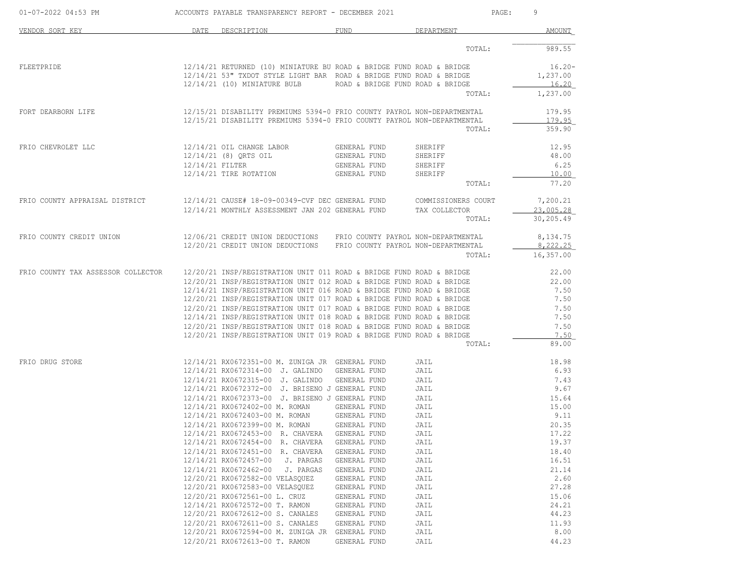| 01-07-2022 04:53 PM                |                 | ACCOUNTS PAYABLE TRANSPARENCY REPORT - DECEMBER 2021                                                                                                                        |                                                              |                                          | 9<br>PAGE:                               |
|------------------------------------|-----------------|-----------------------------------------------------------------------------------------------------------------------------------------------------------------------------|--------------------------------------------------------------|------------------------------------------|------------------------------------------|
| VENDOR SORT KEY                    | DATE            | DESCRIPTION                                                                                                                                                                 | FUND                                                         | DEPARTMENT                               | AMOUNT                                   |
|                                    |                 |                                                                                                                                                                             |                                                              | TOTAL:                                   | 989.55                                   |
| FLEETPRIDE                         |                 | 12/14/21 RETURNED (10) MINIATURE BU ROAD & BRIDGE FUND ROAD & BRIDGE<br>12/14/21 53" TXDOT STYLE LIGHT BAR ROAD & BRIDGE FUND ROAD & BRIDGE<br>12/14/21 (10) MINIATURE BULB | ROAD & BRIDGE FUND ROAD & BRIDGE                             |                                          | $16.20 -$<br>1,237.00<br>16.20           |
|                                    |                 |                                                                                                                                                                             |                                                              | TOTAL:                                   | 1,237.00                                 |
| FORT DEARBORN LIFE                 |                 | 12/15/21 DISABILITY PREMIUMS 5394-0 FRIO COUNTY PAYROL NON-DEPARTMENTAL<br>12/15/21 DISABILITY PREMIUMS 5394-0 FRIO COUNTY PAYROL NON-DEPARTMENTAL                          |                                                              | TOTAL:                                   | 179.95<br>179.95<br>359.90               |
| FRIO CHEVROLET LLC                 | 12/14/21 FILTER | 12/14/21 OIL CHANGE LABOR<br>12/14/21 (8) QRTS OIL<br>12/14/21 TIRE ROTATION                                                                                                | GENERAL FUND<br>GENERAL FUND<br>GENERAL FUND<br>GENERAL FUND | SHERIFF<br>SHERIFF<br>SHERIFF<br>SHERIFF | 12.95<br>48.00<br>6.25<br>10.00<br>77.20 |
|                                    |                 |                                                                                                                                                                             |                                                              | TOTAL:                                   |                                          |
| FRIO COUNTY APPRAISAL DISTRICT     |                 | 12/14/21 CAUSE# 18-09-00349-CVF DEC GENERAL FUND COMMISSIONERS COURT<br>12/14/21 MONTHLY ASSESSMENT JAN 202 GENERAL FUND                                                    |                                                              | TAX COLLECTOR<br>TOTAL:                  | 7,200.21<br>23,005.28<br>30,205.49       |
| FRIO COUNTY CREDIT UNION           |                 | 12/06/21 CREDIT UNION DEDUCTIONS FRIO COUNTY PAYROL NON-DEPARTMENTAL<br>12/20/21 CREDIT UNION DEDUCTIONS FRIO COUNTY PAYROL NON-DEPARTMENTAL                                |                                                              | TOTAL:                                   | 8,134.75<br>8,222.25<br>16,357.00        |
|                                    |                 |                                                                                                                                                                             |                                                              |                                          |                                          |
| FRIO COUNTY TAX ASSESSOR COLLECTOR |                 | 12/20/21 INSP/REGISTRATION UNIT 011 ROAD & BRIDGE FUND ROAD & BRIDGE<br>12/20/21 INSP/REGISTRATION UNIT 012 ROAD & BRIDGE FUND ROAD & BRIDGE                                |                                                              |                                          | 22.00<br>22.00                           |
|                                    |                 | 12/14/21 INSP/REGISTRATION UNIT 016 ROAD & BRIDGE FUND ROAD & BRIDGE                                                                                                        |                                                              |                                          | 7.50                                     |
|                                    |                 | 12/20/21 INSP/REGISTRATION UNIT 017 ROAD & BRIDGE FUND ROAD & BRIDGE                                                                                                        |                                                              |                                          | 7.50                                     |
|                                    |                 | 12/20/21 INSP/REGISTRATION UNIT 017 ROAD & BRIDGE FUND ROAD & BRIDGE                                                                                                        |                                                              |                                          | 7.50                                     |
|                                    |                 | 12/14/21 INSP/REGISTRATION UNIT 018 ROAD & BRIDGE FUND ROAD & BRIDGE<br>12/20/21 INSP/REGISTRATION UNIT 018 ROAD & BRIDGE FUND ROAD & BRIDGE                                |                                                              |                                          | 7.50<br>7.50                             |
|                                    |                 | 12/20/21 INSP/REGISTRATION UNIT 019 ROAD & BRIDGE FUND ROAD & BRIDGE                                                                                                        |                                                              |                                          | 7.50                                     |
|                                    |                 |                                                                                                                                                                             |                                                              | TOTAL:                                   | 89.00                                    |
| FRIO DRUG STORE                    |                 | 12/14/21 RX0672351-00 M. ZUNIGA JR GENERAL FUND                                                                                                                             |                                                              | JAIL                                     | 18.98                                    |
|                                    |                 | 12/14/21 RX0672314-00 J. GALINDO GENERAL FUND                                                                                                                               |                                                              | JAIL                                     | 6.93                                     |
|                                    |                 | 12/14/21 RX0672315-00 J. GALINDO GENERAL FUND                                                                                                                               |                                                              | JAIL                                     | 7.43                                     |
|                                    |                 | 12/14/21 RX0672372-00 J. BRISENO J GENERAL FUND                                                                                                                             |                                                              | JAIL                                     | 9.67                                     |
|                                    |                 | 12/14/21 RX0672373-00 J. BRISENO J GENERAL FUND<br>12/14/21 RX0672402-00 M. ROMAN                                                                                           |                                                              | JAIL                                     | 15.64<br>15.00                           |
|                                    |                 | 12/14/21 RX0672403-00 M. ROMAN                                                                                                                                              | GENERAL FUND<br>GENERAL FUND                                 | JAIL<br>JAIL                             | 9.11                                     |
|                                    |                 | 12/14/21 RX0672399-00 M. ROMAN GENERAL FUND                                                                                                                                 |                                                              | JAIL                                     | 20.35                                    |
|                                    |                 | 12/14/21 RX0672453-00 R. CHAVERA GENERAL FUND                                                                                                                               |                                                              | JAIL                                     | 17.22                                    |
|                                    |                 | 12/14/21 RX0672454-00 R. CHAVERA                                                                                                                                            | GENERAL FUND                                                 | JAIL                                     | 19.37                                    |
|                                    |                 | 12/14/21 RX0672451-00 R. CHAVERA                                                                                                                                            | GENERAL FUND                                                 | JAIL                                     | 18.40                                    |
|                                    |                 | 12/14/21 RX0672457-00<br>J. PARGAS                                                                                                                                          | GENERAL FUND                                                 | JAIL                                     | 16.51                                    |
|                                    |                 | 12/14/21 RX0672462-00<br>J. PARGAS                                                                                                                                          | GENERAL FUND                                                 | JAIL                                     | 21.14                                    |
|                                    |                 | 12/20/21 RX0672582-00 VELASQUEZ<br>12/20/21 RX0672583-00 VELASQUEZ                                                                                                          | GENERAL FUND<br>GENERAL FUND                                 | JAIL<br>JAIL                             | 2.60<br>27.28                            |
|                                    |                 | 12/20/21 RX0672561-00 L. CRUZ                                                                                                                                               | GENERAL FUND                                                 | JAIL                                     | 15.06                                    |
|                                    |                 | 12/14/21 RX0672572-00 T. RAMON                                                                                                                                              | GENERAL FUND                                                 | JAIL                                     | 24.21                                    |
|                                    |                 | 12/20/21 RX0672612-00 S. CANALES                                                                                                                                            | GENERAL FUND                                                 | JAIL                                     | 44.23                                    |
|                                    |                 | 12/20/21 RX0672611-00 S. CANALES                                                                                                                                            | GENERAL FUND                                                 | JAIL                                     | 11.93                                    |
|                                    |                 | 12/20/21 RX0672594-00 M. ZUNIGA JR                                                                                                                                          | GENERAL FUND                                                 | JAIL                                     | 8.00                                     |
|                                    |                 | 12/20/21 RX0672613-00 T. RAMON                                                                                                                                              | GENERAL FUND                                                 | JAIL                                     | 44.23                                    |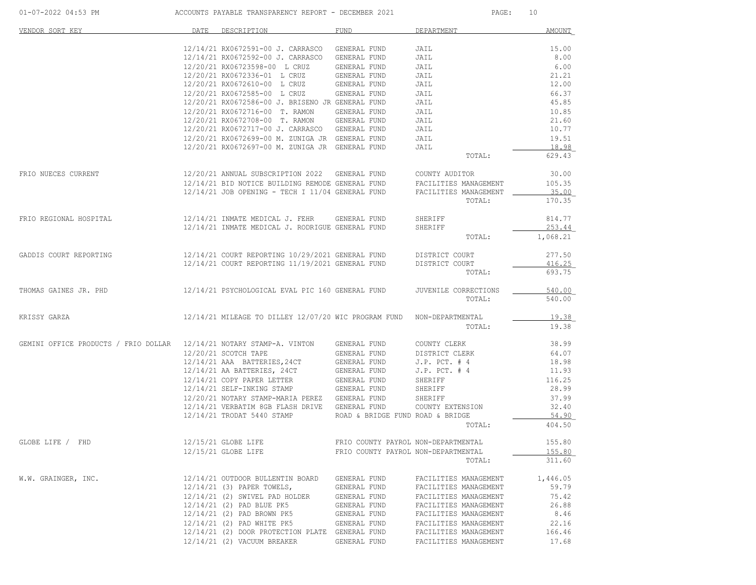| 01-07-2022 04:53 PM |  |  |
|---------------------|--|--|
|---------------------|--|--|

ACCOUNTS PAYABLE TRANSPARENCY REPORT - DECEMBER 2021 PAGE: 10

| VENDOR SORT KEY                      | DATE | DESCRIPTION                                                                                              | <b>FUND</b>                                      | DEPARTMENT                      | <b>AMOUNT</b>    |
|--------------------------------------|------|----------------------------------------------------------------------------------------------------------|--------------------------------------------------|---------------------------------|------------------|
|                                      |      | 12/14/21 RX0672591-00 J. CARRASCO                                                                        | GENERAL FUND                                     | JAIL                            | 15.00            |
|                                      |      | 12/14/21 RX0672592-00 J. CARRASCO                                                                        | GENERAL FUND                                     | JAIL                            | 8.00             |
|                                      |      | 12/20/21 RX06723598-00 L CRUZ                                                                            | GENERAL FUND                                     | JAIL                            | 6.00             |
|                                      |      | 12/20/21 RX0672336-01 L CRUZ                                                                             | GENERAL FUND                                     | JAIL                            | 21.21            |
|                                      |      | 12/20/21 RX0672610-00 L CRUZ                                                                             | GENERAL FUND                                     | JAIL                            | 12.00            |
|                                      |      | 12/20/21 RX0672585-00 L CRUZ                                                                             | GENERAL FUND                                     | JAIL                            | 66.37            |
|                                      |      | 12/20/21 RX0672586-00 J. BRISENO JR GENERAL FUND                                                         |                                                  | JAIL                            | 45.85            |
|                                      |      | 12/20/21 RX0672716-00 T. RAMON                                                                           | GENERAL FUND                                     | JAIL                            | 10.85            |
|                                      |      | 12/20/21 RX0672708-00 T. RAMON                                                                           | GENERAL FUND                                     | JAIL                            | 21.60            |
|                                      |      | 12/20/21 RX0672717-00 J. CARRASCO GENERAL FUND                                                           |                                                  | JAIL                            | 10.77            |
|                                      |      | 12/20/21 RX0672699-00 M. ZUNIGA JR GENERAL FUND                                                          |                                                  | JAIL                            | 19.51            |
|                                      |      | 12/20/21 RX0672697-00 M. ZUNIGA JR GENERAL FUND                                                          |                                                  | JAIL<br>TOTAL:                  | 18.98<br>629.43  |
|                                      |      |                                                                                                          |                                                  |                                 |                  |
| FRIO NUECES CURRENT                  |      | 12/20/21 ANNUAL SUBSCRIPTION 2022 GENERAL FUND                                                           |                                                  | COUNTY AUDITOR                  | 30.00            |
|                                      |      | 12/14/21 BID NOTICE BUILDING REMODE GENERAL FUND<br>$12/14/21$ JOB OPENING - TECH I $11/04$ GENERAL FUND |                                                  | FACILITIES MANAGEMENT           | 105.35<br>35.00  |
|                                      |      |                                                                                                          |                                                  | FACILITIES MANAGEMENT<br>TOTAL: | 170.35           |
|                                      |      |                                                                                                          |                                                  |                                 |                  |
| FRIO REGIONAL HOSPITAL               |      | 12/14/21 INMATE MEDICAL J. FEHR<br>12/14/21 INMATE MEDICAL J. RODRIGUE GENERAL FUND                      | GENERAL FUND                                     | SHERIFF<br>SHERIFF              | 814.77<br>253.44 |
|                                      |      |                                                                                                          |                                                  | TOTAL:                          | 1,068.21         |
| GADDIS COURT REPORTING               |      | 12/14/21 COURT REPORTING 10/29/2021 GENERAL FUND                                                         |                                                  | DISTRICT COURT                  | 277.50           |
|                                      |      | 12/14/21 COURT REPORTING 11/19/2021 GENERAL FUND                                                         |                                                  | DISTRICT COURT                  | 416.25           |
|                                      |      |                                                                                                          |                                                  | TOTAL:                          | 693.75           |
| THOMAS GAINES JR. PHD                |      | 12/14/21 PSYCHOLOGICAL EVAL PIC 160 GENERAL FUND                                                         |                                                  | JUVENILE CORRECTIONS            | 540.00           |
|                                      |      |                                                                                                          |                                                  | TOTAL:                          | 540.00           |
| KRISSY GARZA                         |      | 12/14/21 MILEAGE TO DILLEY 12/07/20 WIC PROGRAM FUND                                                     |                                                  | NON-DEPARTMENTAL                | 19.38            |
|                                      |      |                                                                                                          |                                                  | TOTAL:                          | 19.38            |
| GEMINI OFFICE PRODUCTS / FRIO DOLLAR |      | 12/14/21 NOTARY STAMP-A. VINTON                                                                          | GENERAL FUND                                     | COUNTY CLERK                    | 38.99            |
|                                      |      | 12/20/21 SCOTCH TAPE                                                                                     | GENERAL FUND                                     | DISTRICT CLERK                  | 64.07            |
|                                      |      | 12/14/21 AAA BATTERIES, 24CT                                                                             | GENERAL FUND                                     | $J.P.$ PCT. $# 4$               | 18.98            |
|                                      |      | 12/14/21 AA BATTERIES, 24CT                                                                              | GENERAL FUND                                     | $J.P.$ PCT. $#4$                | 11.93            |
|                                      |      | 12/14/21 COPY PAPER LETTER                                                                               | GENERAL FUND                                     | SHERIFF                         | 116.25           |
|                                      |      | 12/14/21 SELF-INKING STAMP                                                                               | GENERAL FUND                                     | SHERIFF                         | 28.99            |
|                                      |      | 12/20/21 NOTARY STAMP-MARIA PEREZ GENERAL FUND                                                           |                                                  | SHERIFF                         | 37.99            |
|                                      |      | 12/14/21 VERBATIM 8GB FLASH DRIVE<br>12/14/21 TRODAT 5440 STAMP                                          | GENERAL FUND<br>ROAD & BRIDGE FUND ROAD & BRIDGE | COUNTY EXTENSION                | 32.40<br>54.90   |
|                                      |      |                                                                                                          |                                                  | TOTAL:                          | 404.50           |
| GLOBE LIFE / FHD                     |      | 12/15/21 GLOBE LIFE                                                                                      | FRIO COUNTY PAYROL NON-DEPARTMENTAL              |                                 | 155.80           |
|                                      |      | 12/15/21 GLOBE LIFE                                                                                      | FRIO COUNTY PAYROL NON-DEPARTMENTAL              |                                 | 155.80           |
|                                      |      |                                                                                                          |                                                  | TOTAL:                          | 311.60           |
| W.W. GRAINGER, INC.                  |      | 12/14/21 OUTDOOR BULLENTIN BOARD                                                                         | GENERAL FUND                                     | FACILITIES MANAGEMENT           | 1,446.05         |
|                                      |      | 12/14/21 (3) PAPER TOWELS,                                                                               | GENERAL FUND                                     | FACILITIES MANAGEMENT           | 59.79            |
|                                      |      | 12/14/21 (2) SWIVEL PAD HOLDER                                                                           | GENERAL FUND                                     | FACILITIES MANAGEMENT           | 75.42            |
|                                      |      | 12/14/21 (2) PAD BLUE PK5                                                                                | GENERAL FUND                                     | FACILITIES MANAGEMENT           | 26.88            |
|                                      |      | 12/14/21 (2) PAD BROWN PK5                                                                               | GENERAL FUND                                     | FACILITIES MANAGEMENT           | 8.46             |
|                                      |      | 12/14/21 (2) PAD WHITE PK5                                                                               | GENERAL FUND                                     | FACILITIES MANAGEMENT           | 22.16            |
|                                      |      | 12/14/21 (2) DOOR PROTECTION PLATE GENERAL FUND                                                          |                                                  | FACILITIES MANAGEMENT           | 166.46           |
|                                      |      | 12/14/21 (2) VACUUM BREAKER                                                                              | GENERAL FUND                                     | FACILITIES MANAGEMENT           | 17.68            |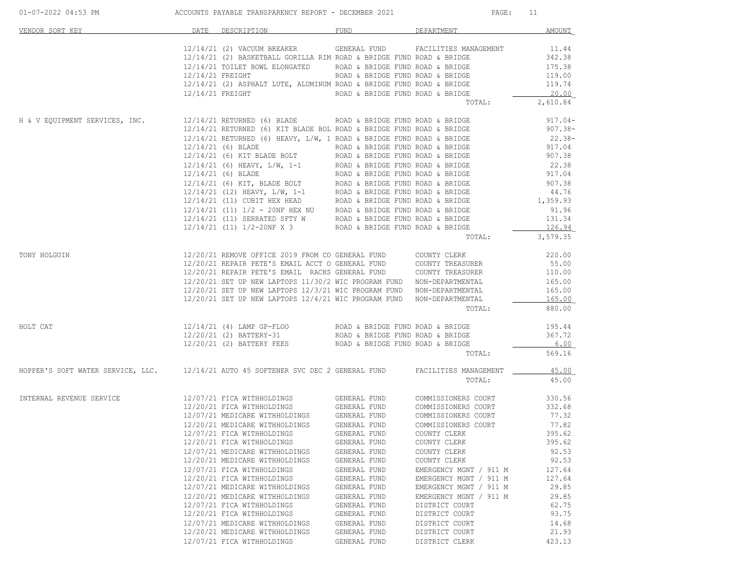| 01-07-2022 04:53 PM ACCOUNTS PAYABLE TRANSPARENCY REPORT - DECEMBER 2021                                      |                                                                                                                                                                                  |                                                                                                                                                                                                                                                                          |                                                                                                                                                                                                                              |                                                                                                                                                                                                                                                                                                                                                                                                                                                                                                                                                        | PAGE: 11                                                                                                              |
|---------------------------------------------------------------------------------------------------------------|----------------------------------------------------------------------------------------------------------------------------------------------------------------------------------|--------------------------------------------------------------------------------------------------------------------------------------------------------------------------------------------------------------------------------------------------------------------------|------------------------------------------------------------------------------------------------------------------------------------------------------------------------------------------------------------------------------|--------------------------------------------------------------------------------------------------------------------------------------------------------------------------------------------------------------------------------------------------------------------------------------------------------------------------------------------------------------------------------------------------------------------------------------------------------------------------------------------------------------------------------------------------------|-----------------------------------------------------------------------------------------------------------------------|
| VENDOR SORT KEY                                                                                               | DATE                                                                                                                                                                             | DESCRIPTION                                                                                                                                                                                                                                                              | FUND                                                                                                                                                                                                                         | DEPARTMENT                                                                                                                                                                                                                                                                                                                                                                                                                                                                                                                                             | AMOUNT                                                                                                                |
|                                                                                                               |                                                                                                                                                                                  |                                                                                                                                                                                                                                                                          |                                                                                                                                                                                                                              | 12/14/21 (2) VACUUM BREAKER GENERAL FUND FACILITIES MANAGEMENT<br>12/14/21 (2) BASKETBALL GORILLA RIM ROAD & BRIDGE FUND ROAD & BRIDGE<br>12/14/21 TOILET BOWL ELONGATED ROAD & BRIDGE FUND ROAD & BRIDGE 175.38<br>12/14/21 FREIGHT ROAD & BRIDGE FUND ROAD & BRIDGE 175.38<br>12/14/21 (2) ASPHALT LUTE, ALUMINUM ROAD & BRIDGE FUND ROAD & BRIDGE 119.00<br>12/14/21 FREIGHT R<br>TOTAL:                                                                                                                                                            | 11.44<br>342.38<br>2,610.84                                                                                           |
| H & V EQUIPMENT SERVICES, INC. 32/14/21 RETURNED (6) BLADE ROAD & BRIDGE FUND ROAD & BRIDGE                   |                                                                                                                                                                                  |                                                                                                                                                                                                                                                                          |                                                                                                                                                                                                                              |                                                                                                                                                                                                                                                                                                                                                                                                                                                                                                                                                        | $917.04 -$                                                                                                            |
|                                                                                                               |                                                                                                                                                                                  |                                                                                                                                                                                                                                                                          |                                                                                                                                                                                                                              |                                                                                                                                                                                                                                                                                                                                                                                                                                                                                                                                                        |                                                                                                                       |
| TONY HOLGUIN                                                                                                  |                                                                                                                                                                                  |                                                                                                                                                                                                                                                                          |                                                                                                                                                                                                                              | $12/14/21 \quad {\rm RETURNED} \quad (6) {\rm BLADE} \quad {\rm ROD} \quad \& {\rm BRIDGE} \quad {\rm FUND \ RODA} \quad \& {\rm BRIDGE} \quad {\rm 917.04} \\ 12/14/21 \quad {\rm RETURNED} \quad (6) {\rm KIT \ BLADE} \quad {\rm BOL \ RODA} \quad \& {\rm BRIDGE} \quad {\rm FUND \ RODA} \quad \& {\rm BRIDGE} \quad {\rm 907.38} \\ 12/14/21 \quad {\rm (6) BLADE} \quad (6) {\rm HEAVY, L/W, 1 \ RODA} \quad {\rm RORDE}$<br>TOTAL:                                                                                                             | $22.38-$<br>3,579.35                                                                                                  |
|                                                                                                               |                                                                                                                                                                                  | 12/20/21 SET UP NEW LAPTOPS 12/4/21 WIC PROGRAM FUND NON-DEPARTMENTAL                                                                                                                                                                                                    |                                                                                                                                                                                                                              | $12/20/21 \xEPAIR \nPETE'S EMAIL ACCT O GENERAL FUND \n12/20/21 \nREPAIR PETE'S EMAIL ACCT O GENERAL FUND \n2200/21 \nSEPAIR PETE'S EMAIL RACKS GENERAL FUND \n2200/21 \nSEPAIR PETE'S EMAIL RACKS GENERAL FUND \n2200/21 \nSCONTY TREASURER \n2200/21 \nSET UP NEW LAPTOPS 11/30/2 WIC PROGRAM FUND \n2200/21 \nSC TUP NEW LAPTOPS 12/3/21 WIC PROGRAM FUND \n2200/21 \n2200/21 \n2200/21 \$<br>TOTAL:                                                                                                                                                | 165.00<br>880.00                                                                                                      |
| HOLT CAT                                                                                                      |                                                                                                                                                                                  |                                                                                                                                                                                                                                                                          |                                                                                                                                                                                                                              | TOTAL:                                                                                                                                                                                                                                                                                                                                                                                                                                                                                                                                                 | 569.16                                                                                                                |
| HOPPER'S SOFT WATER SERVICE, LLC. 12/14/21 AUTO 45 SOFTENER SVC DEC 2 GENERAL FUND FACILITIES MANAGEMENT 1877 |                                                                                                                                                                                  |                                                                                                                                                                                                                                                                          |                                                                                                                                                                                                                              | TOTAL:                                                                                                                                                                                                                                                                                                                                                                                                                                                                                                                                                 | 45.00                                                                                                                 |
| INTERNAL REVENUE SERVICE                                                                                      | 12/20/21 FICA WITHHOLDINGS<br>12/07/21 FICA WITHHOLDINGS<br>12/20/21 FICA WITHHOLDINGS<br>12/07/21 FICA WITHHOLDINGS<br>12/20/21 FICA WITHHOLDINGS<br>12/07/21 FICA WITHHOLDINGS | 12/20/21 MEDICARE WITHHOLDINGS<br>12/07/21 FICA WITHHOLDINGS<br>12/07/21 MEDICARE WITHHOLDINGS<br>12/20/21 MEDICARE WITHHOLDINGS<br>12/07/21 MEDICARE WITHHOLDINGS<br>12/20/21 MEDICARE WITHHOLDINGS<br>12/07/21 MEDICARE WITHHOLDINGS<br>12/20/21 MEDICARE WITHHOLDINGS | GENERAL FUND<br>GENERAL FUND<br>GENERAL FUND<br>GENERAL FUND<br>GENERAL FUND<br>GENERAL FUND<br>GENERAL FUND<br>GENERAL FUND<br>GENERAL FUND<br>GENERAL FUND<br>GENERAL FUND<br>GENERAL FUND<br>GENERAL FUND<br>GENERAL FUND | 12/07/21 FICA WITHHOLDINGS GENERAL FUND COMMISSIONERS COURT 330.56<br>12/20/21 FICA WITHHOLDINGS GENERAL FUND COMMISSIONERS COURT 332.68<br>12/07/21 MEDICARE WITHHOLDINGS GENERAL FUND COMMISSIONERS COURT 77.32<br>12/20/21 MEDICARE<br>COMMISSIONERS COURT<br>COUNTY CLERK<br>COUNTY CLERK 395.62<br>COUNTY CLERK<br>COUNTY CLERK<br>COUNTY CLERK<br>EMERGENCY MGNT / 911 M<br>EMERGENCY MGNT / 911 M<br>EMERGENCY MGNT / 911 M<br>EMERGENCY MGNT / 911 M<br>DISTRICT COURT<br>DISTRICT COURT<br>DISTRICT COURT<br>DISTRICT COURT<br>DISTRICT CLERK | 77.82<br>395.62<br>92.53<br>92.53<br>127.64<br>127.64<br>29.85<br>29.85<br>62.75<br>93.75<br>14.68<br>21.93<br>423.13 |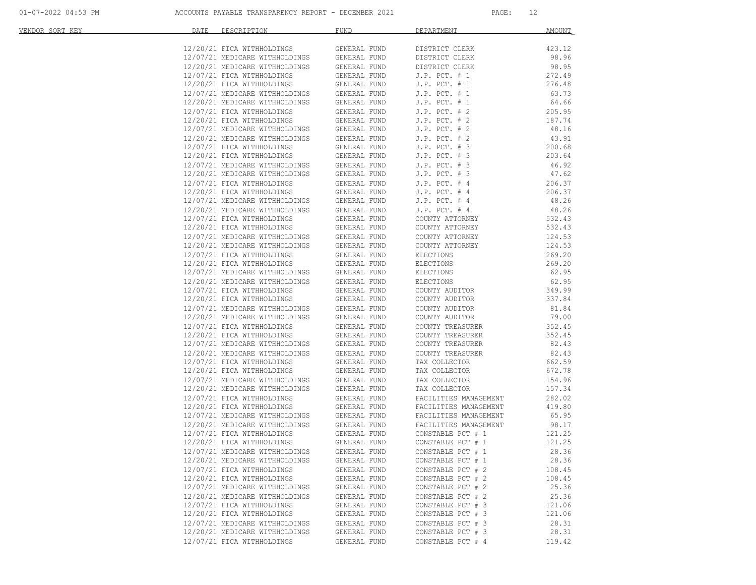| VENDOR SORT KEY | DATE | DESCRIPTION                                                  | <b>FUND</b>                  | DEPARTMENT                                     | <b>AMOUNT</b>    |
|-----------------|------|--------------------------------------------------------------|------------------------------|------------------------------------------------|------------------|
|                 |      | 12/20/21 FICA WITHHOLDINGS                                   | GENERAL FUND                 | DISTRICT CLERK                                 | 423.12           |
|                 |      | 12/07/21 MEDICARE WITHHOLDINGS                               | GENERAL FUND                 | DISTRICT CLERK                                 | 98.96            |
|                 |      | 12/20/21 MEDICARE WITHHOLDINGS                               | GENERAL FUND                 | DISTRICT CLERK                                 | 98.95            |
|                 |      | 12/07/21 FICA WITHHOLDINGS                                   | GENERAL FUND                 | $J.P.$ PCT. $# 1$                              | 272.49           |
|                 |      | 12/20/21 FICA WITHHOLDINGS                                   | GENERAL FUND                 | $J.P.$ PCT. $# 1$                              | 276.48           |
|                 |      | 12/07/21 MEDICARE WITHHOLDINGS                               | GENERAL FUND                 | $J.P.$ PCT. $# 1$                              | 63.73            |
|                 |      | 12/20/21 MEDICARE WITHHOLDINGS                               | GENERAL FUND                 | $J.P.$ PCT. $# 1$                              | 64.66            |
|                 |      | 12/07/21 FICA WITHHOLDINGS                                   | GENERAL FUND                 | $J.P.$ PCT. $# 2$                              | 205.95           |
|                 |      | 12/20/21 FICA WITHHOLDINGS                                   | GENERAL FUND                 | $J.P.$ PCT. $# 2$                              | 187.74           |
|                 |      | 12/07/21 MEDICARE WITHHOLDINGS                               | GENERAL FUND                 | $J.P.$ PCT. $# 2$                              | 48.16            |
|                 |      | 12/20/21 MEDICARE WITHHOLDINGS                               | GENERAL FUND                 | $J.P.$ PCT. $# 2$                              | 43.91            |
|                 |      | 12/07/21 FICA WITHHOLDINGS                                   | GENERAL FUND                 | $J.P.$ PCT. $# 3$                              | 200.68           |
|                 |      | 12/20/21 FICA WITHHOLDINGS                                   | GENERAL FUND                 | $J.P.$ PCT. $# 3$                              | 203.64           |
|                 |      | 12/07/21 MEDICARE WITHHOLDINGS                               | GENERAL FUND                 | $J.P.$ PCT. $# 3$                              | 46.92            |
|                 |      | 12/20/21 MEDICARE WITHHOLDINGS                               | GENERAL FUND                 | $J.P.$ PCT. $# 3$                              | 47.62            |
|                 |      | 12/07/21 FICA WITHHOLDINGS                                   | GENERAL FUND                 | $J.P.$ PCT. $#4$                               | 206.37           |
|                 |      | 12/20/21 FICA WITHHOLDINGS                                   | GENERAL FUND                 | $J.P.$ PCT. $#4$                               | 206.37           |
|                 |      | 12/07/21 MEDICARE WITHHOLDINGS                               | GENERAL FUND                 | $J.P.$ PCT. $#4$                               | 48.26            |
|                 |      | 12/20/21 MEDICARE WITHHOLDINGS                               | GENERAL FUND                 | $J.P.$ PCT. $#4$                               | 48.26            |
|                 |      | 12/07/21 FICA WITHHOLDINGS                                   | GENERAL FUND                 | COUNTY ATTORNEY                                | 532.43           |
|                 |      | 12/20/21 FICA WITHHOLDINGS                                   | GENERAL FUND                 | COUNTY ATTORNEY                                | 532.43           |
|                 |      | 12/07/21 MEDICARE WITHHOLDINGS                               | GENERAL FUND                 | COUNTY ATTORNEY                                | 124.53           |
|                 |      | 12/20/21 MEDICARE WITHHOLDINGS                               | GENERAL FUND                 | COUNTY ATTORNEY                                | 124.53           |
|                 |      | 12/07/21 FICA WITHHOLDINGS                                   | GENERAL FUND                 | ELECTIONS                                      | 269.20           |
|                 |      | 12/20/21 FICA WITHHOLDINGS                                   | GENERAL FUND                 | ELECTIONS                                      | 269.20           |
|                 |      | 12/07/21 MEDICARE WITHHOLDINGS                               | GENERAL FUND                 | ELECTIONS                                      | 62.95            |
|                 |      | 12/20/21 MEDICARE WITHHOLDINGS                               | GENERAL FUND                 | ELECTIONS                                      | 62.95            |
|                 |      | 12/07/21 FICA WITHHOLDINGS                                   | GENERAL FUND                 | COUNTY AUDITOR                                 | 349.99           |
|                 |      | 12/20/21 FICA WITHHOLDINGS                                   | GENERAL FUND                 | COUNTY AUDITOR                                 | 337.84           |
|                 |      | 12/07/21 MEDICARE WITHHOLDINGS                               | GENERAL FUND                 | COUNTY AUDITOR                                 | 81.84            |
|                 |      | 12/20/21 MEDICARE WITHHOLDINGS                               | GENERAL FUND                 | COUNTY AUDITOR                                 | 79.00            |
|                 |      | 12/07/21 FICA WITHHOLDINGS                                   | GENERAL FUND                 | COUNTY TREASURER                               | 352.45           |
|                 |      | 12/20/21 FICA WITHHOLDINGS                                   | GENERAL FUND                 | COUNTY TREASURER                               | 352.45           |
|                 |      | 12/07/21 MEDICARE WITHHOLDINGS                               | GENERAL FUND                 | COUNTY TREASURER                               | 82.43            |
|                 |      | 12/20/21 MEDICARE WITHHOLDINGS                               | GENERAL FUND                 | COUNTY TREASURER                               | 82.43            |
|                 |      | 12/07/21 FICA WITHHOLDINGS                                   | GENERAL FUND                 | TAX COLLECTOR                                  | 662.59           |
|                 |      | 12/20/21 FICA WITHHOLDINGS<br>12/07/21 MEDICARE WITHHOLDINGS | GENERAL FUND                 | TAX COLLECTOR                                  | 672.78           |
|                 |      | 12/20/21 MEDICARE WITHHOLDINGS                               | GENERAL FUND<br>GENERAL FUND | TAX COLLECTOR<br>TAX COLLECTOR                 | 154.96<br>157.34 |
|                 |      | 12/07/21 FICA WITHHOLDINGS                                   | GENERAL FUND                 |                                                | 282.02           |
|                 |      | 12/20/21 FICA WITHHOLDINGS                                   | GENERAL FUND                 | FACILITIES MANAGEMENT<br>FACILITIES MANAGEMENT | 419.80           |
|                 |      | 12/07/21 MEDICARE WITHHOLDINGS                               | GENERAL FUND                 | FACILITIES MANAGEMENT                          | 65.95            |
|                 |      | 12/20/21 MEDICARE WITHHOLDINGS                               | GENERAL FUND                 | FACILITIES MANAGEMENT                          | 98.17            |
|                 |      | 12/07/21 FICA WITHHOLDINGS                                   | GENERAL FUND                 | CONSTABLE PCT # 1                              | 121.25           |
|                 |      | 12/20/21 FICA WITHHOLDINGS                                   | GENERAL FUND                 | CONSTABLE PCT # 1                              | 121.25           |
|                 |      | 12/07/21 MEDICARE WITHHOLDINGS                               | GENERAL FUND                 | CONSTABLE PCT # 1                              | 28.36            |
|                 |      | 12/20/21 MEDICARE WITHHOLDINGS                               | GENERAL FUND                 | CONSTABLE PCT # 1                              | 28.36            |
|                 |      | 12/07/21 FICA WITHHOLDINGS                                   | GENERAL FUND                 | CONSTABLE PCT # 2                              | 108.45           |
|                 |      | 12/20/21 FICA WITHHOLDINGS                                   | GENERAL FUND                 | CONSTABLE PCT # 2                              | 108.45           |
|                 |      | 12/07/21 MEDICARE WITHHOLDINGS                               | GENERAL FUND                 | CONSTABLE PCT # 2                              | 25.36            |
|                 |      | 12/20/21 MEDICARE WITHHOLDINGS                               | GENERAL FUND                 | CONSTABLE PCT # 2                              | 25.36            |
|                 |      | 12/07/21 FICA WITHHOLDINGS                                   | GENERAL FUND                 | CONSTABLE PCT # 3                              | 121.06           |
|                 |      | 12/20/21 FICA WITHHOLDINGS                                   | GENERAL FUND                 | CONSTABLE PCT # 3                              | 121.06           |
|                 |      | 12/07/21 MEDICARE WITHHOLDINGS                               | GENERAL FUND                 | CONSTABLE PCT # 3                              | 28.31            |
|                 |      | 12/20/21 MEDICARE WITHHOLDINGS                               | GENERAL FUND                 | CONSTABLE PCT # 3                              | 28.31            |
|                 |      | 12/07/21 FICA WITHHOLDINGS                                   | GENERAL FUND                 | CONSTABLE PCT # 4                              | 119.42           |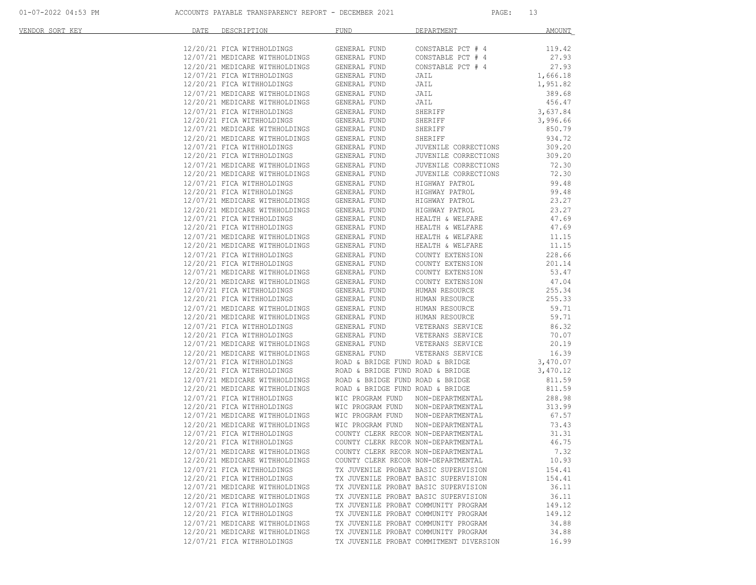| VENDOR SORT KEY | DATE | DESCRIPTION                                                      | <b>FUND</b>      | DEPARTMENT                              | <b>AMOUNT</b> |
|-----------------|------|------------------------------------------------------------------|------------------|-----------------------------------------|---------------|
|                 |      |                                                                  |                  |                                         |               |
|                 |      | 12/20/21 FICA WITHHOLDINGS<br>12/07/21 MEDICARE WITHHOLDINGS     | GENERAL FUND     | CONSTABLE PCT # 4                       | 119.42        |
|                 |      |                                                                  | GENERAL FUND     | CONSTABLE PCT # 4                       | 27.93         |
|                 |      | 12/20/21 MEDICARE WITHHOLDINGS<br>12/07/21 FICA WITHHOLDINGS     | GENERAL FUND     | CONSTABLE PCT # 4                       | 27.93         |
|                 |      | 12/07/21 FICA WITHHOLDINGS                                       | GENERAL FUND     | JAIL                                    | 1,666.18      |
|                 |      | 12/20/21 FICA WITHHOLDINGS                                       | GENERAL FUND     | JAIL                                    | 1,951.82      |
|                 |      | 12/07/21 MEDICARE WITHHOLDINGS                                   | GENERAL FUND     | JAIL                                    | 389.68        |
|                 |      | 12/20/21 MEDICARE WITHHOLDINGS                                   | GENERAL FUND     | JAIL                                    | 456.47        |
|                 |      | 12/07/21 FICA WITHHOLDINGS                                       | GENERAL FUND     | SHERIFF                                 | 3,637.84      |
|                 |      | 12/20/21 FICA WITHHOLDINGS                                       | GENERAL FUND     | SHERIFF                                 | 3,996.66      |
|                 |      | 12/07/21 MEDICARE WITHHOLDINGS<br>12/20/21 MEDICARE WITHHOLDINGS | GENERAL FUND     | SHERIFF                                 | 850.79        |
|                 |      |                                                                  | GENERAL FUND     | SHERIFF                                 | 934.72        |
|                 |      | 12/07/21 FICA WITHHOLDINGS                                       | GENERAL FUND     | JUVENILE CORRECTIONS                    | 309.20        |
|                 |      | 12/20/21 FICA WITHHOLDINGS                                       | GENERAL FUND     | JUVENILE CORRECTIONS                    | 309.20        |
|                 |      | 12/07/21 MEDICARE WITHHOLDINGS                                   | GENERAL FUND     | JUVENILE CORRECTIONS                    | 72.30         |
|                 |      |                                                                  | GENERAL FUND     | JUVENILE CORRECTIONS                    | 72.30         |
|                 |      | 12/20/21 MEDICARE WITHHOLDINGS<br>12/07/21 FICA WITHHOLDINGS     | GENERAL FUND     | HIGHWAY PATROL                          | 99.48         |
|                 |      | 12/20/21 FICA WITHHOLDINGS                                       | GENERAL FUND     | HIGHWAY PATROL                          | 99.48         |
|                 |      | 12/07/21 MEDICARE WITHHOLDINGS                                   | GENERAL FUND     | HIGHWAY PATROL                          | 23.27         |
|                 |      | 12/20/21 MEDICARE WITHHOLDINGS                                   | GENERAL FUND     | HIGHWAY PATROL                          | 23.27         |
|                 |      | 12/07/21 FICA WITHHOLDINGS                                       | GENERAL FUND     | HEALTH & WELFARE                        | 47.69         |
|                 |      | 12/20/21 FICA WITHHOLDINGS                                       | GENERAL FUND     | HEALTH & WELFARE                        | 47.69         |
|                 |      |                                                                  |                  |                                         | 11.15         |
|                 |      | 12/07/21 MEDICARE WITHHOLDINGS                                   | GENERAL FUND     | HEALTH & WELFARE<br>HEALTH & WELFARE    | 11.15         |
|                 |      | 12/20/21 MEDICARE WITHHOLDINGS                                   | GENERAL FUND     |                                         |               |
|                 |      | 12/07/21 FICA WITHHOLDINGS                                       | GENERAL FUND     | COUNTY EXTENSION                        | 228.66        |
|                 |      | 12/20/21 FICA WITHHOLDINGS                                       | GENERAL FUND     | COUNTY EXTENSION                        | 201.14        |
|                 |      | 12/07/21 MEDICARE WITHHOLDINGS<br>12/20/21 MEDICARE WITHHOLDINGS | GENERAL FUND     | COUNTY EXTENSION                        | 53.47         |
|                 |      |                                                                  | GENERAL FUND     | COUNTY EXTENSION                        | 47.04         |
|                 |      | 12/07/21 FICA WITHHOLDINGS                                       | GENERAL FUND     | HUMAN RESOURCE                          | 255.34        |
|                 |      | 12/20/21 FICA WITHHOLDINGS                                       | GENERAL FUND     | HUMAN RESOURCE                          | 255.33        |
|                 |      | 12/07/21 MEDICARE WITHHOLDINGS                                   | GENERAL FUND     | HUMAN RESOURCE                          | 59.71         |
|                 |      | 12/20/21 MEDICARE WITHHOLDINGS                                   | GENERAL FUND     | HUMAN RESOURCE                          | 59.71         |
|                 |      | 12/07/21 FICA WITHHOLDINGS                                       | GENERAL FUND     | VETERANS SERVICE                        | 86.32         |
|                 |      | 12/20/21 FICA WITHHOLDINGS                                       | GENERAL FUND     | VETERANS SERVICE<br>VETERANS SERVICE    | 70.07         |
|                 |      | 12/07/21 MEDICARE WITHHOLDINGS                                   | GENERAL FUND     |                                         | 20.19         |
|                 |      | $12/07/21$ FICA WITHHOLDINGS<br>12/07/21 FICA WITHHOLDINGS       | GENERAL FUND     | VETERANS SERVICE                        | 16.39         |
|                 |      |                                                                  |                  | ROAD & BRIDGE FUND ROAD & BRIDGE        | 3,470.07      |
|                 |      | 12/20/21 FICA WITHHOLDINGS                                       |                  | ROAD & BRIDGE FUND ROAD & BRIDGE        | 3,470.12      |
|                 |      | 12/07/21 MEDICARE WITHHOLDINGS                                   |                  | ROAD & BRIDGE FUND ROAD & BRIDGE        | 811.59        |
|                 |      | 12/20/21 MEDICARE WITHHOLDINGS                                   |                  | ROAD & BRIDGE FUND ROAD & BRIDGE        | 811.59        |
|                 |      | 12/07/21 FICA WITHHOLDINGS                                       | WIC PROGRAM FUND | NON-DEPARTMENTAL                        | 288.98        |
|                 |      | 12/20/21 FICA WITHHOLDINGS                                       | WIC PROGRAM FUND | NON-DEPARTMENTAL                        | 313.99        |
|                 |      |                                                                  | WIC PROGRAM FUND | NON-DEPARTMENTAL                        | 67.57         |
|                 |      | 12/07/21 MEDICARE WITHHOLDINGS<br>12/20/21 MEDICARE WITHHOLDINGS | WIC PROGRAM FUND | NON-DEPARTMENTAL                        | 73.43         |
|                 |      | 12/07/21 FICA WITHHOLDINGS                                       |                  | COUNTY CLERK RECOR NON-DEPARTMENTAL     | 31.31         |
|                 |      | 12/20/21 FICA WITHHOLDINGS                                       |                  | COUNTY CLERK RECOR NON-DEPARTMENTAL     | 46.75         |
|                 |      | 12/07/21 MEDICARE WITHHOLDINGS                                   |                  | COUNTY CLERK RECOR NON-DEPARTMENTAL     | 7.32          |
|                 |      | 12/20/21 MEDICARE WITHHOLDINGS                                   |                  | COUNTY CLERK RECOR NON-DEPARTMENTAL     | 10.93         |
|                 |      | 12/07/21 FICA WITHHOLDINGS                                       |                  | TX JUVENILE PROBAT BASIC SUPERVISION    | 154.41        |
|                 |      | 12/20/21 FICA WITHHOLDINGS                                       |                  | TX JUVENILE PROBAT BASIC SUPERVISION    | 154.41        |
|                 |      | 12/07/21 MEDICARE WITHHOLDINGS                                   |                  | TX JUVENILE PROBAT BASIC SUPERVISION    | 36.11         |
|                 |      | 12/20/21 MEDICARE WITHHOLDINGS                                   |                  | TX JUVENILE PROBAT BASIC SUPERVISION    | 36.11         |
|                 |      | 12/07/21 FICA WITHHOLDINGS                                       |                  | TX JUVENILE PROBAT COMMUNITY PROGRAM    | 149.12        |
|                 |      |                                                                  |                  | TX JUVENILE PROBAT COMMUNITY PROGRAM    |               |
|                 |      | 12/20/21 FICA WITHHOLDINGS                                       |                  |                                         | 149.12        |
|                 |      | 12/07/21 MEDICARE WITHHOLDINGS                                   |                  | TX JUVENILE PROBAT COMMUNITY PROGRAM    | 34.88         |
|                 |      | 12/20/21 MEDICARE WITHHOLDINGS                                   |                  | TX JUVENILE PROBAT COMMUNITY PROGRAM    | 34.88         |
|                 |      | 12/07/21 FICA WITHHOLDINGS                                       |                  | TX JUVENILE PROBAT COMMITMENT DIVERSION | 16.99         |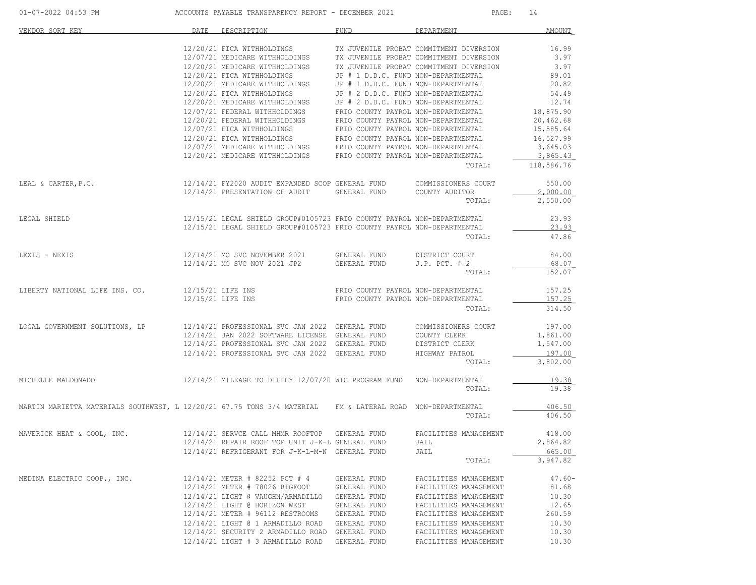|                                                                                                            | 01-07-2022 04:53 PM ACCOUNTS PAYABLE TRANSPARENCY REPORT - DECEMBER 2021 |                                                                                                                                                                                                                                                                                                                                                                                                                                                            |                              |                                                                            | PAGE:<br>14            |  |
|------------------------------------------------------------------------------------------------------------|--------------------------------------------------------------------------|------------------------------------------------------------------------------------------------------------------------------------------------------------------------------------------------------------------------------------------------------------------------------------------------------------------------------------------------------------------------------------------------------------------------------------------------------------|------------------------------|----------------------------------------------------------------------------|------------------------|--|
| VENDOR SORT KEY                                                                                            |                                                                          | DATE DESCRIPTION                                                                                                                                                                                                                                                                                                                                                                                                                                           | FUND                         | DEPARTMENT                                                                 | AMOUNT                 |  |
|                                                                                                            |                                                                          |                                                                                                                                                                                                                                                                                                                                                                                                                                                            |                              |                                                                            | 16.99                  |  |
|                                                                                                            |                                                                          | 12/20/21 FICA WITHHOLDINGS TX JUVENILE PROBAT COMMITMENT DIVERSION<br>12/07/21 MEDICARE WITHHOLDINGS TX JUVENILE PROBAT COMMITMENT DIVERSION                                                                                                                                                                                                                                                                                                               |                              |                                                                            | 3.97                   |  |
|                                                                                                            |                                                                          | $12/20/21$ MEDICARE WITHHOLDINGS TX JUVENILE PROBAT COMMITMENT DIVERSION $12/20/21$ FICA WITHHOLDINGS JP # 1 D.D.C. FUND NON-DEPARTMENTAL                                                                                                                                                                                                                                                                                                                  |                              |                                                                            | 3.97                   |  |
|                                                                                                            |                                                                          |                                                                                                                                                                                                                                                                                                                                                                                                                                                            |                              |                                                                            | 89.01                  |  |
|                                                                                                            |                                                                          | 12/20/21 MEDICARE WITHHOLDINGS JP # 1 D.D.C. FUND NON-DEPARTMENTAL<br>12/20/21 FICA WITHHOLDINGS JP # 2 D.D.C. FUND NON-DEPARTMENTAL                                                                                                                                                                                                                                                                                                                       |                              |                                                                            | 20.82                  |  |
|                                                                                                            |                                                                          | $12/20/21$ FICA WITHHOLDINGS JP # 2 D.D.C. FUND NON-DEPARTMENTAL<br>$12/20/21$ MEDICARE WITHHOLDINGS JP # 2 D.D.C. FUND NON-DEPARTMENTAL                                                                                                                                                                                                                                                                                                                   |                              |                                                                            | 54.49                  |  |
|                                                                                                            |                                                                          |                                                                                                                                                                                                                                                                                                                                                                                                                                                            |                              |                                                                            | 12.74                  |  |
|                                                                                                            |                                                                          | 12/07/21 FEDERAL WITHHOLDINGS FRIO COUNTY PAYROL NON-DEPARTMENTAL<br>12/20/21 FEDERAL WITHHOLDINGS FRIO COUNTY PAYROL NON-DEPARTMENTAL                                                                                                                                                                                                                                                                                                                     |                              |                                                                            | 18,875.90<br>20,462.68 |  |
|                                                                                                            |                                                                          |                                                                                                                                                                                                                                                                                                                                                                                                                                                            |                              |                                                                            | 15,585.64              |  |
|                                                                                                            |                                                                          | $12/07/21\begin{tabular}{lclclclcl} \multicolumn{2}{c}{\textbf{FICA}}&\multicolumn{2}{c}{\textbf{FICA}}&\multicolumn{2}{c}{\textbf{FRO}\begin{tabular}{lcl} \multicolumn{2}{c}{\textbf{CONTY}}&\multicolumn{2}{c}{\textbf{PAYROL}}&\multicolumn{2}{c}{\textbf{NON}-DEPARIMENITAL}\\ \multicolumn{2}{c}{\textbf{12/20/21}}&\multicolumn{2}{c}{\textbf{FICA}}&\multicolumn{2}{c}{\textbf{NITHHOLDINGS}}&\multicolumn{2}{c}{\textbf{FRO}\begin{tabular}{lcl}$ |                              |                                                                            | 16,527.99              |  |
|                                                                                                            |                                                                          |                                                                                                                                                                                                                                                                                                                                                                                                                                                            |                              |                                                                            | 3,645.03               |  |
|                                                                                                            |                                                                          |                                                                                                                                                                                                                                                                                                                                                                                                                                                            |                              |                                                                            | 3,865.43               |  |
|                                                                                                            |                                                                          |                                                                                                                                                                                                                                                                                                                                                                                                                                                            |                              |                                                                            | TOTAL: 118,586.76      |  |
| LEAL & CARTER, P.C. 12/14/21 FY2020 AUDIT EXPANDED SCOP GENERAL FUND COMMISSIONERS COURT                   |                                                                          |                                                                                                                                                                                                                                                                                                                                                                                                                                                            |                              |                                                                            | 550.00                 |  |
|                                                                                                            |                                                                          | 12/14/21 PRESENTATION OF AUDIT GENERAL FUND                                                                                                                                                                                                                                                                                                                                                                                                                |                              | COUNTY AUDITOR<br>TOTAL:                                                   | 2,000.00<br>2,550.00   |  |
|                                                                                                            |                                                                          |                                                                                                                                                                                                                                                                                                                                                                                                                                                            |                              |                                                                            |                        |  |
| LEGAL SHIELD                                                                                               |                                                                          | 12/15/21 LEGAL SHIELD GROUP#0105723 FRIO COUNTY PAYROL NON-DEPARTMENTAL<br>12/15/21 LEGAL SHIELD GROUP#0105723 FRIO COUNTY PAYROL NON-DEPARTMENTAL                                                                                                                                                                                                                                                                                                         |                              |                                                                            | 23.93<br>23.93         |  |
|                                                                                                            |                                                                          |                                                                                                                                                                                                                                                                                                                                                                                                                                                            |                              | TOTAL:                                                                     | 47.86                  |  |
| LEXIS - NEXIS                                                                                              |                                                                          |                                                                                                                                                                                                                                                                                                                                                                                                                                                            |                              |                                                                            | 84.00                  |  |
|                                                                                                            |                                                                          | $12/14/21$ MO SVC NOVEMBER 2021 GENERAL FUND DISTRICT COURT $12/14/21$ MO SVC NOV 2021 JP2 GENERAL FUND J.P. PCT. # 2                                                                                                                                                                                                                                                                                                                                      |                              |                                                                            | 68.07                  |  |
|                                                                                                            |                                                                          |                                                                                                                                                                                                                                                                                                                                                                                                                                                            |                              | TOTAL:                                                                     | 152.07                 |  |
| LIBERTY NATIONAL LIFE INS. CO. 12/15/21 LIFE INS                                                           |                                                                          |                                                                                                                                                                                                                                                                                                                                                                                                                                                            |                              | FRIO COUNTY PAYROL NON-DEPARTMENTAL<br>FRIO COUNTY PAYROL NON-DEPARTMENTAL | 157.25                 |  |
|                                                                                                            |                                                                          | 12/15/21 LIFE INS                                                                                                                                                                                                                                                                                                                                                                                                                                          |                              |                                                                            | 157.25                 |  |
|                                                                                                            |                                                                          |                                                                                                                                                                                                                                                                                                                                                                                                                                                            |                              | TOTAL:                                                                     | 314.50                 |  |
| LOCAL GOVERNMENT SOLUTIONS, LP                                                                             |                                                                          | 12/14/21 PROFESSIONAL SVC JAN 2022 GENERAL FUND COMMISSIONERS COURT                                                                                                                                                                                                                                                                                                                                                                                        |                              |                                                                            | 197.00                 |  |
|                                                                                                            |                                                                          | $12/14/21 \text{ JAN } 2022 \text{ SCFTWARE LICENSE} \text{ GENERAL FUND} \text{COUNTY CLERK} \\ 12/14/21 \text{ PROFESSIONAL SVC JAN } 2022 \text{ GENERAL FUND} \text{DISTRICT CLERK}$                                                                                                                                                                                                                                                                   |                              |                                                                            | 1,861.00               |  |
|                                                                                                            |                                                                          |                                                                                                                                                                                                                                                                                                                                                                                                                                                            |                              |                                                                            | 1,547.00               |  |
|                                                                                                            |                                                                          | 12/14/21 PROFESSIONAL SVC JAN 2022 GENERAL FUND                                                                                                                                                                                                                                                                                                                                                                                                            |                              | HIGHWAY PATROL                                                             | 197.00                 |  |
|                                                                                                            |                                                                          |                                                                                                                                                                                                                                                                                                                                                                                                                                                            |                              | TOTAL:                                                                     | 3,802.00               |  |
| MICHELLE MALDONADO                                                                                         |                                                                          | 12/14/21 MILEAGE TO DILLEY 12/07/20 WIC PROGRAM FUND NON-DEPARTMENTAL                                                                                                                                                                                                                                                                                                                                                                                      |                              |                                                                            | 19.38                  |  |
|                                                                                                            |                                                                          |                                                                                                                                                                                                                                                                                                                                                                                                                                                            |                              | TOTAL:                                                                     | 19.38                  |  |
| MARTIN MARIETTA MATERIALS SOUTHWEST, L 12/20/21 67.75 TONS 3/4 MATERIAL FM & LATERAL ROAD NON-DEPARTMENTAL |                                                                          |                                                                                                                                                                                                                                                                                                                                                                                                                                                            |                              |                                                                            | 406.50                 |  |
|                                                                                                            |                                                                          |                                                                                                                                                                                                                                                                                                                                                                                                                                                            |                              | TOTAL:                                                                     | 406.50                 |  |
| MAVERICK HEAT & COOL, INC.                                                                                 |                                                                          | 12/14/21 SERVCE CALL MHMR ROOFTOP                                                                                                                                                                                                                                                                                                                                                                                                                          | GENERAL FUND                 | FACILITIES MANAGEMENT                                                      | 418.00                 |  |
|                                                                                                            |                                                                          | 12/14/21 REPAIR ROOF TOP UNIT J-K-L GENERAL FUND                                                                                                                                                                                                                                                                                                                                                                                                           |                              | JAIL                                                                       | 2,864.82               |  |
|                                                                                                            |                                                                          | 12/14/21 REFRIGERANT FOR J-K-L-M-N GENERAL FUND                                                                                                                                                                                                                                                                                                                                                                                                            |                              | JAIL                                                                       | 665.00                 |  |
|                                                                                                            |                                                                          |                                                                                                                                                                                                                                                                                                                                                                                                                                                            |                              | TOTAL:                                                                     | 3,947.82               |  |
| MEDINA ELECTRIC COOP., INC.                                                                                |                                                                          | 12/14/21 METER # 82252 PCT # 4                                                                                                                                                                                                                                                                                                                                                                                                                             | GENERAL FUND                 | FACILITIES MANAGEMENT                                                      | $47.60 -$              |  |
|                                                                                                            |                                                                          | 12/14/21 METER # 78026 BIGFOOT                                                                                                                                                                                                                                                                                                                                                                                                                             | GENERAL FUND                 | FACILITIES MANAGEMENT                                                      | 81.68                  |  |
|                                                                                                            |                                                                          | 12/14/21 LIGHT @ VAUGHN/ARMADILLO                                                                                                                                                                                                                                                                                                                                                                                                                          | GENERAL FUND                 | FACILITIES MANAGEMENT                                                      | 10.30                  |  |
|                                                                                                            |                                                                          | 12/14/21 LIGHT @ HORIZON WEST                                                                                                                                                                                                                                                                                                                                                                                                                              | GENERAL FUND                 | FACILITIES MANAGEMENT                                                      | 12.65                  |  |
|                                                                                                            |                                                                          | 12/14/21 METER # 96112 RESTROOMS<br>12/14/21 LIGHT @ 1 ARMADILLO ROAD                                                                                                                                                                                                                                                                                                                                                                                      | GENERAL FUND<br>GENERAL FUND | FACILITIES MANAGEMENT                                                      | 260.59<br>10.30        |  |
|                                                                                                            |                                                                          | 12/14/21 SECURITY 2 ARMADILLO ROAD                                                                                                                                                                                                                                                                                                                                                                                                                         | GENERAL FUND                 | FACILITIES MANAGEMENT<br>FACILITIES MANAGEMENT                             | 10.30                  |  |
|                                                                                                            |                                                                          | $12/14/21$ LIGHT # 3 ARMADILLO ROAD                                                                                                                                                                                                                                                                                                                                                                                                                        | GENERAL FUND                 | FACILITIES MANAGEMENT                                                      | 10.30                  |  |
|                                                                                                            |                                                                          |                                                                                                                                                                                                                                                                                                                                                                                                                                                            |                              |                                                                            |                        |  |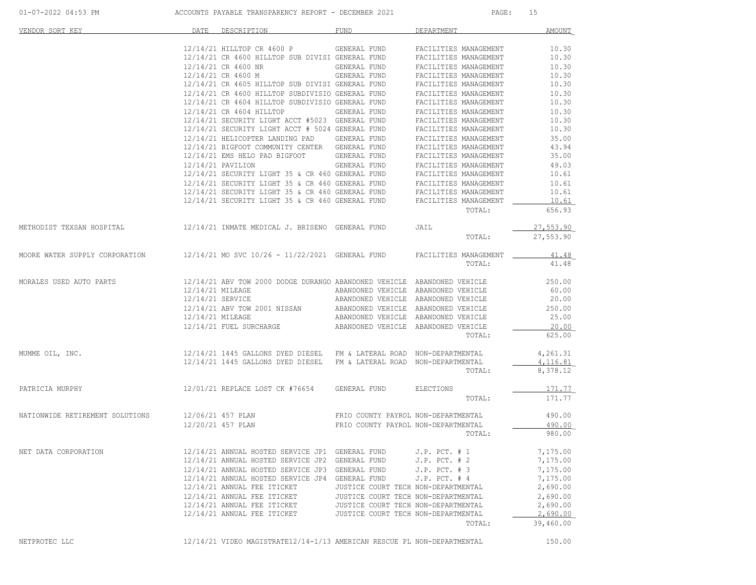| VENDOR SORT KEY                                                                       | DATE | DESCRIPTION                                                                                                                                                                                                                                                                                                                                                                                  | FUND                                | DEPARTMENT                                                                 | <b>AMOUNT</b> |
|---------------------------------------------------------------------------------------|------|----------------------------------------------------------------------------------------------------------------------------------------------------------------------------------------------------------------------------------------------------------------------------------------------------------------------------------------------------------------------------------------------|-------------------------------------|----------------------------------------------------------------------------|---------------|
|                                                                                       |      | 12/14/21 HILLTOP CR 4600 P GENERAL FUND FACILITIES MANAGEMENT                                                                                                                                                                                                                                                                                                                                |                                     |                                                                            | 10.30         |
|                                                                                       |      | 12/14/21 CR 4600 HILLTOP SUB DIVISI GENERAL FUND                                                                                                                                                                                                                                                                                                                                             |                                     | FACILITIES MANAGEMENT                                                      | 10.30         |
|                                                                                       |      | 12/14/21 CR 4600 NR                                                                                                                                                                                                                                                                                                                                                                          | GENERAL FUND                        | FACILITIES MANAGEMENT                                                      | 10.30         |
|                                                                                       |      | 12/14/21 CR 4600 M                                                                                                                                                                                                                                                                                                                                                                           | GENERAL FUND<br>TT CENERAL FUND     | FACILITIES MANAGEMENT                                                      | 10.30         |
|                                                                                       |      | 12/14/21 CR 4605 HILLTOP SUB DIVISI GENERAL FUND                                                                                                                                                                                                                                                                                                                                             |                                     | FACILITIES MANAGEMENT                                                      | 10.30         |
|                                                                                       |      | 12/14/21 CR 4600 HILLTOP SUBDIVISIO GENERAL FUND<br>12/14/21 CR 4600 HILLTOP SUBDIVISIO GENERAL FUND                                                                                                                                                                                                                                                                                         |                                     | FACILITIES MANAGEMENT                                                      | 10.30         |
|                                                                                       |      | 12/14/21 CR 4604 HILLTOP SUBDIVISIO GENERAL FUND                                                                                                                                                                                                                                                                                                                                             |                                     | FACILITIES MANAGEMENT                                                      | 10.30         |
|                                                                                       |      | 12/14/21 CR 4604 HILLTOP                                                                                                                                                                                                                                                                                                                                                                     | GENERAL FUND                        | FACILITIES MANAGEMENT                                                      | 10.30         |
|                                                                                       |      | 12/14/21 SECURITY LIGHT ACCT #5023 GENERAL FUND                                                                                                                                                                                                                                                                                                                                              |                                     | FACILITIES MANAGEMENT                                                      | 10.30         |
|                                                                                       |      | 12/14/21 SECURITY LIGHT ACCT # 5024 GENERAL FUND                                                                                                                                                                                                                                                                                                                                             |                                     | FACILITIES MANAGEMENT                                                      | 10.30         |
|                                                                                       |      | 12/14/21 HELICOPTER LANDING PAD GENERAL FUND                                                                                                                                                                                                                                                                                                                                                 |                                     | FACILITIES MANAGEMENT                                                      | 35.00         |
|                                                                                       |      | 12/14/21 BIGFOOT COMMUNITY CENTER GENERAL FUND                                                                                                                                                                                                                                                                                                                                               |                                     | FACILITIES MANAGEMENT                                                      | 43.94         |
|                                                                                       |      | 12/14/21 EMS HELO PAD BIGFOOT GENERAL FUND                                                                                                                                                                                                                                                                                                                                                   |                                     | FACILITIES MANAGEMENT                                                      | 35.00         |
|                                                                                       |      | 12/14/21 PAVILION                                                                                                                                                                                                                                                                                                                                                                            | GENERAL FUND                        | FACILITIES MANAGEMENT                                                      | 49.03         |
|                                                                                       |      |                                                                                                                                                                                                                                                                                                                                                                                              |                                     |                                                                            | 10.61         |
|                                                                                       |      | 12/14/21 SECURITY LIGHT 35 & CR 460 GENERAL FUND FACILITIES MANAGEMENT<br>12/14/21 SECURITY LIGHT 35 & CR 460 GENERAL FUND FACILITIES MANAGEMENT<br>12/14/21 SECURITY LIGHT 35 & CR 460 GENERAL FUND FACILITIES MANAGEMENT<br>12/14/21                                                                                                                                                       |                                     |                                                                            | 10.61         |
|                                                                                       |      |                                                                                                                                                                                                                                                                                                                                                                                              |                                     |                                                                            | 10.61         |
|                                                                                       |      |                                                                                                                                                                                                                                                                                                                                                                                              |                                     |                                                                            | 10.61         |
|                                                                                       |      |                                                                                                                                                                                                                                                                                                                                                                                              |                                     | TOTAL:                                                                     | 656.93        |
|                                                                                       |      |                                                                                                                                                                                                                                                                                                                                                                                              |                                     | JAIL                                                                       | 27,553.90     |
|                                                                                       |      |                                                                                                                                                                                                                                                                                                                                                                                              |                                     | TOTAL:                                                                     | 27,553.90     |
| MOORE WATER SUPPLY CORPORATION $12/14/21$ MO SVC $10/26 - 11/22/2021$ GENERAL FUND    |      |                                                                                                                                                                                                                                                                                                                                                                                              |                                     | FACILITIES MANAGEMENT                                                      | <u>41.48</u>  |
|                                                                                       |      |                                                                                                                                                                                                                                                                                                                                                                                              |                                     | TOTAL:                                                                     | 41.48         |
| MORALES USED AUTO PARTS                                                               |      | 12/14/21 ABV TOW 2000 DODGE DURANGO ABANDONED VEHICLE ABANDONED VEHICLE                                                                                                                                                                                                                                                                                                                      |                                     |                                                                            | 250.00        |
|                                                                                       |      | 12/14/21 MILEAGE                                                                                                                                                                                                                                                                                                                                                                             |                                     | ABANDONED VEHICLE ABANDONED VEHICLE                                        | 60.00         |
|                                                                                       |      | 12/14/21 SERVICE                                                                                                                                                                                                                                                                                                                                                                             |                                     |                                                                            | 20.00         |
|                                                                                       |      | 12/14/21 ABV TOW 2001 NISSAN                                                                                                                                                                                                                                                                                                                                                                 |                                     | ABANDONED VEHICLE ABANDONED VEHICLE<br>ABANDONED VEHICLE ABANDONED VEHICLE | 250.00        |
|                                                                                       |      |                                                                                                                                                                                                                                                                                                                                                                                              |                                     |                                                                            | 25.00         |
|                                                                                       |      | $12/14/21 \hspace{0.1cm} \texttt{MLEAGE} \hspace{1.5cm} \texttt{ABANDONED} \hspace{0.1cm} \texttt{VEHICLE} \hspace{0.1cm} \texttt{ABANDONED} \hspace{0.1cm} \texttt{VEHICLE} \\ 12/14/21 \hspace{0.1cm} \texttt{FUEL} \hspace{0.1cm} \texttt{SURCHARGE} \hspace{1.5cm} \texttt{ABANDONED} \hspace{0.1cm} \texttt{VEHICLE} \hspace{0.1cm} \texttt{ABANDONED} \hspace{0.1cm} \texttt{VEHICLE}$ |                                     |                                                                            | 20.00         |
|                                                                                       |      |                                                                                                                                                                                                                                                                                                                                                                                              |                                     | TOTAL:                                                                     | 625.00        |
| MUMME OIL, INC.                                                                       |      | 12/14/21 1445 GALLONS DYED DIESEL FM & LATERAL ROAD NON-DEPARTMENTAL                                                                                                                                                                                                                                                                                                                         |                                     |                                                                            | 4,261.31      |
|                                                                                       |      | 12/14/21 1445 GALLONS DYED DIESEL FM & LATERAL ROAD NON-DEPARTMENTAL                                                                                                                                                                                                                                                                                                                         |                                     |                                                                            | 4, 116.81     |
|                                                                                       |      |                                                                                                                                                                                                                                                                                                                                                                                              |                                     | TOTAL:                                                                     | 8,378.12      |
| PATRICIA MURPHY                                                                       |      | 12/01/21 REPLACE LOST CK #76654 GENERAL FUND                                                                                                                                                                                                                                                                                                                                                 |                                     | ELECTIONS                                                                  | 171.77        |
|                                                                                       |      |                                                                                                                                                                                                                                                                                                                                                                                              |                                     | TOTAL:                                                                     | 171.77        |
| NATIONWIDE RETIREMENT SOLUTIONS 12/06/21 457 PLAN TRIO COUNTY PAYROL NON-DEPARTMENTAL |      |                                                                                                                                                                                                                                                                                                                                                                                              |                                     |                                                                            | 490.00        |
|                                                                                       |      | 12/20/21 457 PLAN                                                                                                                                                                                                                                                                                                                                                                            |                                     | FRIO COUNTY PAYROL NON-DEPARTMENTAL                                        | 490.00        |
|                                                                                       |      |                                                                                                                                                                                                                                                                                                                                                                                              |                                     | TOTAL:                                                                     | 980.00        |
| NET DATA CORPORATION                                                                  |      | 12/14/21 ANNUAL HOSTED SERVICE JP1 GENERAL FUND J.P. PCT. # 1                                                                                                                                                                                                                                                                                                                                |                                     |                                                                            | 7,175.00      |
|                                                                                       |      | 12/14/21 ANNUAL HOSTED SERVICE JP2 GENERAL FUND                                                                                                                                                                                                                                                                                                                                              |                                     | $J.P.$ PCT. $# 2$                                                          | 7,175.00      |
|                                                                                       |      | 12/14/21 ANNUAL HOSTED SERVICE JP3 GENERAL FUND                                                                                                                                                                                                                                                                                                                                              |                                     | $J.P.$ PCT. $# 3$                                                          | 7,175.00      |
|                                                                                       |      | 12/14/21 ANNUAL HOSTED SERVICE JP4 GENERAL FUND                                                                                                                                                                                                                                                                                                                                              |                                     | $J.P.$ PCT. $#4$                                                           | 7,175.00      |
|                                                                                       |      | 12/14/21 ANNUAL FEE ITICKET                                                                                                                                                                                                                                                                                                                                                                  | JUSTICE COURT TECH NON-DEPARTMENTAL |                                                                            | 2,690.00      |
|                                                                                       |      | 12/14/21 ANNUAL FEE ITICKET                                                                                                                                                                                                                                                                                                                                                                  | JUSTICE COURT TECH NON-DEPARTMENTAL |                                                                            | 2,690.00      |
|                                                                                       |      | 12/14/21 ANNUAL FEE ITICKET                                                                                                                                                                                                                                                                                                                                                                  | JUSTICE COURT TECH NON-DEPARTMENTAL |                                                                            | 2,690.00      |
|                                                                                       |      | 12/14/21 ANNUAL FEE ITICKET                                                                                                                                                                                                                                                                                                                                                                  | JUSTICE COURT TECH NON-DEPARTMENTAL |                                                                            | 2,690.00      |
|                                                                                       |      |                                                                                                                                                                                                                                                                                                                                                                                              |                                     | TOTAL:                                                                     | 39,460.00     |
| NETPROTEC LLC                                                                         |      | 12/14/21 VIDEO MAGISTRATE12/14-1/13 AMERICAN RESCUE PL NON-DEPARTMENTAL                                                                                                                                                                                                                                                                                                                      |                                     |                                                                            | 150.00        |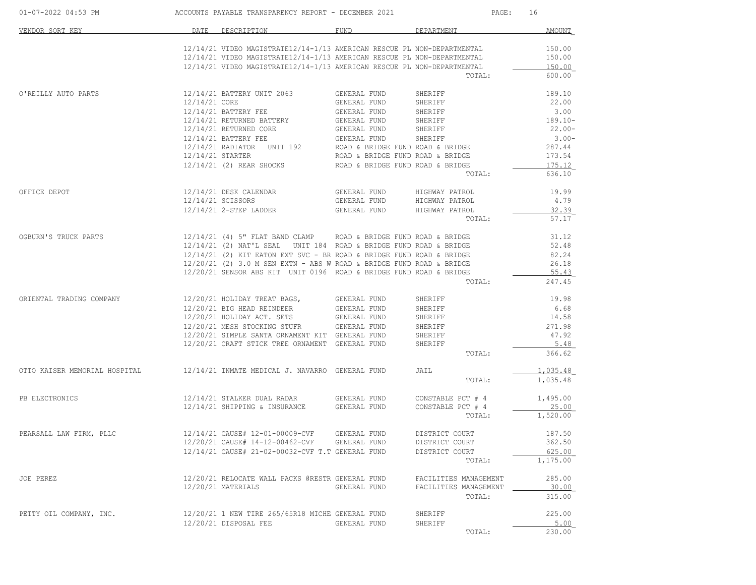| 01-07-2022 04:53 PM           | ACCOUNTS PAYABLE TRANSPARENCY REPORT - DECEMBER 2021 |                                                                         |                                  | PAGE:<br>16           |                 |  |
|-------------------------------|------------------------------------------------------|-------------------------------------------------------------------------|----------------------------------|-----------------------|-----------------|--|
| VENDOR SORT KEY               |                                                      | DATE DESCRIPTION                                                        | FUND                             | DEPARTMENT            | AMOUNT          |  |
|                               |                                                      | 12/14/21 VIDEO MAGISTRATE12/14-1/13 AMERICAN RESCUE PL NON-DEPARTMENTAL |                                  |                       | 150.00          |  |
|                               |                                                      | 12/14/21 VIDEO MAGISTRATE12/14-1/13 AMERICAN RESCUE PL NON-DEPARTMENTAL |                                  |                       | 150.00          |  |
|                               |                                                      | 12/14/21 VIDEO MAGISTRATE12/14-1/13 AMERICAN RESCUE PL NON-DEPARTMENTAL |                                  |                       | 150.00          |  |
|                               |                                                      |                                                                         |                                  | TOTAL:                | 600.00          |  |
| O'REILLY AUTO PARTS           |                                                      | 12/14/21 BATTERY UNIT 2063                                              | GENERAL FUND                     | SHERIFF               | 189.10          |  |
|                               | 12/14/21 CORE                                        |                                                                         | GENERAL FUND                     | SHERIFF               | 22.00           |  |
|                               |                                                      | 12/14/21 BATTERY FEE                                                    | GENERAL FUND                     | SHERIFF               | 3.00            |  |
|                               |                                                      | 12/14/21 RETURNED BATTERY                                               | GENERAL FUND                     | SHERIFF               | $189.10 -$      |  |
|                               |                                                      | 12/14/21 RETURNED CORE                                                  | GENERAL FUND                     | SHERIFF               | $22.00-$        |  |
|                               |                                                      | 12/14/21 BATTERY FEE<br>12/14/21 RADIATOR UNIT 192<br>12/14/21 STARTER  | GENERAL FUND                     | SHERIFF               | $3.00-$         |  |
|                               |                                                      |                                                                         | ROAD & BRIDGE FUND ROAD & BRIDGE |                       | 287.44          |  |
|                               |                                                      |                                                                         | ROAD & BRIDGE FUND ROAD & BRIDGE |                       | 173.54          |  |
|                               |                                                      | 12/14/21 (2) REAR SHOCKS                                                | ROAD & BRIDGE FUND ROAD & BRIDGE |                       | 175.12          |  |
|                               |                                                      |                                                                         |                                  | TOTAL:                | 636.10          |  |
| OFFICE DEPOT                  |                                                      | 12/14/21 DESK CALENDAR                                                  | GENERAL FUND                     | HIGHWAY PATROL        | 19.99           |  |
|                               |                                                      | 12/14/21 SCISSORS                                                       | GENERAL FUND                     | HIGHWAY PATROL        | 4.79            |  |
|                               |                                                      | 12/14/21 2-STEP LADDER                                                  | GENERAL FUND                     | HIGHWAY PATROL        | 32.39           |  |
|                               |                                                      |                                                                         |                                  | TOTAL:                | 57.17           |  |
| OGBURN'S TRUCK PARTS          |                                                      | 12/14/21 (4) 5" FLAT BAND CLAMP                                         | ROAD & BRIDGE FUND ROAD & BRIDGE |                       | 31.12           |  |
|                               |                                                      | 12/14/21 (2) NAT'L SEAL UNIT 184 ROAD & BRIDGE FUND ROAD & BRIDGE       |                                  |                       | 52.48           |  |
|                               |                                                      | $12/14/21$ (2) KIT EATON EXT SVC - BR ROAD & BRIDGE FUND ROAD & BRIDGE  |                                  |                       | 82.24           |  |
|                               |                                                      | $12/20/21$ (2) 3.0 M SEN EXTN - ABS W ROAD & BRIDGE FUND ROAD & BRIDGE  |                                  |                       | 26.18           |  |
|                               |                                                      | 12/20/21 SENSOR ABS KIT UNIT 0196 ROAD & BRIDGE FUND ROAD & BRIDGE      |                                  |                       | 55.43           |  |
|                               |                                                      |                                                                         |                                  | TOTAL:                | 247.45          |  |
| ORIENTAL TRADING COMPANY      |                                                      | 12/20/21 HOLIDAY TREAT BAGS,                                            | GENERAL FUND                     | SHERIFF               | 19.98           |  |
|                               |                                                      | 12/20/21 BIG HEAD REINDEER                                              | GENERAL FUND                     | SHERIFF               | 6.68            |  |
|                               |                                                      | 12/20/21 HOLIDAY ACT. SETS                                              | GENERAL FUND                     | SHERIFF               | 14.58           |  |
|                               |                                                      | 12/20/21 MESH STOCKING STUFR                                            | GENERAL FUND                     | SHERIFF               | 271.98          |  |
|                               |                                                      | 12/20/21 SIMPLE SANTA ORNAMENT KIT GENERAL FUND                         |                                  | SHERIFF               | 47.92           |  |
|                               |                                                      | 12/20/21 CRAFT STICK TREE ORNAMENT GENERAL FUND                         |                                  | SHERIFF               | 5.48            |  |
|                               |                                                      |                                                                         |                                  | TOTAL:                | 366.62          |  |
| OTTO KAISER MEMORIAL HOSPITAL |                                                      | 12/14/21 INMATE MEDICAL J. NAVARRO GENERAL FUND                         |                                  | JAIL                  | <u>1,035.48</u> |  |
|                               |                                                      |                                                                         |                                  | TOTAL:                | 1,035.48        |  |
| PB ELECTRONICS                |                                                      | 12/14/21 STALKER DUAL RADAR                                             | GENERAL FUND                     | CONSTABLE PCT # 4     | 1,495.00        |  |
|                               |                                                      | 12/14/21 SHIPPING & INSURANCE                                           | GENERAL FUND                     | CONSTABLE PCT # 4     | 25.00           |  |
|                               |                                                      |                                                                         |                                  | TOTAL:                | 1,520.00        |  |
| PEARSALL LAW FIRM, PLLC       |                                                      | 12/14/21 CAUSE# 12-01-00009-CVF                                         | GENERAL FUND                     | DISTRICT COURT        | 187.50          |  |
|                               |                                                      | 12/20/21 CAUSE# 14-12-00462-CVF                                         | GENERAL FUND                     | DISTRICT COURT        | 362.50          |  |
|                               |                                                      | 12/14/21 CAUSE# 21-02-00032-CVF T.T GENERAL FUND                        |                                  | DISTRICT COURT        | 625.00          |  |
|                               |                                                      |                                                                         |                                  | TOTAL:                | 1,175.00        |  |
| JOE PEREZ                     |                                                      | 12/20/21 RELOCATE WALL PACKS @RESTR GENERAL FUND                        |                                  | FACILITIES MANAGEMENT | 285.00          |  |
|                               |                                                      | 12/20/21 MATERIALS                                                      | GENERAL FUND                     | FACILITIES MANAGEMENT | 30.00           |  |
|                               |                                                      |                                                                         |                                  | TOTAL:                | 315.00          |  |
| PETTY OIL COMPANY, INC.       |                                                      | 12/20/21 1 NEW TIRE 265/65R18 MICHE GENERAL FUND                        |                                  | SHERIFF               | 225.00          |  |
|                               |                                                      | 12/20/21 DISPOSAL FEE                                                   | GENERAL FUND                     | SHERIFF               | 5.00            |  |
|                               |                                                      |                                                                         |                                  | TOTAL:                | 230.00          |  |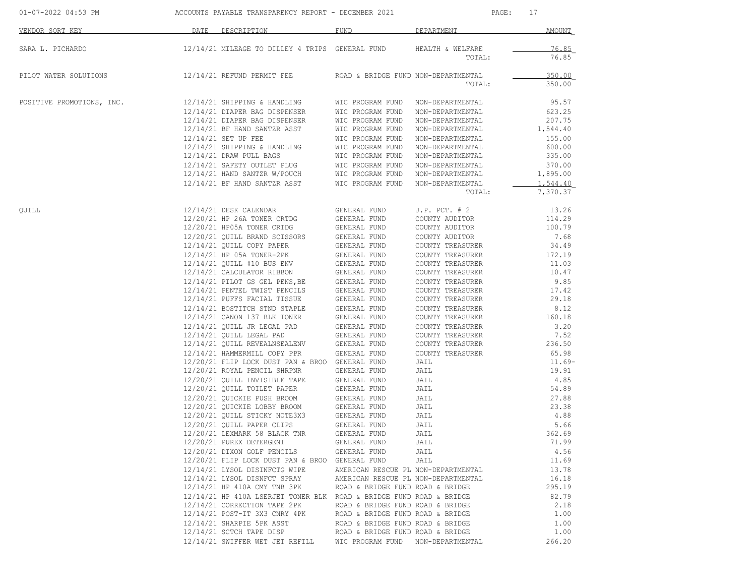|                                                                                                                                                                                                                                                                                                                                                                                                                                                                                                                                                                                                                                                                                                                                                                                                                                                                                                                                                                                                         |                                                                                                                                                                                                                                                                                                                                                                                                                                              | PAGE:<br>17                                                                                                                                                                                                                                                                                                                                                                                                                                 |                                                                                                                                                                                                                                                                                                                                                                                                                                                                                                                                                                                                                                                                                                                                                       |  |
|---------------------------------------------------------------------------------------------------------------------------------------------------------------------------------------------------------------------------------------------------------------------------------------------------------------------------------------------------------------------------------------------------------------------------------------------------------------------------------------------------------------------------------------------------------------------------------------------------------------------------------------------------------------------------------------------------------------------------------------------------------------------------------------------------------------------------------------------------------------------------------------------------------------------------------------------------------------------------------------------------------|----------------------------------------------------------------------------------------------------------------------------------------------------------------------------------------------------------------------------------------------------------------------------------------------------------------------------------------------------------------------------------------------------------------------------------------------|---------------------------------------------------------------------------------------------------------------------------------------------------------------------------------------------------------------------------------------------------------------------------------------------------------------------------------------------------------------------------------------------------------------------------------------------|-------------------------------------------------------------------------------------------------------------------------------------------------------------------------------------------------------------------------------------------------------------------------------------------------------------------------------------------------------------------------------------------------------------------------------------------------------------------------------------------------------------------------------------------------------------------------------------------------------------------------------------------------------------------------------------------------------------------------------------------------------|--|
| DATE DESCRIPTION                                                                                                                                                                                                                                                                                                                                                                                                                                                                                                                                                                                                                                                                                                                                                                                                                                                                                                                                                                                        | FUND                                                                                                                                                                                                                                                                                                                                                                                                                                         |                                                                                                                                                                                                                                                                                                                                                                                                                                             | AMOUNT                                                                                                                                                                                                                                                                                                                                                                                                                                                                                                                                                                                                                                                                                                                                                |  |
|                                                                                                                                                                                                                                                                                                                                                                                                                                                                                                                                                                                                                                                                                                                                                                                                                                                                                                                                                                                                         |                                                                                                                                                                                                                                                                                                                                                                                                                                              | TOTAL:                                                                                                                                                                                                                                                                                                                                                                                                                                      | <u>76.85</u><br>76.85                                                                                                                                                                                                                                                                                                                                                                                                                                                                                                                                                                                                                                                                                                                                 |  |
| 12/14/21 REFUND PERMIT FEE                                                                                                                                                                                                                                                                                                                                                                                                                                                                                                                                                                                                                                                                                                                                                                                                                                                                                                                                                                              |                                                                                                                                                                                                                                                                                                                                                                                                                                              | TOTAL:                                                                                                                                                                                                                                                                                                                                                                                                                                      | 350.00<br>350.00                                                                                                                                                                                                                                                                                                                                                                                                                                                                                                                                                                                                                                                                                                                                      |  |
| 12/14/21 DIAPER BAG DISPENSER<br>12/14/21 BF HAND SANTZR ASST<br>12/14/21 SET UP FEE<br>12/14/21 SHIPPING & HANDLING<br>12/14/21 DRAW PULL BAGS                                                                                                                                                                                                                                                                                                                                                                                                                                                                                                                                                                                                                                                                                                                                                                                                                                                         | WIC PROGRAM FUND<br>WIC PROGRAM FUND<br>WIC PROGRAM FUND<br>WIC PROGRAM FUND<br>WIC PROGRAM FUND<br>WIC PROGRAM FUND<br>WIC PROGRAM FUND                                                                                                                                                                                                                                                                                                     | TOTAL:                                                                                                                                                                                                                                                                                                                                                                                                                                      | 95.57<br>623.25<br>207.75<br>1,544.40<br>155.00<br>600.00<br>335.00<br>370.00<br>1,895.00<br>1,544.40<br>7,370.37                                                                                                                                                                                                                                                                                                                                                                                                                                                                                                                                                                                                                                     |  |
| 12/14/21 DESK CALENDAR<br>12/20/21 HP 26A TONER CRTDG<br>12/20/21 HP05A TONER CRTDG<br>12/20/21 QUILL BRAND SCISSORS<br>12/14/21 QUILL COPY PAPER<br>12/14/21 HP 05A TONER-2PK<br>12/14/21 QUILL #10 BUS ENV<br>12/14/21 CALCULATOR RIBBON<br>12/14/21 PILOT GS GEL PENS, BE<br>12/14/21 PENTEL TWIST PENCILS<br>12/14/21 PUFFS FACIAL TISSUE<br>12/14/21 BOSTITCH STND STAPLE<br>12/14/21 CANON 137 BLK TONER<br>12/14/21 QUILL JR LEGAL PAD<br>12/14/21 QUILL LEGAL PAD<br>12/14/21 QUILL REVEALNSEALENV<br>12/14/21 HAMMERMILL COPY PPR<br>12/20/21 ROYAL PENCIL SHRPNR<br>12/20/21 QUILL INVISIBLE TAPE<br>12/20/21 QUILL TOILET PAPER<br>12/20/21 QUICKIE LOBBY BROOM<br>12/20/21 QUILL STICKY NOTE3X3<br>12/20/21 QUILL PAPER CLIPS<br>12/20/21 LEXMARK 58 BLACK TNR<br>12/20/21 PUREX DETERGENT<br>12/20/21 DIXON GOLF PENCILS<br>12/14/21 LYSOL DISINFCTG WIPE<br>12/14/21 LYSOL DISNFCT SPRAY<br>12/14/21 HP 410A CMY TNB 3PK<br>12/14/21 CORRECTION TAPE 2PK<br>12/14/21 POST-IT 3X3 CNRY 4PK | GENERAL FUND<br>GENERAL FUND<br>GENERAL FUND<br>GENERAL FUND<br>GENERAL FUND<br>GENERAL FUND<br>GENERAL FUND<br>GENERAL FUND<br>GENERAL FUND<br>GENERAL FUND<br>GENERAL FUND<br>GENERAL FUND<br>GENERAL FUND<br>GENERAL FUND<br>GENERAL FUND<br>GENERAL FUND<br>GENERAL FUND<br>GENERAL FUND<br>GENERAL FUND<br>GENERAL FUND<br>GENERAL FUND<br>GENERAL FUND<br>GENERAL FUND<br>GENERAL FUND<br>GENERAL FUND<br>GENERAL FUND<br>GENERAL FUND | $J.P.$ PCT. $# 2$<br>COUNTY AUDITOR<br>COUNTY AUDITOR<br>COUNTY AUDITOR<br>COUNTY TREASURER<br>COUNTY TREASURER<br>COUNTY TREASURER<br>COUNTY TREASURER<br>COUNTY TREASURER<br>COUNTY TREASURER<br>COUNTY TREASURER<br>COUNTY TREASURER<br>COUNTY TREASURER<br>COUNTY TREASURER<br>COUNTY TREASURER<br>COUNTY TREASURER<br>COUNTY TREASURER<br>JAIL<br>JAIL<br>JAIL<br>JAIL<br>JAIL<br>JAIL<br>JAIL<br>JAIL<br>JAIL<br>JAIL<br>JAIL<br>JAIL | 13.26<br>114.29<br>100.79<br>7.68<br>34.49<br>172.19<br>11.03<br>10.47<br>9.85<br>17.42<br>29.18<br>8.12<br>160.18<br>3.20<br>7.52<br>236.50<br>65.98<br>$11.69-$<br>19.91<br>4.85<br>54.89<br>27.88<br>23.38<br>4.88<br>5.66<br>362.69<br>71.99<br>4.56<br>11.69<br>13.78<br>16.18<br>295.19<br>82.79<br>2.18<br>1.00<br>1.00                                                                                                                                                                                                                                                                                                                                                                                                                        |  |
|                                                                                                                                                                                                                                                                                                                                                                                                                                                                                                                                                                                                                                                                                                                                                                                                                                                                                                                                                                                                         | 12/14/21 SHARPIE 5PK ASST<br>12/14/21 SCTCH TAPE DISP<br>12/14/21 SWIFFER WET JET REFILL                                                                                                                                                                                                                                                                                                                                                     | 12/14/21 MILEAGE TO DILLEY 4 TRIPS GENERAL FUND<br>12/14/21 SHIPPING & HANDLING<br>12/14/21 DIAPER BAG DISPENSER<br>12/14/21 DIAPER BAG DISPENSER<br>12/14/21 SAFETY OUTLET PLUG<br>12/14/21 HAND SANTZR W/POUCH<br>12/14/21 BF HAND SANTZR ASST<br>12/20/21 FLIP LOCK DUST PAN & BROO GENERAL FUND<br>12/20/21 QUICKIE PUSH BROOM<br>12/20/21 QUICKIE PUSH BROOM<br>12/20/21 FLIP LOCK DUST PAN & BROO GENERAL FUND<br>WIC PROGRAM FUND    | ACCOUNTS PAYABLE TRANSPARENCY REPORT - DECEMBER 2021<br>DEPARTMENT<br>HEALTH & WELFARE<br>ROAD & BRIDGE FUND NON-DEPARTMENTAL<br>WIC PROGRAM FUND NON-DEPARTMENTAL<br>NON-DEPARTMENTAL<br>NON-DEPARTMENTAL<br>NON-DEPARTMENTAL<br>NON-DEPARTMENTAL<br>NON-DEPARTMENTAL<br>NON-DEPARTMENTAL<br>WIC PROGRAM FUND NON-DEPARTMENTAL<br>NON-DEPARTMENTAL<br>WIC PROGRAM FUND NON-DEPARTMENTAL<br>AMERICAN RESCUE PL NON-DEPARTMENTAL<br>AMERICAN RESCUE PL NON-DEPARTMENTAL<br>ROAD & BRIDGE FUND ROAD & BRIDGE<br>12/14/21 HP 410A LSERJET TONER BLK ROAD & BRIDGE FUND ROAD & BRIDGE<br>ROAD & BRIDGE FUND ROAD & BRIDGE<br>ROAD & BRIDGE FUND ROAD & BRIDGE<br>ROAD & BRIDGE FUND ROAD & BRIDGE<br>ROAD & BRIDGE FUND ROAD & BRIDGE<br>NON-DEPARTMENTAL |  |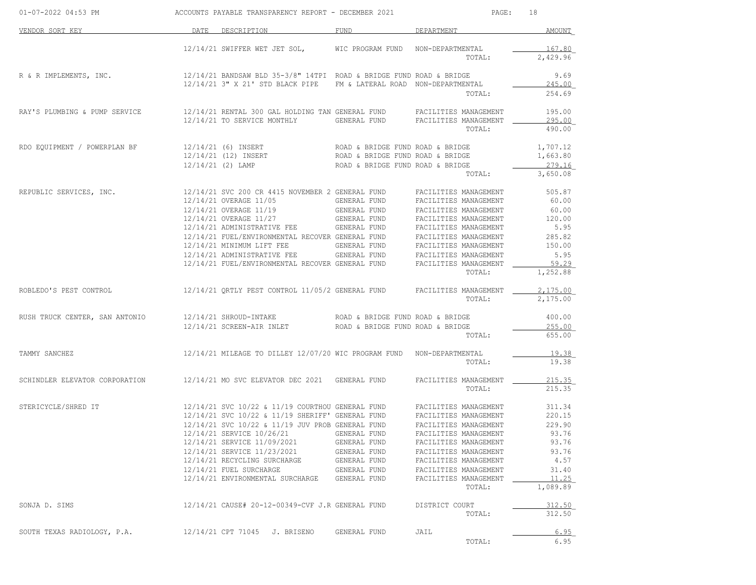| 01-07-2022 04:53 PM            | ACCOUNTS PAYABLE TRANSPARENCY REPORT - DECEMBER 2021                                                                                                                                                                                      |                                            |                                                                                 | 18<br>PAGE:      |  |  |
|--------------------------------|-------------------------------------------------------------------------------------------------------------------------------------------------------------------------------------------------------------------------------------------|--------------------------------------------|---------------------------------------------------------------------------------|------------------|--|--|
| VENDOR SORT KEY                | DATE DESCRIPTION                                                                                                                                                                                                                          | FUND                                       | DEPARTMENT                                                                      | AMOUNT           |  |  |
|                                | 12/14/21 SWIFFER WET JET SOL, WIC PROGRAM FUND NON-DEPARTMENTAL                                                                                                                                                                           |                                            |                                                                                 | 167.80           |  |  |
|                                |                                                                                                                                                                                                                                           |                                            | TOTAL:                                                                          | 2,429.96         |  |  |
| R & R IMPLEMENTS, INC.         | $12/14/21$ BANDSAW BLD 35-3/8" 14TPI ROAD & BRIDGE FUND ROAD & BRIDGE                                                                                                                                                                     |                                            |                                                                                 | 9.69             |  |  |
|                                | 12/14/21 3" X 21' STD BLACK PIPE                                                                                                                                                                                                          |                                            | FM & LATERAL ROAD NON-DEPARTMENTAL                                              | 245.00           |  |  |
|                                |                                                                                                                                                                                                                                           |                                            | TOTAL:                                                                          | 254.69           |  |  |
| RAY'S PLUMBING & PUMP SERVICE  | 12/14/21 RENTAL 300 GAL HOLDING TAN GENERAL FUND FACILITIES MANAGEMENT                                                                                                                                                                    |                                            |                                                                                 | 195.00           |  |  |
|                                | 12/14/21 TO SERVICE MONTHLY                                                                                                                                                                                                               | GENERAL FUND                               | FACILITIES MANAGEMENT<br>TOTAL:                                                 | 295.00<br>490.00 |  |  |
| RDO EQUIPMENT / POWERPLAN BF   |                                                                                                                                                                                                                                           |                                            |                                                                                 | 1,707.12         |  |  |
|                                | $12/14/21 (6) \n  \n  12/14/21 (12) \n  \n  12/14/21 (12) \n  \n  12/14/21 (13) \n  \n  12/14/21 (14) \n  \n  12/14/21 (15) \n  \n  12/14/21 (16) \n  \n  12/14/21 (17) \n  \n  12/14/21 (18) \n  \n  12/14/21 (19) \n  \n  12/14/21 (19$ |                                            |                                                                                 | 1,663.80         |  |  |
|                                | 12/14/21 (2) LAMP                                                                                                                                                                                                                         | ROAD & BRIDGE FUND ROAD & BRIDGE           |                                                                                 | 279.16           |  |  |
|                                |                                                                                                                                                                                                                                           |                                            | TOTAL:                                                                          | 3,650.08         |  |  |
| REPUBLIC SERVICES, INC.        | 12/14/21 SVC 200 CR 4415 NOVEMBER 2 GENERAL FUND                                                                                                                                                                                          |                                            | FACILITIES MANAGEMENT                                                           | 505.87           |  |  |
|                                | 12/14/21 OVERAGE 11/05                                                                                                                                                                                                                    | <b>GENERAL FUND</b><br>---<br>GENERAL FUND | FACILITIES MANAGEMENT                                                           | 60.00            |  |  |
|                                | 12/14/21 OVERAGE 11/19<br>12/14/21 OVERAGE 11/27                                                                                                                                                                                          | GENERAL FUND                               | FACILITIES MANAGEMENT<br>FACILITIES MANAGEMENT                                  | 60.00<br>120.00  |  |  |
|                                | 12/14/21 ADMINISTRATIVE FEE GENERAL FUND                                                                                                                                                                                                  |                                            | FACILITIES MANAGEMENT                                                           | 5.95             |  |  |
|                                | 12/14/21 FUEL/ENVIRONMENTAL RECOVER GENERAL FUND                                                                                                                                                                                          |                                            | FACILITIES MANAGEMENT                                                           | 285.82           |  |  |
|                                | 12/14/21 MINIMUM LIFT FEE                                                                                                                                                                                                                 |                                            | ---<br>GENERAL FUND FACILITIES MANAGEMENT<br>GENERAL FUND FACILITIES MANAGEMENT | 150.00           |  |  |
|                                | 12/14/21 ADMINISTRATIVE FEE                                                                                                                                                                                                               |                                            |                                                                                 | 5.95             |  |  |
|                                | 12/14/21 FUEL/ENVIRONMENTAL RECOVER GENERAL FUND                                                                                                                                                                                          |                                            | FACILITIES MANAGEMENT                                                           | 59.29            |  |  |
|                                |                                                                                                                                                                                                                                           |                                            | TOTAL:                                                                          | 1,252.88         |  |  |
| ROBLEDO'S PEST CONTROL         | 12/14/21 QRTLY PEST CONTROL 11/05/2 GENERAL FUND                                                                                                                                                                                          |                                            | FACILITIES MANAGEMENT                                                           | 2.175.00         |  |  |
|                                |                                                                                                                                                                                                                                           |                                            | TOTAL:                                                                          | 2,175.00         |  |  |
| RUSH TRUCK CENTER, SAN ANTONIO | 12/14/21 SHROUD-INTAKE THE ROAD & BRIDGE FUND ROAD & BRIDGE                                                                                                                                                                               |                                            |                                                                                 | 400.00           |  |  |
|                                | 12/14/21 SCREEN-AIR INLET ROAD & BRIDGE FUND ROAD & BRIDGE                                                                                                                                                                                |                                            |                                                                                 | 255.00           |  |  |
|                                |                                                                                                                                                                                                                                           |                                            | TOTAL:                                                                          | 655.00           |  |  |
| TAMMY SANCHEZ                  | 12/14/21 MILEAGE TO DILLEY 12/07/20 WIC PROGRAM FUND NON-DEPARTMENTAL                                                                                                                                                                     |                                            |                                                                                 | 19.38            |  |  |
|                                |                                                                                                                                                                                                                                           |                                            | TOTAL:                                                                          | 19.38            |  |  |
| SCHINDLER ELEVATOR CORPORATION | $12/14/21$ MO SVC ELEVATOR DEC 2021 GENERAL FUND                                                                                                                                                                                          |                                            | FACILITIES MANAGEMENT                                                           | 215.35           |  |  |
|                                |                                                                                                                                                                                                                                           |                                            | TOTAL:                                                                          | 215.35           |  |  |
| STERICYCLE/SHRED IT            | 12/14/21 SVC 10/22 & 11/19 COURTHOU GENERAL FUND                                                                                                                                                                                          |                                            | FACILITIES MANAGEMENT                                                           | 311.34           |  |  |
|                                | 12/14/21 SVC 10/22 & 11/19 SHERIFF' GENERAL FUND                                                                                                                                                                                          |                                            | FACILITIES MANAGEMENT                                                           | 220.15           |  |  |
|                                | 12/14/21 SVC 10/22 & 11/19 JUV PROB GENERAL FUND                                                                                                                                                                                          |                                            | FACILITIES MANAGEMENT                                                           | 229.90           |  |  |
|                                | 12/14/21 SERVICE 10/26/21<br>12/14/21 SERVICE 11/09/2021                                                                                                                                                                                  | GENERAL FUND<br>GENERAL FUND               | FACILITIES MANAGEMENT<br>FACILITIES MANAGEMENT                                  | 93.76<br>93.76   |  |  |
|                                | 12/14/21 SERVICE 11/23/2021                                                                                                                                                                                                               | GENERAL FUND                               | FACILITIES MANAGEMENT                                                           | 93.76            |  |  |
|                                | 12/14/21 RECYCLING SURCHARGE                                                                                                                                                                                                              | GENERAL FUND                               | FACILITIES MANAGEMENT                                                           | 4.57             |  |  |
|                                | 12/14/21 FUEL SURCHARGE                                                                                                                                                                                                                   | GENERAL FUND                               | FACILITIES MANAGEMENT                                                           | 31.40            |  |  |
|                                | 12/14/21 ENVIRONMENTAL SURCHARGE                                                                                                                                                                                                          | GENERAL FUND                               | FACILITIES MANAGEMENT                                                           | <u>11.25</u>     |  |  |
|                                |                                                                                                                                                                                                                                           |                                            | TOTAL:                                                                          | 1,089.89         |  |  |
| SONJA D. SIMS                  | 12/14/21 CAUSE# 20-12-00349-CVF J.R GENERAL FUND                                                                                                                                                                                          |                                            | DISTRICT COURT                                                                  | 312.50           |  |  |
|                                |                                                                                                                                                                                                                                           |                                            | TOTAL:                                                                          | 312.50           |  |  |
| SOUTH TEXAS RADIOLOGY, P.A.    | 12/14/21 CPT 71045<br>J. BRISENO                                                                                                                                                                                                          | GENERAL FUND                               | JAIL                                                                            | 6.95             |  |  |
|                                |                                                                                                                                                                                                                                           |                                            | TOTAL:                                                                          | 6.95             |  |  |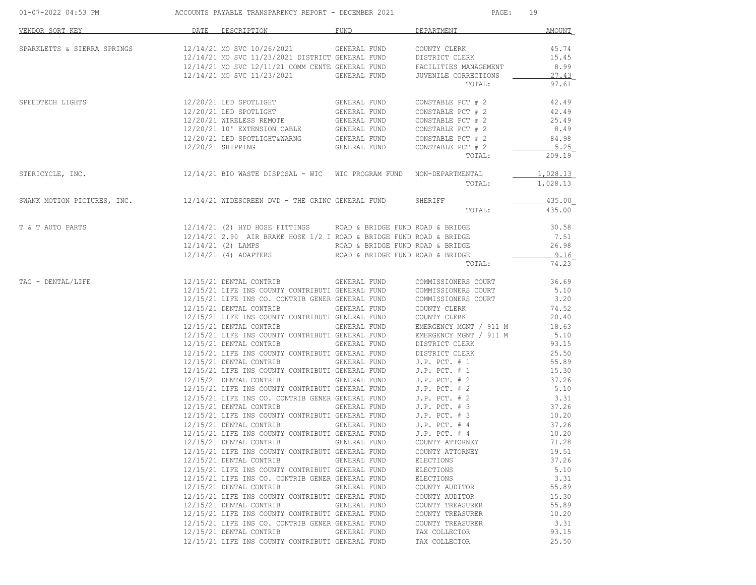| 01-07-2022 04:53 PM ACCOUNTS PAYABLE TRANSPARENCY REPORT - DECEMBER 2021                                                                                                                                                                                                                                                                                                                             |                  |                                                                                                                                                                                                                                                                                                                                                                                                                                                                            | PAGE: 19     |                           |               |
|------------------------------------------------------------------------------------------------------------------------------------------------------------------------------------------------------------------------------------------------------------------------------------------------------------------------------------------------------------------------------------------------------|------------------|----------------------------------------------------------------------------------------------------------------------------------------------------------------------------------------------------------------------------------------------------------------------------------------------------------------------------------------------------------------------------------------------------------------------------------------------------------------------------|--------------|---------------------------|---------------|
| VENDOR SORT KEY                                                                                                                                                                                                                                                                                                                                                                                      | DATE DESCRIPTION |                                                                                                                                                                                                                                                                                                                                                                                                                                                                            |              | FUND DEPARTMENT           | AMOUNT        |
| SPARKLETTS & SIERRA SPRINGS $12/14/21$ MO SVC $10/26/2021$ GENERAL FUND COUNTY CLERK $12/14/21$ MO SVC $11/23/2021$ DISTRICT GENERAL FUND DISTRICT CLERK $15.45$<br>$12/14/21$ MO SVC $12/11/21$ COMM CENTE GENERAL FUND FACILIT                                                                                                                                                                     |                  |                                                                                                                                                                                                                                                                                                                                                                                                                                                                            |              |                           |               |
|                                                                                                                                                                                                                                                                                                                                                                                                      |                  |                                                                                                                                                                                                                                                                                                                                                                                                                                                                            |              |                           |               |
|                                                                                                                                                                                                                                                                                                                                                                                                      |                  |                                                                                                                                                                                                                                                                                                                                                                                                                                                                            |              |                           |               |
|                                                                                                                                                                                                                                                                                                                                                                                                      |                  |                                                                                                                                                                                                                                                                                                                                                                                                                                                                            |              |                           | 27.43         |
|                                                                                                                                                                                                                                                                                                                                                                                                      |                  |                                                                                                                                                                                                                                                                                                                                                                                                                                                                            |              | TOTAL:                    | 97.61         |
| SPEEDTECH LIGHTS 12/20/21 LED SPOTLIGHT GENERAL FUND                                                                                                                                                                                                                                                                                                                                                 |                  |                                                                                                                                                                                                                                                                                                                                                                                                                                                                            |              | CONSTABLE PCT $# 2$ 42.49 |               |
|                                                                                                                                                                                                                                                                                                                                                                                                      |                  |                                                                                                                                                                                                                                                                                                                                                                                                                                                                            |              |                           | 42.49         |
|                                                                                                                                                                                                                                                                                                                                                                                                      |                  |                                                                                                                                                                                                                                                                                                                                                                                                                                                                            |              |                           | 25.49         |
|                                                                                                                                                                                                                                                                                                                                                                                                      |                  |                                                                                                                                                                                                                                                                                                                                                                                                                                                                            |              |                           | 8.49          |
|                                                                                                                                                                                                                                                                                                                                                                                                      |                  |                                                                                                                                                                                                                                                                                                                                                                                                                                                                            |              |                           | 84.98         |
|                                                                                                                                                                                                                                                                                                                                                                                                      |                  | $12/20/21 \text{ LED SPOTLIGHT} \begin{tabular}{lcccc} \multicolumn{1}{c}{\textbf{GENERAL FUND}} & \multicolumn{1}{c}{\textbf{CONSTABLE PCT}} & \multicolumn{1}{c}{\textbf{2}} \\ 12/20/21 \text{ LED SPOTLIGHT} & \multicolumn{1}{c}{\textbf{GENERAL FUND}} & \multicolumn{1}{c}{\textbf{CONSTABLE PCT}} & \multicolumn{1}{c}{\textbf{2}} \\ 12/20/21 & \multicolumn{1}{c}{\textbf{WIRELES S REMOTE}} & \multicolumn{1}{c}{\textbf{GENERAL FUND}} & \multicolumn{1}{c}{\$ |              |                           | 5.25          |
|                                                                                                                                                                                                                                                                                                                                                                                                      |                  |                                                                                                                                                                                                                                                                                                                                                                                                                                                                            |              | TOTAL:                    | 209.19        |
| STERICYCLE, INC. 12/14/21 BIO WASTE DISPOSAL - WIC WIC PROGRAM FUND NON-DEPARTMENTAL                                                                                                                                                                                                                                                                                                                 |                  |                                                                                                                                                                                                                                                                                                                                                                                                                                                                            |              |                           | 1,028.13      |
|                                                                                                                                                                                                                                                                                                                                                                                                      |                  |                                                                                                                                                                                                                                                                                                                                                                                                                                                                            |              | TOTAL:                    | 1,028.13      |
| SWANK MOTION PICTURES, INC. $12/14/21$ WIDESCREEN DVD - THE GRINC GENERAL FUND SHERIFF TOTAL:                                                                                                                                                                                                                                                                                                        |                  |                                                                                                                                                                                                                                                                                                                                                                                                                                                                            |              |                           | 435.00        |
|                                                                                                                                                                                                                                                                                                                                                                                                      |                  |                                                                                                                                                                                                                                                                                                                                                                                                                                                                            |              |                           | 435.00        |
| $12/14/21\;\; (2)\;\;\text{HYD HOSE FITTINGS}\qquad\;\text{ROAD $\&$ BRIDGE$ FUND ROAD $\&$ BRIDGE$}\qquad\;\;\\ 30.58\;\;\\ 12/14/21\;\; 2.90\;\; \text{AIR BRAKE HOSE}\;\; 1/2\;\; I\;\;\text{ROAD $\&$ BRIDGE$ FUND ROAD $\&$ BRIDGE$}\qquad\;\;\\ 7.51\;\;\\ 12/14/21\;\; (2)\;\;\text{LAMPS}\qquad\;\;\\ \text{ROAD $\&$ BRIDGE$ FUND ROAD $\&$ BRIDGE$}\qquad\;\;\\ \text{RORD $\&$ BRIDGE$ F$ |                  |                                                                                                                                                                                                                                                                                                                                                                                                                                                                            |              |                           |               |
|                                                                                                                                                                                                                                                                                                                                                                                                      |                  |                                                                                                                                                                                                                                                                                                                                                                                                                                                                            |              |                           |               |
|                                                                                                                                                                                                                                                                                                                                                                                                      |                  |                                                                                                                                                                                                                                                                                                                                                                                                                                                                            |              |                           |               |
|                                                                                                                                                                                                                                                                                                                                                                                                      |                  | $12/14/21$ (4) ADAPTERS ROAD & BRIDGE FUND ROAD & BRIDGE                                                                                                                                                                                                                                                                                                                                                                                                                   |              |                           | 9.16          |
|                                                                                                                                                                                                                                                                                                                                                                                                      |                  |                                                                                                                                                                                                                                                                                                                                                                                                                                                                            |              | TOTAL:                    | 74.23         |
| TAC - DENTAL/LIFE                                                                                                                                                                                                                                                                                                                                                                                    |                  | 12/15/21 DENTAL CONTRIB GENERAL FUND COMMISSIONERS COURT 36.69                                                                                                                                                                                                                                                                                                                                                                                                             |              |                           |               |
|                                                                                                                                                                                                                                                                                                                                                                                                      |                  |                                                                                                                                                                                                                                                                                                                                                                                                                                                                            |              |                           | 5.10          |
|                                                                                                                                                                                                                                                                                                                                                                                                      |                  | 12/15/21 DENIAL CONTRIBUTI GENERAL FUND COMMISSIONERS COURT<br>12/15/21 LIFE INS CO. CONTRIBUTI GENERAL FUND COMMISSIONERS COURT<br>12/15/21 DENTAL CONTRIB GENER GENERAL FUND COUNTY CLERK                                                                                                                                                                                                                                                                                |              |                           | 3.20<br>74.52 |
|                                                                                                                                                                                                                                                                                                                                                                                                      |                  |                                                                                                                                                                                                                                                                                                                                                                                                                                                                            |              |                           |               |
|                                                                                                                                                                                                                                                                                                                                                                                                      |                  | 12/15/21 LIFE INS COUNTY CONTRIBUTI GENERAL FUND COUNTY CLERK<br>12/15/21 DENTAL CONTRIB GENERAL FUND EMERGENCY MGNT / 911 M                                                                                                                                                                                                                                                                                                                                               |              |                           | 20.40         |
|                                                                                                                                                                                                                                                                                                                                                                                                      |                  |                                                                                                                                                                                                                                                                                                                                                                                                                                                                            |              |                           | 18.63<br>5.10 |
|                                                                                                                                                                                                                                                                                                                                                                                                      |                  | -12/15/21 LIFE INS COUNTY CONTRIBUTI GENERAL FUND<br>12/15/21 LIFE INS COUNTY CONTRIBUTI GENERAL FUND<br>12/15/21 DENTAL CONTRIB GENERAL FUND DISTRICT CLERK                                                                                                                                                                                                                                                                                                               |              |                           | 93.15         |
|                                                                                                                                                                                                                                                                                                                                                                                                      |                  |                                                                                                                                                                                                                                                                                                                                                                                                                                                                            |              |                           | 25.50         |
|                                                                                                                                                                                                                                                                                                                                                                                                      |                  | 12/15/21 LIFE INS COUNTY CONTRIBUTI GENERAL FUND DISTRICT CLERK<br>12/15/21 DENTAL CONTRIB GENERAL FUND J.P. PCT. # 1<br>12/15/21 LIFE INS COUNTY CONTRIBUTI GENERAL FUND J.P. PCT. # 1                                                                                                                                                                                                                                                                                    |              |                           | 55.89         |
|                                                                                                                                                                                                                                                                                                                                                                                                      |                  |                                                                                                                                                                                                                                                                                                                                                                                                                                                                            |              |                           | 15.30         |
|                                                                                                                                                                                                                                                                                                                                                                                                      |                  |                                                                                                                                                                                                                                                                                                                                                                                                                                                                            |              |                           |               |
|                                                                                                                                                                                                                                                                                                                                                                                                      |                  | $12/15/21 \text{ DENTAL CONTRIB} \begin{array}{lll} \text{GENERAL FUND} & \text{J.P. PCT.} & \# \ 2 & & \text{37.26} \\ 12/15/21 \text{ LIFE INS COUNTY CONTRIBUTI GENERAL FUND} & \text{J.P. PCT.} & \# \ 2 & & \text{5.10} \\ \end{array}$                                                                                                                                                                                                                               |              |                           |               |
|                                                                                                                                                                                                                                                                                                                                                                                                      |                  | 12/15/21 LIFE INS COUNTY CONTRIBUTI GENERAL FUND $J.P.$ PCT. # 2<br>12/15/21 LIFE INS CO. CONTRIB GENER GENERAL FUND $J.P.$ PCT. # 3<br>12/15/21 DENTAL CONTRIB GENERAL FUND $J.P.$ PCT. # 3<br>12/15/21 LIFE INS COUNTY CONTRIBUTI GENER                                                                                                                                                                                                                                  |              |                           | 3.31          |
|                                                                                                                                                                                                                                                                                                                                                                                                      |                  |                                                                                                                                                                                                                                                                                                                                                                                                                                                                            |              |                           | 37.26         |
|                                                                                                                                                                                                                                                                                                                                                                                                      |                  |                                                                                                                                                                                                                                                                                                                                                                                                                                                                            |              |                           | 10.20         |
|                                                                                                                                                                                                                                                                                                                                                                                                      |                  |                                                                                                                                                                                                                                                                                                                                                                                                                                                                            |              |                           | 37.26         |
|                                                                                                                                                                                                                                                                                                                                                                                                      |                  | 12/15/21 LIFE INS COUNTY CONTRIBUTI GENERAL FUND J.P. PCT. #4 10.20                                                                                                                                                                                                                                                                                                                                                                                                        |              |                           |               |
|                                                                                                                                                                                                                                                                                                                                                                                                      |                  | 12/15/21 DENTAL CONTRIB                                                                                                                                                                                                                                                                                                                                                                                                                                                    | GENERAL FUND | COUNTY ATTORNEY           | 71.28         |
|                                                                                                                                                                                                                                                                                                                                                                                                      |                  | 12/15/21 LIFE INS COUNTY CONTRIBUTI GENERAL FUND                                                                                                                                                                                                                                                                                                                                                                                                                           |              | COUNTY ATTORNEY           | 19.51         |
|                                                                                                                                                                                                                                                                                                                                                                                                      |                  | 12/15/21 DENTAL CONTRIB GENERAL FUND                                                                                                                                                                                                                                                                                                                                                                                                                                       |              | ELECTIONS                 | 37.26         |
|                                                                                                                                                                                                                                                                                                                                                                                                      |                  | 12/15/21 LIFE INS COUNTY CONTRIBUTI GENERAL FUND                                                                                                                                                                                                                                                                                                                                                                                                                           |              | ELECTIONS                 | 5.10          |
|                                                                                                                                                                                                                                                                                                                                                                                                      |                  | 12/15/21 LIFE INS CO. CONTRIB GENER GENERAL FUND                                                                                                                                                                                                                                                                                                                                                                                                                           |              | ELECTIONS                 | 3.31          |
|                                                                                                                                                                                                                                                                                                                                                                                                      |                  | 12/15/21 DENTAL CONTRIB GENERAL FUND                                                                                                                                                                                                                                                                                                                                                                                                                                       |              | COUNTY AUDITOR            | 55.89         |
|                                                                                                                                                                                                                                                                                                                                                                                                      |                  | 12/15/21 LIFE INS COUNTY CONTRIBUTI GENERAL FUND                                                                                                                                                                                                                                                                                                                                                                                                                           |              | COUNTY AUDITOR            | 15.30         |
|                                                                                                                                                                                                                                                                                                                                                                                                      |                  | 12/15/21 DENTAL CONTRIB GENERAL FUND                                                                                                                                                                                                                                                                                                                                                                                                                                       |              | COUNTY TREASURER          | 55.89         |
|                                                                                                                                                                                                                                                                                                                                                                                                      |                  | 12/15/21 LIFE INS COUNTY CONTRIBUTI GENERAL FUND                                                                                                                                                                                                                                                                                                                                                                                                                           |              | COUNTY TREASURER          | 10.20         |
|                                                                                                                                                                                                                                                                                                                                                                                                      |                  | 12/15/21 LIFE INS CO. CONTRIB GENER GENERAL FUND<br>12/15/21 DENTAL CONTRIB GENERAL FUND                                                                                                                                                                                                                                                                                                                                                                                   |              | COUNTY TREASURER          | 3.31<br>93.15 |
|                                                                                                                                                                                                                                                                                                                                                                                                      |                  |                                                                                                                                                                                                                                                                                                                                                                                                                                                                            |              | TAX COLLECTOR             |               |
|                                                                                                                                                                                                                                                                                                                                                                                                      |                  | 12/15/21 LIFE INS COUNTY CONTRIBUTI GENERAL FUND                                                                                                                                                                                                                                                                                                                                                                                                                           |              | TAX COLLECTOR             | 25.50         |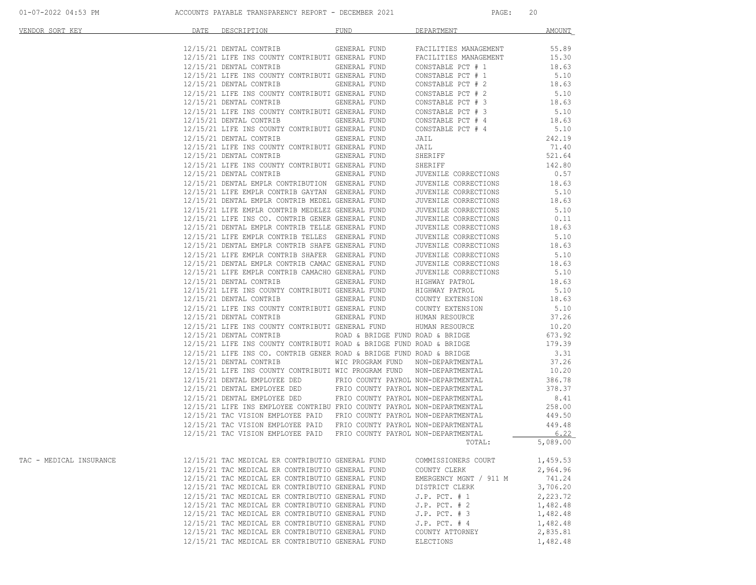| VENDOR SORT KEY         | DATE | DESCRIPTION                                                                                                                                 | <b>FUND</b>         | DEPARTMENT             | <b>AMOUNT</b> |
|-------------------------|------|---------------------------------------------------------------------------------------------------------------------------------------------|---------------------|------------------------|---------------|
|                         |      |                                                                                                                                             |                     |                        |               |
|                         |      | 12/15/21 DENTAL CONTRIB GENERAL FUND                                                                                                        |                     | FACILITIES MANAGEMENT  | 55.89         |
|                         |      | 12/15/21 LIFE INS COUNTY CONTRIBUTI GENERAL FUND                                                                                            |                     | FACILITIES MANAGEMENT  | 15.30         |
|                         |      | 12/15/21 DENTAL CONTRIB                                                                                                                     | <b>GENERAL FUND</b> | CONSTABLE PCT # 1      | 18.63         |
|                         |      | 12/15/21 LIFE INS COUNTY CONTRIBUTI GENERAL FUND                                                                                            |                     | CONSTABLE PCT # 1      | 5.10          |
|                         |      | 12/15/21 DENTAL CONTRIB GENERAL FUND                                                                                                        |                     | CONSTABLE PCT # 2      | 18.63         |
|                         |      | 12/15/21 LIFE INS COUNTY CONTRIBUTI GENERAL FUND                                                                                            |                     | CONSTABLE PCT # 2      | 5.10          |
|                         |      | 12/15/21 DENTAL CONTRIB                                                                                                                     | GENERAL FUND        | CONSTABLE PCT # 3      | 18.63         |
|                         |      | 12/15/21 LIFE INS COUNTY CONTRIBUTI GENERAL FUND                                                                                            |                     | CONSTABLE PCT # 3      | 5.10          |
|                         |      | 12/15/21 DENTAL CONTRIB GENERAL FUND                                                                                                        |                     | CONSTABLE PCT # 4      | 18.63         |
|                         |      | 12/15/21 LIFE INS COUNTY CONTRIBUTI GENERAL FUND                                                                                            |                     | CONSTABLE PCT # 4      | 5.10          |
|                         |      | 12/15/21 DENTAL CONTRIB                                                                                                                     | GENERAL FUND        | JAIL                   | 242.19        |
|                         |      | 12/15/21 LIFE INS COUNTY CONTRIBUTI GENERAL FUND                                                                                            |                     | JAIL                   | 71.40         |
|                         |      | 12/15/21 DENTAL CONTRIB GENERAL FUND                                                                                                        |                     | SHERIFF                | 521.64        |
|                         |      | 12/15/21 LIFE INS COUNTY CONTRIBUTI GENERAL FUND                                                                                            |                     | SHERIFF                | 142.80        |
|                         |      | 12/15/21 DENTAL CONTRIB GENERAL FUND                                                                                                        |                     | JUVENILE CORRECTIONS   | 0.57          |
|                         |      | 12/15/21 DENTAL EMPLR CONTRIBUTION GENERAL FUND                                                                                             |                     | JUVENILE CORRECTIONS   | 18.63         |
|                         |      | 12/15/21 LIFE EMPLR CONTRIB GAYTAN GENERAL FUND                                                                                             |                     | JUVENILE CORRECTIONS   | 5.10          |
|                         |      | 12/15/21 DENTAL EMPLR CONTRIB MEDEL GENERAL FUND                                                                                            |                     | JUVENILE CORRECTIONS   | 18.63         |
|                         |      | 12/15/21 LIFE EMPLR CONTRIB MEDELEZ GENERAL FUND<br>12/15/21 LIFE INS CO. CONTRIB GENER GENERAL FUND                                        |                     | JUVENILE CORRECTIONS   | 5.10          |
|                         |      |                                                                                                                                             |                     | JUVENILE CORRECTIONS   | 0.11          |
|                         |      | 12/15/21 DENTAL EMPLR CONTRIB TELLE GENERAL FUND                                                                                            |                     | JUVENILE CORRECTIONS   | 18.63         |
|                         |      | 12/15/21 LIFE EMPLR CONTRIB TELLES GENERAL FUND                                                                                             |                     | JUVENILE CORRECTIONS   | 5.10          |
|                         |      | 12/15/21 DENTAL EMPLR CONTRIB SHAFE GENERAL FUND                                                                                            |                     | JUVENILE CORRECTIONS   | 18.63         |
|                         |      | 12/15/21 LIFE EMPLR CONTRIB SHAFER GENERAL FUND                                                                                             |                     | JUVENILE CORRECTIONS   | 5.10          |
|                         |      | 12/15/21 DENTAL EMPLR CONTRIB CAMAC GENERAL FUND                                                                                            |                     | JUVENILE CORRECTIONS   | 18.63         |
|                         |      | 12/15/21 LIFE EMPLR CONTRIB CAMACHO GENERAL FUND                                                                                            |                     | JUVENILE CORRECTIONS   | 5.10          |
|                         |      | 12/15/21 DENTAL CONTRIB GENERAL FUND                                                                                                        |                     | HIGHWAY PATROL         | 18.63         |
|                         |      | 12/15/21 LIFE INS COUNTY CONTRIBUTI GENERAL FUND                                                                                            |                     | HIGHWAY PATROL         | 5.10          |
|                         |      | 12/15/21 DENTAL CONTRIB GENERAL FUND                                                                                                        |                     | COUNTY EXTENSION       | 18.63         |
|                         |      | 12/15/21 LIFE INS COUNTY CONTRIBUTI GENERAL FUND                                                                                            |                     | COUNTY EXTENSION       | 5.10          |
|                         |      | 12/15/21 DENTAL CONTRIB GENERAL FUND                                                                                                        |                     | HUMAN RESOURCE         | 37.26         |
|                         |      | 12/15/21 LIFE INS COUNTY CONTRIBUTI GENERAL FUND                                                                                            |                     | HUMAN RESOURCE         | 10.20         |
|                         |      | 12/15/21 DENTAL CONTRIB ROAD & BRIDGE FUND ROAD & BRIDGE                                                                                    |                     |                        | 673.92        |
|                         |      | 12/15/21 LIFE INS COUNTY CONTRIBUTI ROAD & BRIDGE FUND ROAD & BRIDGE                                                                        |                     |                        | 179.39        |
|                         |      | $12/15/21$ LIFE INS CO. CONTRIB GENER ROAD & BRIDGE FUND ROAD & BRIDGE                                                                      |                     |                        | 3.31          |
|                         |      | 12/15/21 DENTAL CONTRIB WIC PROGRAM FUND NON-DEPARTMENTAL                                                                                   |                     |                        | 37.26         |
|                         |      | 12/15/21 LIFE INS COUNTY CONTRIBUTI WIC PROGRAM FUND NON-DEPARTMENTAL                                                                       |                     |                        | 10.20         |
|                         |      | 12/15/21 DENTAL EMPLOYEE DED FRIO COUNTY PAYROL NON-DEPARTMENTAL                                                                            |                     |                        | 386.78        |
|                         |      | 12/15/21 DENTAL EMPLOYEE DED FRIO COUNTY PAYROL NON-DEPARTMENTAL                                                                            |                     |                        | 378.37        |
|                         |      |                                                                                                                                             |                     |                        | 8.41          |
|                         |      | 12/15/21 DENTAL EMPLOYEE DED FRIO COUNTY PAYROL NON-DEPARTMENTAL<br>12/15/21 LIFE INS EMPLOYEE CONTRIBU FRIO COUNTY PAYROL NON-DEPARTMENTAL |                     |                        | 258.00        |
|                         |      | 12/15/21 TAC VISION EMPLOYEE PAID FRIO COUNTY PAYROL NON-DEPARTMENTAL                                                                       |                     |                        | 449.50        |
|                         |      | 12/15/21 TAC VISION EMPLOYEE PAID FRIO COUNTY PAYROL NON-DEPARTMENTAL                                                                       |                     |                        | 449.48        |
|                         |      | 12/15/21 TAC VISION EMPLOYEE PAID FRIO COUNTY PAYROL NON-DEPARTMENTAL                                                                       |                     |                        | 6.22          |
|                         |      |                                                                                                                                             |                     | TOTAL:                 | 5,089.00      |
|                         |      |                                                                                                                                             |                     |                        |               |
| TAC - MEDICAL INSURANCE |      | 12/15/21 TAC MEDICAL ER CONTRIBUTIO GENERAL FUND                                                                                            |                     | COMMISSIONERS COURT    | 1,459.53      |
|                         |      | 12/15/21 TAC MEDICAL ER CONTRIBUTIO GENERAL FUND                                                                                            |                     | COUNTY CLERK           | 2,964.96      |
|                         |      | 12/15/21 TAC MEDICAL ER CONTRIBUTIO GENERAL FUND                                                                                            |                     | EMERGENCY MGNT / 911 M | 741.24        |
|                         |      | 12/15/21 TAC MEDICAL ER CONTRIBUTIO GENERAL FUND                                                                                            |                     | DISTRICT CLERK         | 3,706.20      |
|                         |      | 12/15/21 TAC MEDICAL ER CONTRIBUTIO GENERAL FUND                                                                                            |                     | $J.P.$ PCT. $# 1$      | 2,223.72      |
|                         |      | 12/15/21 TAC MEDICAL ER CONTRIBUTIO GENERAL FUND                                                                                            |                     | $J.P.$ PCT. $# 2$      | 1,482.48      |
|                         |      | 12/15/21 TAC MEDICAL ER CONTRIBUTIO GENERAL FUND                                                                                            |                     | $J.P.$ PCT. # 3        | 1,482.48      |
|                         |      | 12/15/21 TAC MEDICAL ER CONTRIBUTIO GENERAL FUND                                                                                            |                     | $J.P.$ PCT. $# 4$      | 1,482.48      |
|                         |      | 12/15/21 TAC MEDICAL ER CONTRIBUTIO GENERAL FUND                                                                                            |                     | COUNTY ATTORNEY        | 2,835.81      |
|                         |      | 12/15/21 TAC MEDICAL ER CONTRIBUTIO GENERAL FUND                                                                                            |                     |                        |               |
|                         |      |                                                                                                                                             |                     | ELECTIONS              | 1,482.48      |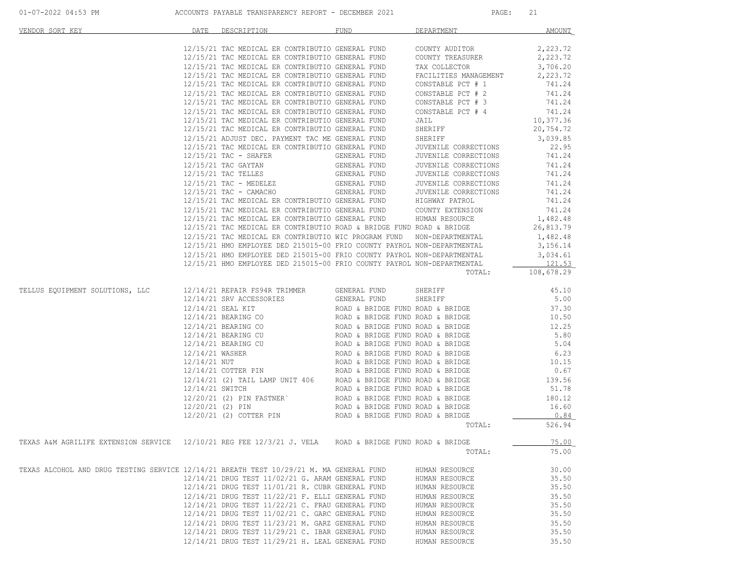| VENDOR SORT KEY                                                                                        | DATE DESCRIPTION FUND                                                                                |                                                                                        | DEPARTMENT <b>DEPARTMENT</b>                                                                                                                                                                                                                                                                                                                                                                                          | AMOUNT         |
|--------------------------------------------------------------------------------------------------------|------------------------------------------------------------------------------------------------------|----------------------------------------------------------------------------------------|-----------------------------------------------------------------------------------------------------------------------------------------------------------------------------------------------------------------------------------------------------------------------------------------------------------------------------------------------------------------------------------------------------------------------|----------------|
|                                                                                                        |                                                                                                      |                                                                                        |                                                                                                                                                                                                                                                                                                                                                                                                                       |                |
|                                                                                                        |                                                                                                      |                                                                                        | 12/15/21 TAC MEDICAL ER CONTRIBUTIO GENERAL FUND COUNTY AUDITOR $2,223.72$<br>12/15/21 TAC MEDICAL ER CONTRIBUTIO GENERAL FUND COUNTY TREASURER $2,223.72$                                                                                                                                                                                                                                                            |                |
|                                                                                                        |                                                                                                      |                                                                                        |                                                                                                                                                                                                                                                                                                                                                                                                                       |                |
|                                                                                                        |                                                                                                      |                                                                                        | 12/15/21 TAC MEDICAL ER CONTRIBUTIO GENERAL FUND TAX COLLECTOR<br>12/15/21 TAC MEDICAL ER CONTRIBUTIO GENERAL FUND FACILITIES MANAGEMENT                                                                                                                                                                                                                                                                              | 3,706.20       |
|                                                                                                        |                                                                                                      |                                                                                        |                                                                                                                                                                                                                                                                                                                                                                                                                       | 2,223.72       |
|                                                                                                        | 12/15/21 TAC MEDICAL ER CONTRIBUTIO GENERAL FUND                                                     |                                                                                        | CONSTABLE PCT $\#$ 1 741.24                                                                                                                                                                                                                                                                                                                                                                                           |                |
|                                                                                                        | 12/15/21 TAC MEDICAL ER CONTRIBUTIO GENERAL FUND                                                     |                                                                                        | $\begin{tabular}{lllllll} \multicolumn{2}{c}{\textbf{CONSTABLE PCT}} & $\!\! \# \!\! \! \! 2$ & $\!\! \! \! 741.24$ \\ \multicolumn{2}{c}{\textbf{CONSTABLE PCT}} & $\!\! \! \# \!\! \! \! 3$ & $\!\! \! \! 741.24$ \\ \multicolumn{2}{c}{\textbf{741.24}} & $\!\! \! \! \! \! \! \! \! \! \! \! \! 24$ & $\!\! \! \! \! \! \! \! \! \! \! \! \! \! 3$ & $\!\! \! \! \! \! \! \! \! \! \!$                            | 741.24         |
|                                                                                                        | 12/15/21 TAC MEDICAL ER CONTRIBUTIO GENERAL FUND                                                     |                                                                                        |                                                                                                                                                                                                                                                                                                                                                                                                                       |                |
|                                                                                                        | 12/15/21 TAC MEDICAL ER CONTRIBUTIO GENERAL FUND<br>12/15/21 TAC MEDICAL ER CONTRIBUTIO GENERAL FUND |                                                                                        | CONSTABLE PCT # 4 $741.24$<br>JAIL $10,377.36$                                                                                                                                                                                                                                                                                                                                                                        |                |
|                                                                                                        | 12/15/21 TAC MEDICAL ER CONTRIBUTIO GENERAL FUND                                                     |                                                                                        |                                                                                                                                                                                                                                                                                                                                                                                                                       | 20, 754.72     |
|                                                                                                        |                                                                                                      | 12/15/21 ADJUST DEC. PAYMENT TAC ME GENERAL FUND                                       | SHERIFF<br>SHERIFF                                                                                                                                                                                                                                                                                                                                                                                                    | 3,039.85       |
|                                                                                                        |                                                                                                      |                                                                                        | SHEKIFF<br>JUVENILE CORRECTIONS 22.95<br>TINENTLE CORRECTIONS 741.24                                                                                                                                                                                                                                                                                                                                                  |                |
|                                                                                                        |                                                                                                      | 12/15/21 TAC MEDICAL ER CONTRIBUTIO GENERAL FUND<br>12/15/21 TAC - SHAFER GENERAL FUND |                                                                                                                                                                                                                                                                                                                                                                                                                       |                |
|                                                                                                        |                                                                                                      |                                                                                        |                                                                                                                                                                                                                                                                                                                                                                                                                       |                |
|                                                                                                        |                                                                                                      |                                                                                        |                                                                                                                                                                                                                                                                                                                                                                                                                       |                |
|                                                                                                        |                                                                                                      |                                                                                        |                                                                                                                                                                                                                                                                                                                                                                                                                       |                |
|                                                                                                        |                                                                                                      |                                                                                        |                                                                                                                                                                                                                                                                                                                                                                                                                       |                |
|                                                                                                        |                                                                                                      |                                                                                        | 12/15/21 TAC MEDICAL EK CONTRIBUTIO GENERAL FUND<br>12/15/21 TAC GAYTAN GENERAL FUND JUVENILE CORRECTIONS 741.24<br>12/15/21 TAC TELLES GENERAL FUND JUVENILE CORRECTIONS 741.24<br>12/15/21 TAC - MEDELEZ GENERAL FUND JUVENILE CORREC                                                                                                                                                                               |                |
|                                                                                                        |                                                                                                      |                                                                                        |                                                                                                                                                                                                                                                                                                                                                                                                                       |                |
|                                                                                                        |                                                                                                      |                                                                                        |                                                                                                                                                                                                                                                                                                                                                                                                                       |                |
|                                                                                                        |                                                                                                      |                                                                                        | 12/15/21 TAC MEDICAL ER CONTRIBUTIO ROAD & BRIDGE FUND ROAD & BRIDGE $26,813.79$                                                                                                                                                                                                                                                                                                                                      |                |
|                                                                                                        |                                                                                                      |                                                                                        | 12/15/21 TAC MEDICAL ER CONTRIBUTIO WIC PROGRAM FUND NON-DEPARTMENTAL 1,482.48<br>12/15/21 HMO EMPLOYEE DED 215015-00 FRIO COUNTY PAYROL NON-DEPARTMENTAL 3,156.14                                                                                                                                                                                                                                                    |                |
|                                                                                                        |                                                                                                      |                                                                                        |                                                                                                                                                                                                                                                                                                                                                                                                                       |                |
|                                                                                                        |                                                                                                      |                                                                                        |                                                                                                                                                                                                                                                                                                                                                                                                                       |                |
|                                                                                                        |                                                                                                      |                                                                                        | $12/15/21 \text{ HMO EMPLOYE PED } 215015-00 \text{ PRO COUNTY PAYROL NON-DEPARTMENTAL} \hspace{12/15/21 HMO EMPLOYE PED } 215015-00 \text{ PRO COUNTY PAYROL NON-DEPARTMENTAL} \hspace{12/15/21 HMO EMPLOYE PED } 215015-00 \text{ PRO COUNTY PAYROL NON-DEPARTMENTAL TOTAL:} \hspace{12/15/21 HMO EMPLOYE PED } 215015-00 \text{ PRO COUNTY PAYROL NON-DEPARTMENTAL TOTAL:} \hspace{12/15/21 HMO EMPLOYE PED } 215$ |                |
|                                                                                                        |                                                                                                      |                                                                                        |                                                                                                                                                                                                                                                                                                                                                                                                                       |                |
| TELLUS EQUIPMENT SOLUTIONS, LLC                                                                        |                                                                                                      |                                                                                        |                                                                                                                                                                                                                                                                                                                                                                                                                       |                |
|                                                                                                        |                                                                                                      |                                                                                        |                                                                                                                                                                                                                                                                                                                                                                                                                       |                |
|                                                                                                        |                                                                                                      |                                                                                        |                                                                                                                                                                                                                                                                                                                                                                                                                       |                |
|                                                                                                        |                                                                                                      |                                                                                        |                                                                                                                                                                                                                                                                                                                                                                                                                       |                |
|                                                                                                        |                                                                                                      |                                                                                        |                                                                                                                                                                                                                                                                                                                                                                                                                       |                |
|                                                                                                        |                                                                                                      |                                                                                        |                                                                                                                                                                                                                                                                                                                                                                                                                       |                |
|                                                                                                        |                                                                                                      |                                                                                        |                                                                                                                                                                                                                                                                                                                                                                                                                       |                |
|                                                                                                        |                                                                                                      |                                                                                        |                                                                                                                                                                                                                                                                                                                                                                                                                       |                |
|                                                                                                        |                                                                                                      |                                                                                        |                                                                                                                                                                                                                                                                                                                                                                                                                       |                |
|                                                                                                        |                                                                                                      |                                                                                        |                                                                                                                                                                                                                                                                                                                                                                                                                       |                |
|                                                                                                        |                                                                                                      |                                                                                        |                                                                                                                                                                                                                                                                                                                                                                                                                       |                |
|                                                                                                        |                                                                                                      |                                                                                        |                                                                                                                                                                                                                                                                                                                                                                                                                       |                |
|                                                                                                        |                                                                                                      |                                                                                        |                                                                                                                                                                                                                                                                                                                                                                                                                       |                |
|                                                                                                        |                                                                                                      |                                                                                        |                                                                                                                                                                                                                                                                                                                                                                                                                       |                |
|                                                                                                        |                                                                                                      |                                                                                        | TOTAL:                                                                                                                                                                                                                                                                                                                                                                                                                | 526.94         |
|                                                                                                        |                                                                                                      |                                                                                        |                                                                                                                                                                                                                                                                                                                                                                                                                       |                |
| TEXAS A&M AGRILIFE EXTENSION SERVICE 12/10/21 REG FEE 12/3/21 J. VELA ROAD & BRIDGE FUND ROAD & BRIDGE |                                                                                                      |                                                                                        |                                                                                                                                                                                                                                                                                                                                                                                                                       | 75.00          |
|                                                                                                        |                                                                                                      |                                                                                        | TOTAL:                                                                                                                                                                                                                                                                                                                                                                                                                | 75.00          |
|                                                                                                        |                                                                                                      |                                                                                        |                                                                                                                                                                                                                                                                                                                                                                                                                       |                |
| TEXAS ALCOHOL AND DRUG TESTING SERVICE 12/14/21 BREATH TEST 10/29/21 M. MA GENERAL FUND                |                                                                                                      |                                                                                        | HUMAN RESOURCE                                                                                                                                                                                                                                                                                                                                                                                                        | 30.00          |
|                                                                                                        | 12/14/21 DRUG TEST 11/02/21 G. ARAM GENERAL FUND<br>12/14/21 DRUG TEST 11/01/21 R. CUBR GENERAL FUND |                                                                                        | HUMAN RESOURCE                                                                                                                                                                                                                                                                                                                                                                                                        | 35.50<br>35.50 |
|                                                                                                        | 12/14/21 DRUG TEST 11/22/21 F. ELLI GENERAL FUND                                                     |                                                                                        | HUMAN RESOURCE                                                                                                                                                                                                                                                                                                                                                                                                        |                |
|                                                                                                        | 12/14/21 DRUG TEST 11/22/21 C. FRAU GENERAL FUND                                                     |                                                                                        | HUMAN RESOURCE<br>HUMAN RESOURCE                                                                                                                                                                                                                                                                                                                                                                                      | 35.50<br>35.50 |
|                                                                                                        | 12/14/21 DRUG TEST 11/02/21 C. GARC GENERAL FUND                                                     |                                                                                        | HUMAN RESOURCE                                                                                                                                                                                                                                                                                                                                                                                                        | 35.50          |
|                                                                                                        | 12/14/21 DRUG TEST 11/23/21 M. GARZ GENERAL FUND                                                     |                                                                                        | HUMAN RESOURCE                                                                                                                                                                                                                                                                                                                                                                                                        | 35.50          |
|                                                                                                        | 12/14/21 DRUG TEST 11/29/21 C. IBAR GENERAL FUND                                                     |                                                                                        | HUMAN RESOURCE                                                                                                                                                                                                                                                                                                                                                                                                        | 35.50          |
|                                                                                                        | 12/14/21 DRUG TEST 11/29/21 H. LEAL GENERAL FUND                                                     |                                                                                        | HUMAN RESOURCE                                                                                                                                                                                                                                                                                                                                                                                                        | 35.50          |
|                                                                                                        |                                                                                                      |                                                                                        |                                                                                                                                                                                                                                                                                                                                                                                                                       |                |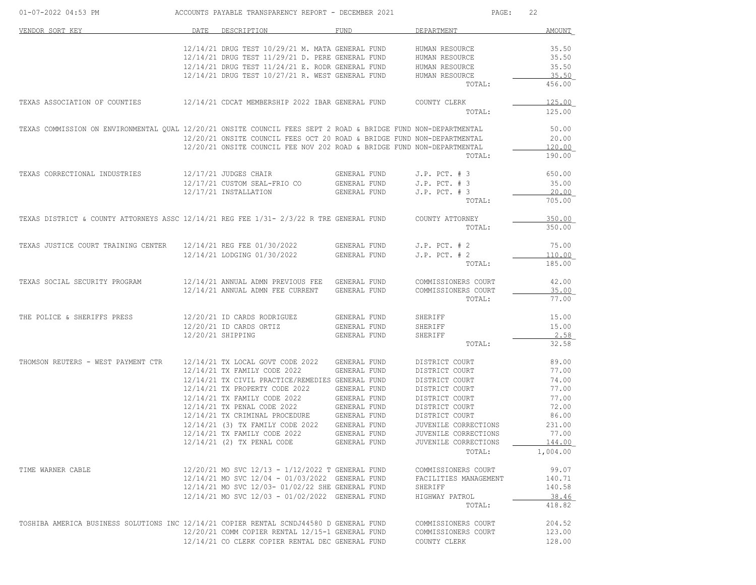| 01-07-2022 04:53 PM                                                                                            |      | ACCOUNTS PAYABLE TRANSPARENCY REPORT - DECEMBER 2021                               |              | PAGE:                            | 22              |
|----------------------------------------------------------------------------------------------------------------|------|------------------------------------------------------------------------------------|--------------|----------------------------------|-----------------|
| VENDOR SORT KEY                                                                                                | DATE | DESCRIPTION                                                                        | FUND         | DEPARTMENT                       | AMOUNT          |
|                                                                                                                |      | 12/14/21 DRUG TEST 10/29/21 M. MATA GENERAL FUND                                   |              | HUMAN RESOURCE                   | 35.50           |
|                                                                                                                |      | 12/14/21 DRUG TEST 11/29/21 D. PERE GENERAL FUND                                   |              | HUMAN RESOURCE                   | 35.50           |
|                                                                                                                |      | 12/14/21 DRUG TEST 11/24/21 E. RODR GENERAL FUND                                   |              | HUMAN RESOURCE                   | 35.50           |
|                                                                                                                |      | 12/14/21 DRUG TEST 10/27/21 R. WEST GENERAL FUND                                   |              | HUMAN RESOURCE                   | 35.50           |
|                                                                                                                |      |                                                                                    |              | TOTAL:                           | 456.00          |
| TEXAS ASSOCIATION OF COUNTIES                                                                                  |      | 12/14/21 CDCAT MEMBERSHIP 2022 IBAR GENERAL FUND                                   |              | COUNTY CLERK                     | 125.00          |
|                                                                                                                |      |                                                                                    |              | TOTAL:                           | 125.00          |
| TEXAS COMMISSION ON ENVIRONMENTAL QUAL 12/20/21 ONSITE COUNCIL FEES SEPT 2 ROAD & BRIDGE FUND NON-DEPARTMENTAL |      |                                                                                    |              |                                  | 50.00           |
|                                                                                                                |      | 12/20/21 ONSITE COUNCIL FEES OCT 20 ROAD & BRIDGE FUND NON-DEPARTMENTAL            |              |                                  | 20.00           |
|                                                                                                                |      | 12/20/21 ONSITE COUNCIL FEE NOV 202 ROAD & BRIDGE FUND NON-DEPARTMENTAL            |              |                                  | 120.00          |
|                                                                                                                |      |                                                                                    |              | TOTAL:                           | 190.00          |
| TEXAS CORRECTIONAL INDUSTRIES                                                                                  |      | 12/17/21 JUDGES CHAIR                                                              | GENERAL FUND | $J.P.$ PCT. $# 3$                | 650.00          |
|                                                                                                                |      | 12/17/21 CUSTOM SEAL-FRIO CO                                                       | GENERAL FUND | $J.P.$ PCT. $# 3$                | 35.00           |
|                                                                                                                |      | 12/17/21 INSTALLATION                                                              | GENERAL FUND | $J.P.$ PCT. $# 3$<br>TOTAL:      | 20.00<br>705.00 |
|                                                                                                                |      |                                                                                    |              |                                  |                 |
| TEXAS DISTRICT & COUNTY ATTORNEYS ASSC 12/14/21 REG FEE 1/31- 2/3/22 R TRE GENERAL FUND                        |      |                                                                                    |              | COUNTY ATTORNEY                  | 350.00          |
|                                                                                                                |      |                                                                                    |              | TOTAL:                           | 350.00          |
| TEXAS JUSTICE COURT TRAINING CENTER                                                                            |      | 12/14/21 REG FEE 01/30/2022                                                        | GENERAL FUND | $J.P.$ PCT. $# 2$                | 75.00           |
|                                                                                                                |      | 12/14/21 LODGING 01/30/2022                                                        | GENERAL FUND | $J.P.$ PCT. $# 2$                | 110.00          |
|                                                                                                                |      |                                                                                    |              | TOTAL:                           | 185.00          |
| TEXAS SOCIAL SECURITY PROGRAM                                                                                  |      | 12/14/21 ANNUAL ADMN PREVIOUS FEE GENERAL FUND                                     |              | COMMISSIONERS COURT              | 42.00           |
|                                                                                                                |      | 12/14/21 ANNUAL ADMN FEE CURRENT                                                   | GENERAL FUND | COMMISSIONERS COURT              | 35.00           |
|                                                                                                                |      |                                                                                    |              | TOTAL:                           | 77.00           |
| THE POLICE & SHERIFFS PRESS                                                                                    |      | 12/20/21 ID CARDS RODRIGUEZ                                                        | GENERAL FUND | SHERIFF                          | 15.00           |
|                                                                                                                |      | 12/20/21 ID CARDS ORTIZ                                                            | GENERAL FUND | SHERIFF                          | 15.00           |
|                                                                                                                |      | 12/20/21 SHIPPING                                                                  | GENERAL FUND | SHERIFF                          | 2.58            |
|                                                                                                                |      |                                                                                    |              | TOTAL:                           | 32.58           |
| THOMSON REUTERS - WEST PAYMENT CTR                                                                             |      | 12/14/21 TX LOCAL GOVT CODE 2022                                                   | GENERAL FUND | DISTRICT COURT                   | 89.00           |
|                                                                                                                |      | 12/14/21 TX FAMILY CODE 2022                                                       | GENERAL FUND | DISTRICT COURT                   | 77.00           |
|                                                                                                                |      | 12/14/21 TX CIVIL PRACTICE/REMEDIES GENERAL FUND<br>12/14/21 TX PROPERTY CODE 2022 | GENERAL FUND | DISTRICT COURT<br>DISTRICT COURT | 74.00<br>77.00  |
|                                                                                                                |      | 12/14/21 TX FAMILY CODE 2022                                                       | GENERAL FUND | DISTRICT COURT                   | 77.00           |
|                                                                                                                |      | 12/14/21 TX PENAL CODE 2022                                                        | GENERAL FUND | DISTRICT COURT                   | 72.00           |
|                                                                                                                |      | 12/14/21 TX CRIMINAL PROCEDURE GENERAL FUND                                        |              | DISTRICT COURT                   | 86.00           |
|                                                                                                                |      | 12/14/21 (3) TX FAMILY CODE 2022                                                   | GENERAL FUND | JUVENILE CORRECTIONS             | 231.00          |
|                                                                                                                |      | 12/14/21 TX FAMILY CODE 2022                                                       | GENERAL FUND | JUVENILE CORRECTIONS             | 77.00           |
|                                                                                                                |      | 12/14/21 (2) TX PENAL CODE                                                         | GENERAL FUND | JUVENILE CORRECTIONS             | 144.00          |
|                                                                                                                |      |                                                                                    |              | TOTAL:                           | 1,004.00        |
| TIME WARNER CABLE                                                                                              |      | 12/20/21 MO SVC 12/13 - 1/12/2022 T GENERAL FUND                                   |              | COMMISSIONERS COURT              | 99.07           |
|                                                                                                                |      | 12/14/21 MO SVC 12/04 - 01/03/2022 GENERAL FUND                                    |              | FACILITIES MANAGEMENT            | 140.71          |
|                                                                                                                |      | 12/14/21 MO SVC 12/03- 01/02/22 SHE GENERAL FUND                                   |              | SHERIFF                          | 140.58          |
|                                                                                                                |      | 12/14/21 MO SVC 12/03 - 01/02/2022 GENERAL FUND                                    |              | HIGHWAY PATROL                   | 38.46           |
|                                                                                                                |      |                                                                                    |              | TOTAL:                           | 418.82          |
| TOSHIBA AMERICA BUSINESS SOLUTIONS INC 12/14/21 COPIER RENTAL SCNDJ44580 D GENERAL FUND                        |      |                                                                                    |              | COMMISSIONERS COURT              | 204.52          |
|                                                                                                                |      | 12/20/21 COMM COPIER RENTAL 12/15-1 GENERAL FUND                                   |              | COMMISSIONERS COURT              | 123.00          |
|                                                                                                                |      | 12/14/21 CO CLERK COPIER RENTAL DEC GENERAL FUND                                   |              | COUNTY CLERK                     | 128.00          |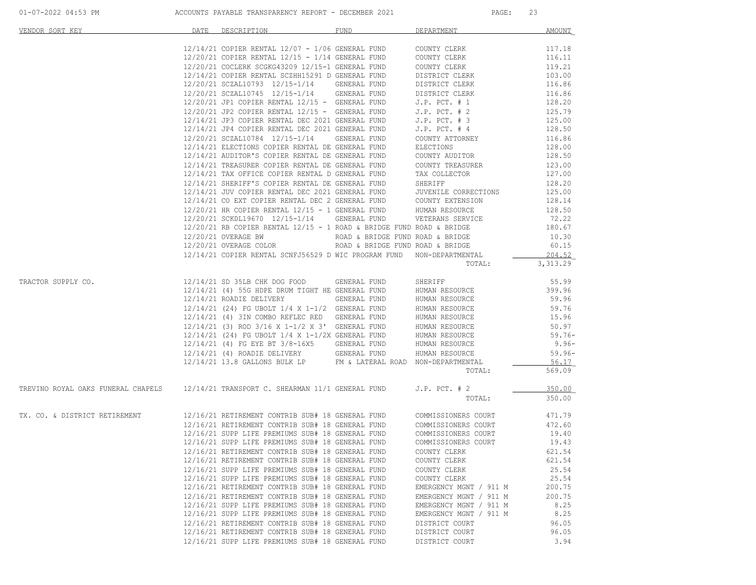| 01-07-2022 04:53 PM |  |
|---------------------|--|
|                     |  |

| VENDOR SORT KEY                                                                     | DATE | DESCRIPTION                                                                                                                                                                                                | <b>FUND</b>                      | DEPARTMENT             | <b>AMOUNT</b> |
|-------------------------------------------------------------------------------------|------|------------------------------------------------------------------------------------------------------------------------------------------------------------------------------------------------------------|----------------------------------|------------------------|---------------|
|                                                                                     |      | $12/14/21$ COPIER RENTAL $12/07$ - $1/06$ GENERAL FUND                                                                                                                                                     |                                  | COUNTY CLERK           | 117.18        |
|                                                                                     |      | $12/20/21$ COPIER RENTAL $12/15$ - $1/14$ GENERAL FUND                                                                                                                                                     |                                  | COUNTY CLERK           | 116.11        |
|                                                                                     |      | 12/20/21 COCLERK SCGKG43209 12/15-1 GENERAL FUND                                                                                                                                                           |                                  | COUNTY CLERK           | 119.21        |
|                                                                                     |      | 12/14/21 COPIER RENTAL SCZHH15291 D GENERAL FUND                                                                                                                                                           |                                  | DISTRICT CLERK         | 103.00        |
|                                                                                     |      | 12/20/21 SCZAL10793 12/15-1/14 GENERAL FUND                                                                                                                                                                |                                  | DISTRICT CLERK         | 116.86        |
|                                                                                     |      | 12/20/21 SCZAL10745 12/15-1/14 GENERAL FUND                                                                                                                                                                |                                  | DISTRICT CLERK         | 116.86        |
|                                                                                     |      | 12/20/21 JP1 COPIER RENTAL 12/15 - GENERAL FUND                                                                                                                                                            |                                  | $J.P.$ PCT. $# 1$      | 128.20        |
|                                                                                     |      | $12/20/21$ JP2 COPIER RENTAL $12/15$ - GENERAL FUND                                                                                                                                                        |                                  | $J.P.$ PCT. $# 2$      | 125.79        |
|                                                                                     |      | 12/14/21 JP3 COPIER RENTAL DEC 2021 GENERAL FUND                                                                                                                                                           |                                  | $J.P.$ PCT. $# 3$      | 125.00        |
|                                                                                     |      | 12/14/21 JP4 COPIER RENTAL DEC 2021 GENERAL FUND                                                                                                                                                           |                                  | $J.P.$ PCT. $#4$       | 128.50        |
|                                                                                     |      | 12/20/21 SCZAL10784 12/15-1/14                                                                                                                                                                             | GENERAL FUND                     | COUNTY ATTORNEY        | 116.86        |
|                                                                                     |      | 12/14/21 ELECTIONS COPIER RENTAL DE GENERAL FUND                                                                                                                                                           |                                  | ELECTIONS              | 128.00        |
|                                                                                     |      | 12/14/21 AUDITOR'S COPIER RENTAL DE GENERAL FUND                                                                                                                                                           |                                  | COUNTY AUDITOR         | 128.50        |
|                                                                                     |      | 12/14/21 TREASURER COPIER RENTAL DE GENERAL FUND                                                                                                                                                           |                                  | COUNTY TREASURER       | 123.00        |
|                                                                                     |      | 12/14/21 TAX OFFICE COPIER RENTAL D GENERAL FUND                                                                                                                                                           |                                  | TAX COLLECTOR          | 127.00        |
|                                                                                     |      | 12/14/21 SHERIFF'S COPIER RENTAL DE GENERAL FUND                                                                                                                                                           |                                  | SHERIFF                | 128.20        |
|                                                                                     |      |                                                                                                                                                                                                            |                                  | JUVENILE CORRECTIONS   | 125.00        |
|                                                                                     |      |                                                                                                                                                                                                            |                                  | COUNTY EXTENSION       | 128.14        |
|                                                                                     |      | 12/14/21 JUV COPIER RENTAL DEC 2021 GENERAL FUND JUVENILE CORRECTI<br>12/14/21 CO EXT COPIER RENTAL DEC 2 GENERAL FUND COUNTY EXTENSION<br>12/20/21 HR COPIER RENTAL 12/15 - 1 GENERAL FUND HUMAN RESOURCE |                                  |                        | 128.50        |
|                                                                                     |      | 12/20/21 SCKDL19670 12/15-1/14 GENERAL FUND                                                                                                                                                                |                                  | VETERANS SERVICE       | 72.22         |
|                                                                                     |      | $12/20/21$ RB COPIER RENTAL $12/15$ - 1 ROAD & BRIDGE FUND ROAD & BRIDGE                                                                                                                                   |                                  |                        | 180.67        |
|                                                                                     |      | 12/20/21 OVERAGE BW                                                                                                                                                                                        | ROAD & BRIDGE FUND ROAD & BRIDGE |                        | 10.30         |
|                                                                                     |      | 12/20/21 OVERAGE COLOR                                                                                                                                                                                     | ROAD & BRIDGE FUND ROAD & BRIDGE |                        | 60.15         |
|                                                                                     |      | 12/14/21 COPIER RENTAL SCNFJ56529 D WIC PROGRAM FUND NON-DEPARTMENTAL                                                                                                                                      |                                  |                        | 204.52        |
|                                                                                     |      |                                                                                                                                                                                                            |                                  | TOTAL:                 | 3,313.29      |
| TRACTOR SUPPLY CO.                                                                  |      | 12/14/21 SD 35LB CHK DOG FOOD                                                                                                                                                                              | GENERAL FUND                     | SHERIFF                | 55.99         |
|                                                                                     |      | 12/14/21 (4) 55G HDPE DRUM TIGHT HE GENERAL FUND                                                                                                                                                           |                                  | HUMAN RESOURCE         | 399.96        |
|                                                                                     |      | 12/14/21 ROADIE DELIVERY GENERAL FUND                                                                                                                                                                      |                                  | HUMAN RESOURCE         | 59.96         |
|                                                                                     |      | 12/14/21 (24) FG UBOLT 1/4 X 1-1/2 GENERAL FUND                                                                                                                                                            |                                  | HUMAN RESOURCE         | 59.76         |
|                                                                                     |      | 12/14/21 (4) 3IN COMBO REFLEC RED GENERAL FUND                                                                                                                                                             |                                  | HUMAN RESOURCE         | 15.96         |
|                                                                                     |      | 12/14/21 (3) ROD 3/16 X 1-1/2 X 3' GENERAL FUND                                                                                                                                                            |                                  | HUMAN RESOURCE         | 50.97         |
|                                                                                     |      | 12/14/21 (24) FG UBOLT 1/4 X 1-1/2X GENERAL FUND                                                                                                                                                           |                                  | HUMAN RESOURCE         | $59.76-$      |
|                                                                                     |      | 12/14/21 (4) FG EYE BT 3/8-16X5 GENERAL FUND                                                                                                                                                               |                                  | HUMAN RESOURCE         | $9.96 -$      |
|                                                                                     |      | 12/14/21 (4) ROADIE DELIVERY GENERAL FUND                                                                                                                                                                  |                                  | HUMAN RESOURCE         | $59.96-$      |
|                                                                                     |      | 12/14/21 13.8 GALLONS BULK LP FM & LATERAL ROAD NON-DEPARTMENTAL                                                                                                                                           |                                  |                        | 56.17         |
|                                                                                     |      |                                                                                                                                                                                                            |                                  | TOTAL:                 | 569.09        |
| TREVINO ROYAL OAKS FUNERAL CHAPELS 12/14/21 TRANSPORT C. SHEARMAN 11/1 GENERAL FUND |      |                                                                                                                                                                                                            |                                  | $J.P.$ PCT. $# 2$      | 350.00        |
|                                                                                     |      |                                                                                                                                                                                                            |                                  | TOTAL:                 | 350.00        |
| TX. CO. & DISTRICT RETIREMENT                                                       |      | 12/16/21 RETIREMENT CONTRIB SUB# 18 GENERAL FUND                                                                                                                                                           |                                  | COMMISSIONERS COURT    | 471.79        |
|                                                                                     |      | 12/16/21 RETIREMENT CONTRIB SUB# 18 GENERAL FUND<br>12/16/21 RETIREMENT CONTRIB SUB# 18 GENERAL FUND                                                                                                       |                                  | COMMISSIONERS COURT    | 472.60        |
|                                                                                     |      | 12/16/21 SUPP LIFE PREMIUMS SUB# 18 GENERAL FUND                                                                                                                                                           |                                  | COMMISSIONERS COURT    | 19.40         |
|                                                                                     |      | 12/16/21 SUPP LIFE PREMIUMS SUB# 18 GENERAL FUND                                                                                                                                                           |                                  | COMMISSIONERS COURT    | 19.43         |
|                                                                                     |      | 12/16/21 RETIREMENT CONTRIB SUB# 18 GENERAL FUND                                                                                                                                                           |                                  | COUNTY CLERK           | 621.54        |
|                                                                                     |      | 12/16/21 RETIREMENT CONTRIB SUB# 18 GENERAL FUND                                                                                                                                                           |                                  | COUNTY CLERK           | 621.54        |
|                                                                                     |      | 12/16/21 SUPP LIFE PREMIUMS SUB# 18 GENERAL FUND                                                                                                                                                           |                                  | COUNTY CLERK           | 25.54         |
|                                                                                     |      | 12/16/21 SUPP LIFE PREMIUMS SUB# 18 GENERAL FUND                                                                                                                                                           |                                  | COUNTY CLERK           | 25.54         |
|                                                                                     |      | 12/16/21 RETIREMENT CONTRIB SUB# 18 GENERAL FUND                                                                                                                                                           |                                  | EMERGENCY MGNT / 911 M | 200.75        |
|                                                                                     |      | 12/16/21 RETIREMENT CONTRIB SUB# 18 GENERAL FUND                                                                                                                                                           |                                  | EMERGENCY MGNT / 911 M | 200.75        |
|                                                                                     |      | 12/16/21 SUPP LIFE PREMIUMS SUB# 18 GENERAL FUND                                                                                                                                                           |                                  | EMERGENCY MGNT / 911 M | 8.25          |
|                                                                                     |      | 12/16/21 SUPP LIFE PREMIUMS SUB# 18 GENERAL FUND                                                                                                                                                           |                                  | EMERGENCY MGNT / 911 M | 8.25          |
|                                                                                     |      | 12/16/21 RETIREMENT CONTRIB SUB# 18 GENERAL FUND                                                                                                                                                           |                                  | DISTRICT COURT         | 96.05         |
|                                                                                     |      | 12/16/21 RETIREMENT CONTRIB SUB# 18 GENERAL FUND                                                                                                                                                           |                                  | DISTRICT COURT         | 96.05         |
|                                                                                     |      | 12/16/21 SUPP LIFE PREMIUMS SUB# 18 GENERAL FUND                                                                                                                                                           |                                  | DISTRICT COURT         | 3.94          |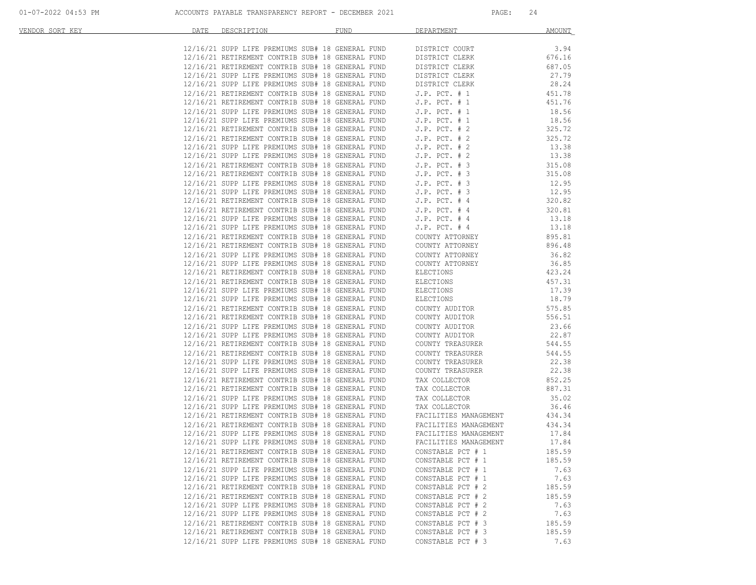| VENDOR SORT KEY | DATE | DESCRIPTION | FUND                                                                                                                                                                                               | DEPARTMENT                                    | <b>AMOUNT</b> |
|-----------------|------|-------------|----------------------------------------------------------------------------------------------------------------------------------------------------------------------------------------------------|-----------------------------------------------|---------------|
|                 |      |             |                                                                                                                                                                                                    |                                               |               |
|                 |      |             | $12/16/21$ SUPP LIFE PREMIUMS SUB# 18 GENERAL FUND DISTRICT COURT $12/16/21$ RETIREMENT CONTRIB SUB# 18 GENERAL FUND DISTRICT CLERK                                                                |                                               | 3.94          |
|                 |      |             |                                                                                                                                                                                                    |                                               | 676.16        |
|                 |      |             | 12/16/21 RETIREMENT CONTRIB SUB# 18 GENERAL FUND<br>12/16/21 SUPP LIFE PREMIUMS SUB# 18 GENERAL FUND                                                                                               | DISTRICT CLERK                                | 687.05        |
|                 |      |             | 12/16/21 SUPP LIFE PREMIUMS SUB# 18 GENERAL FUND                                                                                                                                                   | DISTRICT CLERK                                | 27.79         |
|                 |      |             | 12/16/21 SUPP LIFE PREMIUMS SUB# 18 GENERAL FUND<br>12/16/21 RETIREMENT CONTRIB SUB# 18 GENERAL FUND                                                                                               | DISTRICT CLERK                                | 28.24         |
|                 |      |             |                                                                                                                                                                                                    | $J.P.$ PCT. $# 1$                             | 451.78        |
|                 |      |             | 12/16/21 RETIREMENT CONTRIB SUB# 18 GENERAL FUND J.P. PCT. # 1                                                                                                                                     |                                               | 451.76        |
|                 |      |             | 12/16/21 SUPP LIFE PREMIUMS SUB# 18 GENERAL FUND J.P. PCT. # 1<br>12/16/21 SUPP LIFE PREMIUMS SUB# 18 GENERAL FUND J.P. PCT. # 1                                                                   |                                               | 18.56         |
|                 |      |             |                                                                                                                                                                                                    |                                               | 18.56         |
|                 |      |             | 12/16/21 RETIREMENT CONTRIB SUB# 18 GENERAL FUND J.P. PCT. # 2<br>12/16/21 RETIREMENT CONTRIB SUB# 18 GENERAL FUND J.P. PCT. # 2                                                                   |                                               | 325.72        |
|                 |      |             |                                                                                                                                                                                                    |                                               | 325.72        |
|                 |      |             |                                                                                                                                                                                                    |                                               | 13.38         |
|                 |      |             | 12/16/21 SUPP LIFE PREMIUMS SUB# 18 GENERAL FUND J.P. PCT. # 2<br>12/16/21 SUPP LIFE PREMIUMS SUB# 18 GENERAL FUND J.P. PCT. # 2                                                                   |                                               | 13.38         |
|                 |      |             |                                                                                                                                                                                                    |                                               | 315.08        |
|                 |      |             | 12/16/21 RETIREMENT CONTRIB SUB# 18 GENERAL FUND J.P. PCT. # 3<br>12/16/21 RETIREMENT CONTRIB SUB# 18 GENERAL FUND J.P. PCT. # 3<br>12/16/21 SUPP LIFE PREMIUMS SUB# 18 GENERAL FUND J.P. PCT. # 3 |                                               | 315.08        |
|                 |      |             |                                                                                                                                                                                                    |                                               | 12.95         |
|                 |      |             |                                                                                                                                                                                                    |                                               | 12.95         |
|                 |      |             | 12/16/21 SUPP LIFE PREMIUMS SUB# 18 GENERAL FUND J.P. PCT. # 3<br>12/16/21 RETIREMENT CONTRIB SUB# 18 GENERAL FUND J.P. PCT. # 4                                                                   |                                               | 320.82        |
|                 |      |             |                                                                                                                                                                                                    |                                               | 320.81        |
|                 |      |             | $12/16/21$ RETIREMENT CONTRIB SUB# 18 GENERAL FUND J.P. PCT. # 4<br>$12/16/21$ SUPP LIFE PREMIUMS SUB# 18 GENERAL FUND J.P. PCT. # 4                                                               |                                               | 13.18         |
|                 |      |             |                                                                                                                                                                                                    | $J.P.$ PCT. $#4$                              | 13.18         |
|                 |      |             | 12/16/21 SUPP LIFE PREMIUMS SUB# 10 GENERAL FUND<br>12/16/21 SUPP LIFE PREMIUMS SUB# 18 GENERAL FUND<br>12/16/21 RETIREMENT CONTRIB SUB# 18 GENERAL FUND                                           | COUNTY ATTORNEY                               | 895.81        |
|                 |      |             | 12/16/21 RETIREMENT CONTRIB SUB# 18 GENERAL FUND                                                                                                                                                   | COUNTY ATTORNEY                               | 896.48        |
|                 |      |             | 12/16/21 SUPP LIFE PREMIUMS SUB# 18 GENERAL FUND                                                                                                                                                   |                                               | 36.82         |
|                 |      |             | 12/16/21 SUPP LIFE PREMIUMS SUB# 18 GENERAL FUND                                                                                                                                                   | COUNTY ATTORNEY                               | 36.85         |
|                 |      |             |                                                                                                                                                                                                    | COUNTY ATTORNEY                               |               |
|                 |      |             | 12/16/21 RETIREMENT CONTRIB SUB# 18 GENERAL FUND                                                                                                                                                   | ELECTIONS                                     | 423.24        |
|                 |      |             | 12/16/21 RETIREMENT CONTRIB SUB# 18 GENERAL FUND                                                                                                                                                   | ELECTIONS                                     | 457.31        |
|                 |      |             | 12/16/21 SUPP LIFE PREMIUMS SUB# 18 GENERAL FUND                                                                                                                                                   | ELECTIONS<br>ELECTIONS                        | 17.39         |
|                 |      |             | 12/16/21 SUPP LIFE PREMIUMS SUB# 18 GENERAL FUND                                                                                                                                                   |                                               | 18.79         |
|                 |      |             | 12/16/21 RETIREMENT CONTRIB SUB# 18 GENERAL FUND                                                                                                                                                   | COUNTY AUDITOR                                | 575.85        |
|                 |      |             | 12/16/21 RETIREMENT CONTRIB SUB# 18 GENERAL FUND                                                                                                                                                   | COUNTY AUDITOR                                | 556.51        |
|                 |      |             | 12/16/21 SUPP LIFE PREMIUMS SUB# 18 GENERAL FUND                                                                                                                                                   | COUNTY AUDITOR                                | 23.66         |
|                 |      |             | 12/16/21 SUPP LIFE PREMIUMS SUB# 18 GENERAL FUND                                                                                                                                                   | COUNTY AUDITOR                                | 22.87         |
|                 |      |             | 12/16/21 RETIREMENT CONTRIB SUB# 18 GENERAL FUND                                                                                                                                                   | COUNTY TREASURER                              | 544.55        |
|                 |      |             | 12/16/21 RETIREMENT CONTRIB SUB# 18 GENERAL FUND                                                                                                                                                   | COUNTY TREASURER                              | 544.55        |
|                 |      |             | 12/16/21 SUPP LIFE PREMIUMS SUB# 18 GENERAL FUND                                                                                                                                                   | COUNTY TREASURER                              | 22.38         |
|                 |      |             | 12/16/21 SUPP LIFE PREMIUMS SUB# 18 GENERAL FUND                                                                                                                                                   | COUNTY TREASURER                              | 22.38         |
|                 |      |             | 12/16/21 RETIREMENT CONTRIB SUB# 18 GENERAL FUND                                                                                                                                                   | TAX COLLECTOR                                 | 852.25        |
|                 |      |             | 12/16/21 RETIREMENT CONTRIB SUB# 18 GENERAL FUND                                                                                                                                                   | TAX COLLECTOR                                 | 887.31        |
|                 |      |             | 12/16/21 SUPP LIFE PREMIUMS SUB# 18 GENERAL FUND                                                                                                                                                   | TAX COLLECTOR<br>-- COLLECTOR<br>-- COLLECTOR | 35.02         |
|                 |      |             | 12/16/21 SUPP LIFE PREMIUMS SUB# 18 GENERAL FUND                                                                                                                                                   |                                               | 36.46         |
|                 |      |             | 12/16/21 RETIREMENT CONTRIB SUB# 18 GENERAL FUND                                                                                                                                                   | FACILITIES MANAGEMENT                         | 434.34        |
|                 |      |             | $12/16/21$ RETIREMENT CONTRIB SUB# 18 GENERAL FUND FACILITIES MANAGEMENT $12/16/21$ RETIREMENT CONTRIB SUB# 18 GENERAL FUND FACILITIES MANAGEMENT                                                  |                                               | 434.34        |
|                 |      |             | 12/16/21 RETIREMENT CONTRIB SUB# 10 GENERAL FUND<br>12/16/21 SUPP LIFE PREMIUMS SUB# 18 GENERAL FUND                                                                                               | FACILITIES MANAGEMENT                         | 17.84         |
|                 |      |             | 12/16/21 SUPP LIFE PREMIUMS SUB# 18 GENERAL FUND                                                                                                                                                   | FACILITIES MANAGEMENT                         | 17.84         |
|                 |      |             | 12/16/21 RETIREMENT CONTRIB SUB# 18 GENERAL FUND                                                                                                                                                   | CONSTABLE PCT # 1                             | 185.59        |
|                 |      |             | 12/16/21 RETIREMENT CONTRIB SUB# 18 GENERAL FUND                                                                                                                                                   | CONSTABLE PCT # 1                             | 185.59        |
|                 |      |             | 12/16/21 SUPP LIFE PREMIUMS SUB# 18 GENERAL FUND                                                                                                                                                   | CONSTABLE PCT # 1                             | 7.63          |
|                 |      |             | 12/16/21 SUPP LIFE PREMIUMS SUB# 18 GENERAL FUND                                                                                                                                                   | CONSTABLE PCT # 1                             | 7.63          |
|                 |      |             | 12/16/21 RETIREMENT CONTRIB SUB# 18 GENERAL FUND                                                                                                                                                   | CONSTABLE PCT # 2                             | 185.59        |
|                 |      |             | 12/16/21 RETIREMENT CONTRIB SUB# 18 GENERAL FUND                                                                                                                                                   | CONSTABLE PCT # 2                             | 185.59        |
|                 |      |             | 12/16/21 SUPP LIFE PREMIUMS SUB# 18 GENERAL FUND                                                                                                                                                   | CONSTABLE PCT # 2                             | 7.63          |
|                 |      |             | 12/16/21 SUPP LIFE PREMIUMS SUB# 18 GENERAL FUND                                                                                                                                                   | CONSTABLE PCT # 2                             | 7.63          |
|                 |      |             | 12/16/21 RETIREMENT CONTRIB SUB# 18 GENERAL FUND                                                                                                                                                   | CONSTABLE PCT # 3                             | 185.59        |
|                 |      |             | 12/16/21 RETIREMENT CONTRIB SUB# 18 GENERAL FUND                                                                                                                                                   | CONSTABLE PCT # 3                             | 185.59        |
|                 |      |             | 12/16/21 SUPP LIFE PREMIUMS SUB# 18 GENERAL FUND                                                                                                                                                   | CONSTABLE PCT # 3                             | 7.63          |
|                 |      |             |                                                                                                                                                                                                    |                                               |               |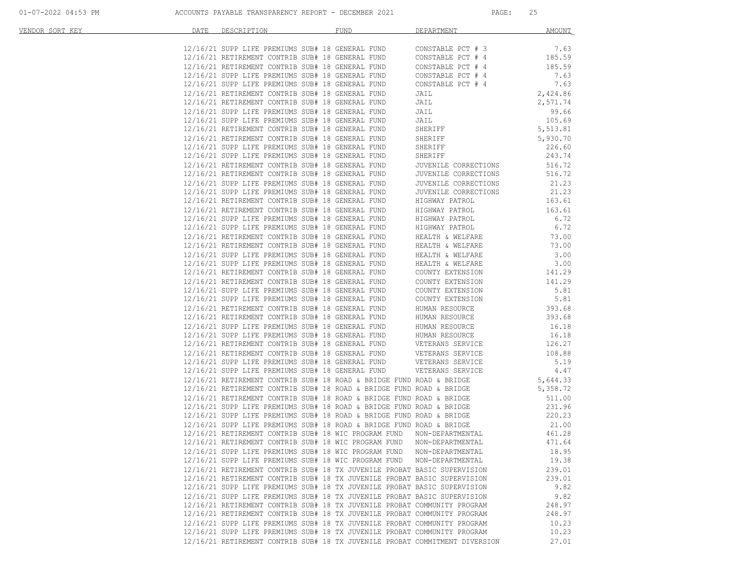| VENDOR SORT KEY | DATE | DESCRIPTION                                                                                                                                          | <b>FUND</b> | <b>DEPARTMENT</b>                                                                                                                                                                                                                                                                                                                                                                                                                                                                | <b>AMOUNT</b>  |
|-----------------|------|------------------------------------------------------------------------------------------------------------------------------------------------------|-------------|----------------------------------------------------------------------------------------------------------------------------------------------------------------------------------------------------------------------------------------------------------------------------------------------------------------------------------------------------------------------------------------------------------------------------------------------------------------------------------|----------------|
|                 |      | 12/16/21 SUPP LIFE PREMIUMS SUB# 18 GENERAL FUND                                                                                                     |             | CONSTABLE PCT # 3                                                                                                                                                                                                                                                                                                                                                                                                                                                                | 7.63           |
|                 |      | 12/16/21 RETIREMENT CONTRIB SUB# 18 GENERAL FUND                                                                                                     |             | CONSTABLE PCT # 4                                                                                                                                                                                                                                                                                                                                                                                                                                                                | 185.59         |
|                 |      | 12/16/21 RETIREMENT CONTRIB SUB# 18 GENERAL FUND                                                                                                     |             |                                                                                                                                                                                                                                                                                                                                                                                                                                                                                  | 185.59         |
|                 |      | 12/16/21 SUPP LIFE PREMIUMS SUB# 18 GENERAL FUND                                                                                                     |             | CONSTABLE PCT # 4<br>CONSTABLE PCT # 4                                                                                                                                                                                                                                                                                                                                                                                                                                           | 7.63           |
|                 |      | 12/16/21 SUPP LIFE PREMIUMS SUB# 18 GENERAL FUND                                                                                                     |             | CONSTABLE PCT # 4                                                                                                                                                                                                                                                                                                                                                                                                                                                                | 7.63           |
|                 |      | 12/16/21 RETIREMENT CONTRIB SUB# 18 GENERAL FUND                                                                                                     |             | JAIL                                                                                                                                                                                                                                                                                                                                                                                                                                                                             | 2,424.86       |
|                 |      | 12/16/21 RETIREMENT CONTRIB SUB# 18 GENERAL FUND                                                                                                     |             | JAIL                                                                                                                                                                                                                                                                                                                                                                                                                                                                             | 2,571.74       |
|                 |      | 12/16/21 SUPP LIFE PREMIUMS SUB# 18 GENERAL FUND                                                                                                     |             | JAIL                                                                                                                                                                                                                                                                                                                                                                                                                                                                             | 99.66          |
|                 |      | 12/16/21 SUPP LIFE PREMIUMS SUB# 18 GENERAL FUND                                                                                                     |             | JAIL                                                                                                                                                                                                                                                                                                                                                                                                                                                                             | 105.69         |
|                 |      | 12/16/21 RETIREMENT CONTRIB SUB# 18 GENERAL FUND                                                                                                     |             | SHERIFF                                                                                                                                                                                                                                                                                                                                                                                                                                                                          | 5,513.81       |
|                 |      | 12/16/21 RETIREMENT CONTRIB SUB# 18 GENERAL FUND                                                                                                     |             | SHERIFF                                                                                                                                                                                                                                                                                                                                                                                                                                                                          | 5,930.70       |
|                 |      | 12/16/21 SUPP LIFE PREMIUMS SUB# 18 GENERAL FUND                                                                                                     |             | SHERIFF                                                                                                                                                                                                                                                                                                                                                                                                                                                                          | 226.60         |
|                 |      | 12/16/21 SUPP LIFE PREMIUMS SUB# 18 GENERAL FUND                                                                                                     |             | SHERIFF                                                                                                                                                                                                                                                                                                                                                                                                                                                                          | 243.74         |
|                 |      | 12/16/21 RETIREMENT CONTRIB SUB# 18 GENERAL FUND                                                                                                     |             | JUVENILE CORRECTIONS                                                                                                                                                                                                                                                                                                                                                                                                                                                             | 516.72         |
|                 |      | 12/16/21 RETIREMENT CONTRIB SUB# 18 GENERAL FUND                                                                                                     |             | JUVENILE CORRECTIONS                                                                                                                                                                                                                                                                                                                                                                                                                                                             | 516.72         |
|                 |      | 12/16/21 SUPP LIFE PREMIUMS SUB# 18 GENERAL FUND                                                                                                     |             | JUVENILE CORRECTIONS                                                                                                                                                                                                                                                                                                                                                                                                                                                             | 21.23          |
|                 |      | 12/16/21 SUPP LIFE PREMIUMS SUB# 18 GENERAL FUND                                                                                                     |             | JUVENILE CORRECTIONS                                                                                                                                                                                                                                                                                                                                                                                                                                                             | 21.23          |
|                 |      | 12/16/21 RETIREMENT CONTRIB SUB# 18 GENERAL FUND                                                                                                     |             | HIGHWAY PATROL                                                                                                                                                                                                                                                                                                                                                                                                                                                                   | 163.61         |
|                 |      | 12/16/21 RETIREMENT CONTRIB SUB# 18 GENERAL FUND                                                                                                     |             | HIGHWAY PATROL                                                                                                                                                                                                                                                                                                                                                                                                                                                                   | 163.61         |
|                 |      | 12/16/21 SUPP LIFE PREMIUMS SUB# 18 GENERAL FUND                                                                                                     |             | HIGHWAY PATROL                                                                                                                                                                                                                                                                                                                                                                                                                                                                   | 6.72           |
|                 |      | 12/16/21 SUPP LIFE PREMIUMS SUB# 18 GENERAL FUND                                                                                                     |             | HIGHWAY PATROL                                                                                                                                                                                                                                                                                                                                                                                                                                                                   | 6.72           |
|                 |      | 12/16/21 RETIREMENT CONTRIB SUB# 18 GENERAL FUND                                                                                                     |             | HEALTH & WELFARE                                                                                                                                                                                                                                                                                                                                                                                                                                                                 | 73.00          |
|                 |      | 12/16/21 RETIREMENT CONTRIB SUB# 18 GENERAL FUND                                                                                                     |             | HEALTH & WELFARE                                                                                                                                                                                                                                                                                                                                                                                                                                                                 | 73.00          |
|                 |      | 12/16/21 SUPP LIFE PREMIUMS SUB# 18 GENERAL FUND                                                                                                     |             | HEALTH & WELFARE                                                                                                                                                                                                                                                                                                                                                                                                                                                                 | 3.00           |
|                 |      | 12/16/21 SUPP LIFE PREMIUMS SUB# 18 GENERAL FUND                                                                                                     |             | HEALTH & WELFARE                                                                                                                                                                                                                                                                                                                                                                                                                                                                 | 3.00           |
|                 |      | 12/16/21 RETIREMENT CONTRIB SUB# 18 GENERAL FUND                                                                                                     |             | COUNTY EXTENSION                                                                                                                                                                                                                                                                                                                                                                                                                                                                 | 141.29         |
|                 |      | 12/16/21 RETIREMENT CONTRIB SUB# 18 GENERAL FUND                                                                                                     |             | COUNTY EXTENSION                                                                                                                                                                                                                                                                                                                                                                                                                                                                 | 141.29         |
|                 |      | 12/16/21 SUPP LIFE PREMIUMS SUB# 18 GENERAL FUND                                                                                                     |             | COUNTY EXTENSION                                                                                                                                                                                                                                                                                                                                                                                                                                                                 | 5.81           |
|                 |      | 12/16/21 SUPP LIFE PREMIUMS SUB# 18 GENERAL FUND                                                                                                     |             | COUNTY EXTENSION                                                                                                                                                                                                                                                                                                                                                                                                                                                                 | 5.81           |
|                 |      | 12/16/21 RETIREMENT CONTRIB SUB# 18 GENERAL FUND                                                                                                     |             | HUMAN RESOURCE                                                                                                                                                                                                                                                                                                                                                                                                                                                                   | 393.68         |
|                 |      | 12/16/21 RETIREMENT CONTRIB SUB# 18 GENERAL FUND                                                                                                     |             | HUMAN RESOURCE                                                                                                                                                                                                                                                                                                                                                                                                                                                                   | 393.68         |
|                 |      | 12/16/21 SUPP LIFE PREMIUMS SUB# 18 GENERAL FUND<br>12/16/21 SUPP LIFE PREMIUMS SUB# 18 GENERAL FUND                                                 |             | HUMAN RESOURCE<br>HUMAN RESOURCE                                                                                                                                                                                                                                                                                                                                                                                                                                                 | 16.18<br>16.18 |
|                 |      |                                                                                                                                                      |             | HUMAN RESOURCE<br>VETERANS SERVICE                                                                                                                                                                                                                                                                                                                                                                                                                                               | 126.27         |
|                 |      |                                                                                                                                                      |             |                                                                                                                                                                                                                                                                                                                                                                                                                                                                                  | 108.88         |
|                 |      |                                                                                                                                                      |             |                                                                                                                                                                                                                                                                                                                                                                                                                                                                                  | 5.19           |
|                 |      |                                                                                                                                                      |             |                                                                                                                                                                                                                                                                                                                                                                                                                                                                                  | 4.47           |
|                 |      |                                                                                                                                                      |             |                                                                                                                                                                                                                                                                                                                                                                                                                                                                                  | 5,644.33       |
|                 |      |                                                                                                                                                      |             | $\begin{tabular}{lllllllll} $\multicolumn{4}{c}{\begin{tabular}{l}c@{}} & $\multicolumn{4}{c}{\begin{tabular}{l}c@{}} & $\multicolumn{4}{c}{\begin{tabular}{l}c@{}} & $\multicolumn{4}{c}{\begin{tabular}{l}c@{}} & $\multicolumn{4}{c}{\begin{tabular}{l}c@{}} & $\multicolumn{4}{c}{\begin{tabular}{l}c@{}} & $\multicolumn{4}{c}{\begin{tabular}{l}c@{}} & $\multicolumn{4}{c}{\begin{tabular}{l}c@{}} \multicolumn{4}{c}{\begin{tabular}{l}c@{}} \multicolumn{4}{c}{\begin{$ | 5,358.72       |
|                 |      | 12/16/21 RETIREMENT CONTRIB SUB# 18 ROAD & BRIDGE FUND ROAD & BRIDGE                                                                                 |             |                                                                                                                                                                                                                                                                                                                                                                                                                                                                                  | 511.00         |
|                 |      | 12/16/21 SUPP LIFE PREMIUMS SUB# 18 ROAD & BRIDGE FUND ROAD & BRIDGE                                                                                 |             |                                                                                                                                                                                                                                                                                                                                                                                                                                                                                  | 231.96         |
|                 |      | 12/16/21 SUPP LIFE PREMIUMS SUB# 18 ROAD & BRIDGE FUND ROAD & BRIDGE                                                                                 |             |                                                                                                                                                                                                                                                                                                                                                                                                                                                                                  | 220.23         |
|                 |      | 12/16/21 SUPP LIFE PREMIUMS SUB# 18 ROAD & BRIDGE FUND ROAD & BRIDGE                                                                                 |             |                                                                                                                                                                                                                                                                                                                                                                                                                                                                                  | 21.00          |
|                 |      | 12/16/21 RETIREMENT CONTRIB SUB# 18 WIC PROGRAM FUND NON-DEPARTMENTAL                                                                                |             |                                                                                                                                                                                                                                                                                                                                                                                                                                                                                  | 461.28         |
|                 |      | 12/16/21 RETIREMENT CONTRIB SUB# 18 WIC PROGRAM FUND                                                                                                 |             | NON-DEPARTMENTAL                                                                                                                                                                                                                                                                                                                                                                                                                                                                 | 471.64         |
|                 |      |                                                                                                                                                      |             | 12/16/21 SUPP LIFE PREMIUMS SUB# 18 WIC PROGRAM FUND NON-DEPARTMENTAL                                                                                                                                                                                                                                                                                                                                                                                                            | 18.95          |
|                 |      | 12/16/21 SUPP LIFE PREMIUMS SUB# 18 WIC PROGRAM FUND NON-DEPARTMENTAL                                                                                |             |                                                                                                                                                                                                                                                                                                                                                                                                                                                                                  | 19.38          |
|                 |      | 12/16/21 RETIREMENT CONTRIB SUB# 18 TX JUVENILE PROBAT BASIC SUPERVISION                                                                             |             |                                                                                                                                                                                                                                                                                                                                                                                                                                                                                  | 239.01         |
|                 |      | 12/16/21 RETIREMENT CONTRIB SUB# 18 TX JUVENILE PROBAT BASIC SUPERVISION                                                                             |             |                                                                                                                                                                                                                                                                                                                                                                                                                                                                                  | 239.01         |
|                 |      | 12/16/21 SUPP LIFE PREMIUMS SUB# 18 TX JUVENILE PROBAT BASIC SUPERVISION                                                                             |             |                                                                                                                                                                                                                                                                                                                                                                                                                                                                                  | 9.82           |
|                 |      | 12/16/21 SUPP LIFE PREMIUMS SUB# 18 TX JUVENILE PROBAT BASIC SUPERVISION                                                                             |             |                                                                                                                                                                                                                                                                                                                                                                                                                                                                                  | 9.82           |
|                 |      | 12/16/21 RETIREMENT CONTRIB SUB# 18 TX JUVENILE PROBAT COMMUNITY PROGRAM                                                                             |             |                                                                                                                                                                                                                                                                                                                                                                                                                                                                                  | 248.97         |
|                 |      | 12/16/21 RETIREMENT CONTRIB SUB# 18 TX JUVENILE PROBAT COMMUNITY PROGRAM<br>12/16/21 SUPP LIFE PREMIUMS SUB# 18 TX JUVENILE PROBAT COMMUNITY PROGRAM |             |                                                                                                                                                                                                                                                                                                                                                                                                                                                                                  | 248.97         |
|                 |      | 12/16/21 SUPP LIFE PREMIUMS SUB# 18 TX JUVENILE PROBAT COMMUNITY PROGRAM                                                                             |             |                                                                                                                                                                                                                                                                                                                                                                                                                                                                                  | 10.23<br>10.23 |
|                 |      | 12/16/21 RETIREMENT CONTRIB SUB# 18 TX JUVENILE PROBAT COMMITMENT DIVERSION                                                                          |             |                                                                                                                                                                                                                                                                                                                                                                                                                                                                                  | 27.01          |
|                 |      |                                                                                                                                                      |             |                                                                                                                                                                                                                                                                                                                                                                                                                                                                                  |                |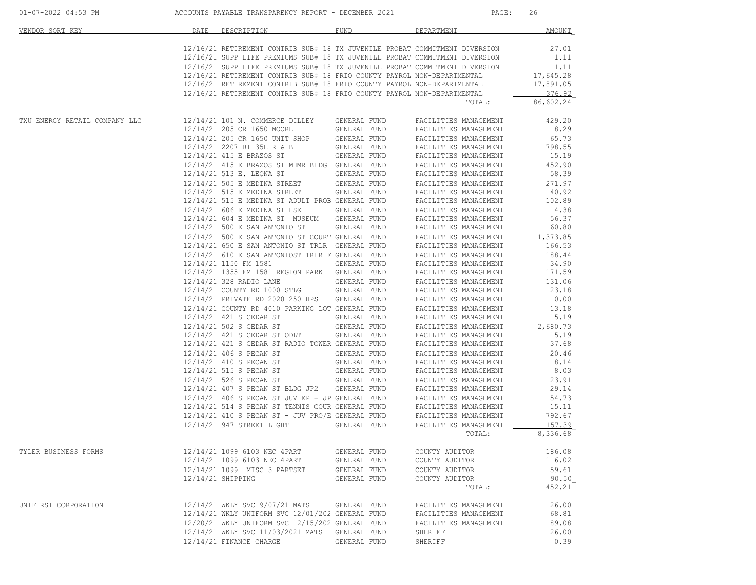| 01-07-2022 04:53 PM           | ACCOUNTS PAYABLE TRANSPARENCY REPORT - DECEMBER 2021<br>PAGE:                                                                                                                                                                                                                                                                                                                                                                                                                                                                                        | 26                                                                     |
|-------------------------------|------------------------------------------------------------------------------------------------------------------------------------------------------------------------------------------------------------------------------------------------------------------------------------------------------------------------------------------------------------------------------------------------------------------------------------------------------------------------------------------------------------------------------------------------------|------------------------------------------------------------------------|
| VENDOR SORT KEY               | <b>FUND</b><br>DEPARTMENT<br>DATE<br>DESCRIPTION                                                                                                                                                                                                                                                                                                                                                                                                                                                                                                     | <b>AMOUNT</b>                                                          |
|                               | 12/16/21 RETIREMENT CONTRIB SUB# 18 TX JUVENILE PROBAT COMMITMENT DIVERSION<br>12/16/21 SUPP LIFE PREMIUMS SUB# 18 TX JUVENILE PROBAT COMMITMENT DIVERSION<br>12/16/21 SUPP LIFE PREMIUMS SUB# 18 TX JUVENILE PROBAT COMMITMENT DIVERSION<br>12/16/21 RETIREMENT CONTRIB SUB# 18 FRIO COUNTY PAYROL NON-DEPARTMENTAL<br>12/16/21 RETIREMENT CONTRIB SUB# 18 FRIO COUNTY PAYROL NON-DEPARTMENTAL<br>12/16/21 RETIREMENT CONTRIB SUB# 18 FRIO COUNTY PAYROL NON-DEPARTMENTAL<br>TOTAL:                                                                 | 27.01<br>1.11<br>1.11<br>17,645.28<br>17,891.05<br>376.92<br>86,602.24 |
| TXU ENERGY RETAIL COMPANY LLC | 12/14/21 101 N. COMMERCE DILLEY<br>GENERAL FUND<br>FACILITIES MANAGEMENT                                                                                                                                                                                                                                                                                                                                                                                                                                                                             | 429.20                                                                 |
|                               | 12/14/21 205 CR 1650 MOORE<br>GENERAL FUND<br>FACILITIES MANAGEMENT<br>12/14/21 205 CR 1650 UNIT SHOP<br>GENERAL FUND<br>FACILITIES MANAGEMENT<br>12/14/21 2207 BI 35E R & B<br>GENERAL FUND<br>FACILITIES MANAGEMENT<br>12/14/21 415 E BRAZOS ST<br>GENERAL FUND<br>FACILITIES MANAGEMENT<br>12/14/21 415 E BRAZOS ST MHMR BLDG GENERAL FUND<br>FACILITIES MANAGEMENT<br>12/14/21 513 E. LEONA ST<br>GENERAL FUND<br>FACILITIES MANAGEMENT<br>12/14/21 505 E MEDINA STREET<br>GENERAL FUND<br>FACILITIES MANAGEMENT<br>12/14/21 515 E MEDINA STREET | 8.29<br>65.73<br>798.55<br>15.19<br>452.90<br>58.39<br>271.97<br>40.92 |
|                               | GENERAL FUND<br>FACILITIES MANAGEMENT<br>12/14/21 515 E MEDINA ST ADULT PROB GENERAL FUND<br>FACILITIES MANAGEMENT<br>12/14/21 606 E MEDINA ST HSE<br>GENERAL FUND<br>FACILITIES MANAGEMENT<br>12/14/21 604 E MEDINA ST MUSEUM<br>GENERAL FUND<br>FACILITIES MANAGEMENT<br>12/14/21 500 E SAN ANTONIO ST<br>GENERAL FUND<br>FACILITIES MANAGEMENT<br>12/14/21 500 E SAN ANTONIO ST COURT GENERAL FUND<br>FACILITIES MANAGEMENT                                                                                                                       | 102.89<br>14.38<br>56.37<br>60.80<br>1,373.85                          |
|                               | 12/14/21 650 E SAN ANTONIO ST TRLR GENERAL FUND<br>FACILITIES MANAGEMENT<br>12/14/21 610 E SAN ANTONIOST TRLR F GENERAL FUND<br>FACILITIES MANAGEMENT<br>12/14/21 1150 FM 1581<br>GENERAL FUND<br>FACILITIES MANAGEMENT<br>12/14/21 1355 FM 1581 REGION PARK GENERAL FUND<br>FACILITIES MANAGEMENT<br>12/14/21 328 RADIO LANE<br>GENERAL FUND<br>FACILITIES MANAGEMENT                                                                                                                                                                               | 166.53<br>188.44<br>34.90<br>171.59<br>131.06                          |
|                               | 12/14/21 COUNTY RD 1000 STLG<br>GENERAL FUND<br>FACILITIES MANAGEMENT<br>12/14/21 PRIVATE RD 2020 250 HPS<br>GENERAL FUND<br>FACILITIES MANAGEMENT<br>12/14/21 COUNTY RD 4010 PARKING LOT GENERAL FUND<br>FACILITIES MANAGEMENT<br>12/14/21 421 S CEDAR ST<br>FACILITIES MANAGEMENT<br>GENERAL FUND                                                                                                                                                                                                                                                  | 23.18<br>0.00<br>13.18<br>15.19                                        |
|                               | 12/14/21 502 S CEDAR ST<br>GENERAL FUND<br>FACILITIES MANAGEMENT<br>12/14/21 421 S CEDAR ST ODLT<br>GENERAL FUND<br>FACILITIES MANAGEMENT<br>12/14/21 421 S CEDAR ST RADIO TOWER GENERAL FUND<br>FACILITIES MANAGEMENT<br>12/14/21 406 S PECAN ST<br>GENERAL FUND<br>FACILITIES MANAGEMENT                                                                                                                                                                                                                                                           | 2,680.73<br>15.19<br>37.68<br>20.46                                    |
|                               | 12/14/21 410 S PECAN ST<br>GENERAL FUND<br>FACILITIES MANAGEMENT<br>12/14/21 515 S PECAN ST<br>GENERAL FUND<br>FACILITIES MANAGEMENT<br>12/14/21 526 S PECAN ST<br>GENERAL FUND<br>FACILITIES MANAGEMENT<br>12/14/21 407 S PECAN ST BLDG JP2 GENERAL FUND<br>FACILITIES MANAGEMENT                                                                                                                                                                                                                                                                   | 8.14<br>8.03<br>23.91<br>29.14                                         |
|                               | $12/14/21$ 406 S PECAN ST JUV EP - JP GENERAL FUND<br>FACILITIES MANAGEMENT<br>12/14/21 514 S PECAN ST TENNIS COUR GENERAL FUND<br>FACILITIES MANAGEMENT<br>12/14/21 410 S PECAN ST - JUV PRO/E GENERAL FUND<br>FACILITIES MANAGEMENT<br>12/14/21 947 STREET LIGHT<br>GENERAL FUND<br>FACILITIES MANAGEMENT<br>TOTAL:                                                                                                                                                                                                                                | 54.73<br>15.11<br>792.67<br>157.39<br>8,336.68                         |
| TYLER BUSINESS FORMS          | 12/14/21 1099 6103 NEC 4PART<br>GENERAL FUND<br>COUNTY AUDITOR<br>12/14/21 1099 6103 NEC 4PART<br>GENERAL FUND<br>COUNTY AUDITOR<br>12/14/21 1099 MISC 3 PARTSET<br>GENERAL FUND<br>COUNTY AUDITOR<br>12/14/21 SHIPPING<br>GENERAL FUND<br>COUNTY AUDITOR<br>TOTAL:                                                                                                                                                                                                                                                                                  | 186.08<br>116.02<br>59.61<br>90.50<br>452.21                           |
| UNIFIRST CORPORATION          | 12/14/21 WKLY SVC 9/07/21 MATS<br>GENERAL FUND<br>FACILITIES MANAGEMENT<br>12/14/21 WKLY UNIFORM SVC 12/01/202 GENERAL FUND<br>FACILITIES MANAGEMENT<br>12/20/21 WKLY UNIFORM SVC 12/15/202 GENERAL FUND<br>FACILITIES MANAGEMENT<br>12/14/21 WKLY SVC 11/03/2021 MATS<br>GENERAL FUND<br>SHERIFF<br>12/14/21 FINANCE CHARGE<br>GENERAL FUND<br>SHERIFF                                                                                                                                                                                              | 26.00<br>68.81<br>89.08<br>26.00<br>0.39                               |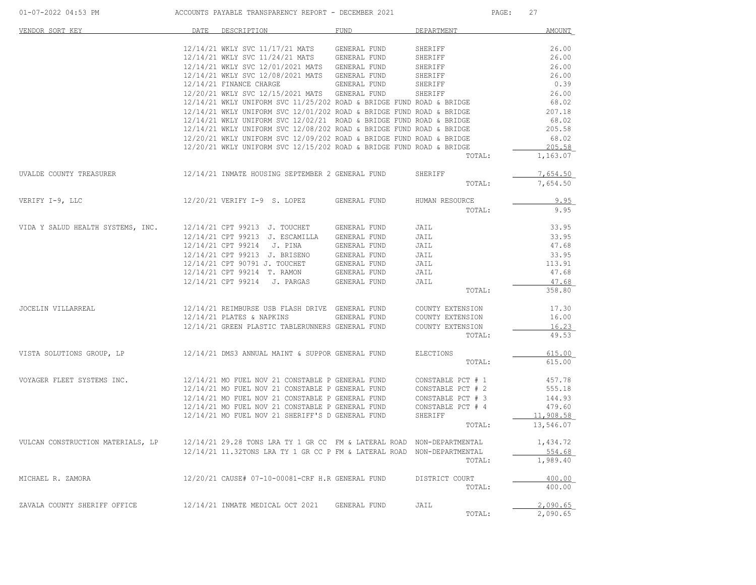| 01-07-2022 04:53 PM               |      | ACCOUNTS PAYABLE TRANSPARENCY REPORT - DECEMBER 2021                                         |                     | PAGE:             | 27                   |
|-----------------------------------|------|----------------------------------------------------------------------------------------------|---------------------|-------------------|----------------------|
| VENDOR SORT KEY                   | DATE | DESCRIPTION                                                                                  | <b>FUND</b>         | DEPARTMENT        | <b>AMOUNT</b>        |
|                                   |      | $12/14/21$ WKLY SVC $11/17/21$ MATS GENERAL FUND                                             |                     | SHERIFF           | 26.00                |
|                                   |      | 12/14/21 WKLY SVC 11/24/21 MATS GENERAL FUND                                                 |                     | SHERIFF           | 26.00                |
|                                   |      | 12/14/21 WKLY SVC 12/01/2021 MATS GENERAL FUND                                               |                     | SHERIFF           | 26.00                |
|                                   |      | 12/14/21 WKLY SVC 12/08/2021 MATS GENERAL FUND                                               |                     | SHERIFF           | 26.00                |
|                                   |      | 12/14/21 FINANCE CHARGE                                                                      | <b>GENERAL FUND</b> | SHERIFF           | 0.39                 |
|                                   |      | 12/20/21 WKLY SVC 12/15/2021 MATS GENERAL FUND                                               |                     | SHERIFF           | 26.00                |
|                                   |      | $12/14/21$ WKLY UNIFORM SVC $11/25/202$ ROAD & BRIDGE FUND ROAD & BRIDGE                     |                     |                   | 68.02                |
|                                   |      | $12/14/21$ WKLY UNIFORM SVC $12/01/202$ ROAD & BRIDGE FUND ROAD & BRIDGE                     |                     |                   | 207.18               |
|                                   |      | $12/14/21$ WKLY UNIFORM SVC $12/02/21$ ROAD & BRIDGE FUND ROAD & BRIDGE                      |                     |                   | 68.02                |
|                                   |      | $12/14/21$ WKLY UNIFORM SVC $12/08/202$ ROAD & BRIDGE FUND ROAD & BRIDGE                     |                     |                   | 205.58               |
|                                   |      | 12/20/21 WKLY UNIFORM SVC 12/09/202 ROAD & BRIDGE FUND ROAD & BRIDGE                         |                     |                   | 68.02                |
|                                   |      | 12/20/21 WKLY UNIFORM SVC 12/15/202 ROAD & BRIDGE FUND ROAD & BRIDGE                         |                     |                   | 205.58               |
|                                   |      |                                                                                              |                     | TOTAL:            | 1,163.07             |
|                                   |      |                                                                                              |                     |                   |                      |
| UVALDE COUNTY TREASURER           |      | 12/14/21 INMATE HOUSING SEPTEMBER 2 GENERAL FUND                                             |                     | SHERIFF<br>TOTAL: | 7,654.50<br>7,654.50 |
| VERIFY I-9, LLC                   |      | 12/20/21 VERIFY I-9 S. LOPEZ                                                                 | GENERAL FUND        | HUMAN RESOURCE    | 9.95                 |
|                                   |      |                                                                                              |                     | TOTAL:            | 9.95                 |
|                                   |      |                                                                                              |                     |                   |                      |
| VIDA Y SALUD HEALTH SYSTEMS, INC. |      | 12/14/21 CPT 99213 J. TOUCHET GENERAL FUND                                                   |                     | JAIL              | 33.95                |
|                                   |      | 12/14/21 CPT 99213 J. ESCAMILLA                                                              | GENERAL FUND        | JAIL              | 33.95                |
|                                   |      | 12/14/21 CPT 99214 J. PINA                                                                   | GENERAL FUND        | JAIL              | 47.68                |
|                                   |      | $12/14/21$ CPT 99213 J. BRISENO GENERAL FUND<br>$12/14/21$ CPT 90791 J. TOUCHET GENERAL FUND |                     | JAIL              | 33.95                |
|                                   |      |                                                                                              |                     | JAIL              | 113.91               |
|                                   |      | 12/14/21 CPT 99214 T. RAMON GENERAL FUND                                                     |                     | JAIL              | 47.68                |
|                                   |      | 12/14/21 CPT 99214 J. PARGAS GENERAL FUND                                                    |                     | JAIL              | 47.68                |
|                                   |      |                                                                                              |                     | TOTAL:            | 358.80               |
| JOCELIN VILLARREAL                |      | 12/14/21 REIMBURSE USB FLASH DRIVE GENERAL FUND                                              |                     | COUNTY EXTENSION  | 17.30                |
|                                   |      | $12/14/21$ PLATES & NAPKINS                                                                  | GENERAL FUND        | COUNTY EXTENSION  | 16.00                |
|                                   |      | 12/14/21 GREEN PLASTIC TABLERUNNERS GENERAL FUND                                             |                     | COUNTY EXTENSION  | 16.23                |
|                                   |      |                                                                                              |                     | TOTAL:            | 49.53                |
| VISTA SOLUTIONS GROUP, LP         |      | 12/14/21 DMS3 ANNUAL MAINT & SUPPOR GENERAL FUND                                             |                     | ELECTIONS         | 615.00               |
|                                   |      |                                                                                              |                     | TOTAL:            | 615.00               |
| VOYAGER FLEET SYSTEMS INC.        |      | 12/14/21 MO FUEL NOV 21 CONSTABLE P GENERAL FUND                                             |                     | CONSTABLE PCT # 1 | 457.78               |
|                                   |      | 12/14/21 MO FUEL NOV 21 CONSTABLE P GENERAL FUND                                             |                     | CONSTABLE PCT # 2 | 555.18               |
|                                   |      | 12/14/21 MO FUEL NOV 21 CONSTABLE P GENERAL FUND                                             |                     | CONSTABLE PCT # 3 | 144.93               |
|                                   |      | 12/14/21 MO FUEL NOV 21 CONSTABLE P GENERAL FUND                                             |                     | CONSTABLE PCT # 4 | 479.60               |
|                                   |      | 12/14/21 MO FUEL NOV 21 SHERIFF'S D GENERAL FUND                                             |                     | SHERIFF           | 11,908.58            |
|                                   |      |                                                                                              |                     | TOTAL:            | 13,546.07            |
|                                   |      |                                                                                              |                     |                   |                      |
| VULCAN CONSTRUCTION MATERIALS, LP |      | 12/14/21 29.28 TONS LRA TY 1 GR CC FM & LATERAL ROAD NON-DEPARTMENTAL                        |                     |                   | 1,434.72             |
|                                   |      | 12/14/21 11.32TONS LRA TY 1 GR CC P FM & LATERAL ROAD NON-DEPARTMENTAL                       |                     |                   | 554.68               |
|                                   |      |                                                                                              |                     | TOTAL:            | 1,989.40             |
| MICHAEL R. ZAMORA                 |      | 12/20/21 CAUSE# 07-10-00081-CRF H.R GENERAL FUND                                             |                     | DISTRICT COURT    | 400.00               |
|                                   |      |                                                                                              |                     | TOTAL:            | 400.00               |
| ZAVALA COUNTY SHERIFF OFFICE      |      | 12/14/21 INMATE MEDICAL OCT 2021                                                             | GENERAL FUND        | JAIL              | 2.090.65             |
|                                   |      |                                                                                              |                     | TOTAL:            | 2,090.65             |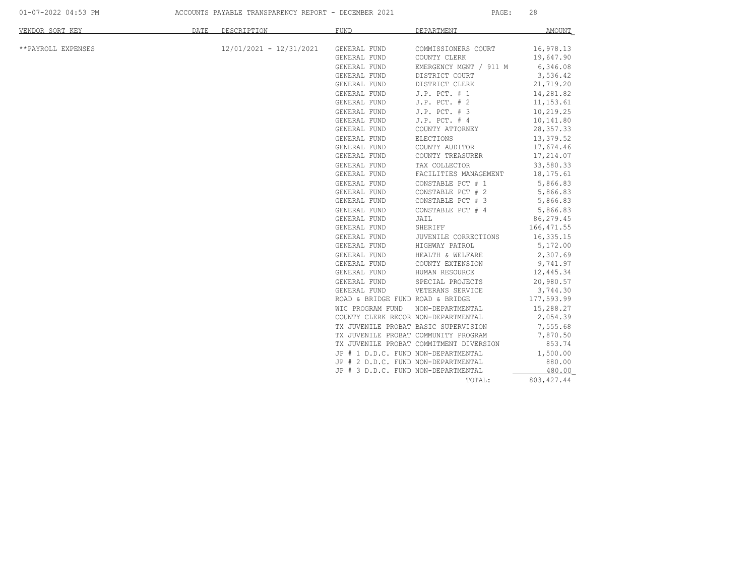01-07-2022 04:53 PM ACCOUNTS PAYABLE TRANSPARENCY REPORT - DECEMBER 2021 PAGE: 28

| VENDOR SORT KEY    | DATE | DESCRIPTION               | <b>FUND</b>                          | DEPARTMENT                              | AMOUNT                 |
|--------------------|------|---------------------------|--------------------------------------|-----------------------------------------|------------------------|
|                    |      | $12/01/2021 - 12/31/2021$ |                                      |                                         |                        |
| **PAYROLL EXPENSES |      |                           | GENERAL FUND<br>GENERAL FUND         | COMMISSIONERS COURT<br>COUNTY CLERK     | 16,978.13<br>19,647.90 |
|                    |      |                           | GENERAL FUND                         | EMERGENCY MGNT / 911 M                  | 6,346.08               |
|                    |      |                           | GENERAL FUND                         | DISTRICT COURT                          | 3,536.42               |
|                    |      |                           | GENERAL FUND                         | DISTRICT CLERK                          | 21,719.20              |
|                    |      |                           | GENERAL FUND                         | $J.P.$ PCT. $# 1$                       | 14,281.82              |
|                    |      |                           | GENERAL FUND                         | $J.P.$ PCT. $# 2$                       | 11, 153.61             |
|                    |      |                           | GENERAL FUND                         | J.P. PCT. # 3                           | 10,219.25              |
|                    |      |                           | GENERAL FUND                         | $J.P.$ PCT. $# 4$                       | 10,141.80              |
|                    |      |                           | GENERAL FUND                         | COUNTY ATTORNEY                         | 28, 357.33             |
|                    |      |                           | GENERAL FUND                         | <b>ELECTIONS</b>                        | 13,379.52              |
|                    |      |                           | GENERAL FUND                         | COUNTY AUDITOR                          | 17,674.46              |
|                    |      |                           | GENERAL FUND                         | COUNTY TREASURER                        | 17,214.07              |
|                    |      |                           | GENERAL FUND                         | TAX COLLECTOR                           | 33,580.33              |
|                    |      |                           | GENERAL FUND                         | FACILITIES MANAGEMENT                   | 18,175.61              |
|                    |      |                           | GENERAL FUND                         | CONSTABLE PCT # 1                       | 5,866.83               |
|                    |      |                           | GENERAL FUND                         | CONSTABLE PCT # 2                       | 5,866.83               |
|                    |      |                           | GENERAL FUND                         | CONSTABLE PCT # 3                       | 5,866.83               |
|                    |      |                           | GENERAL FUND                         | CONSTABLE PCT # 4                       | 5,866.83               |
|                    |      |                           | GENERAL FUND                         | JAIL                                    | 86,279.45              |
|                    |      |                           | GENERAL FUND                         | SHERIFF                                 | 166, 471.55            |
|                    |      |                           | GENERAL FUND                         | JUVENILE CORRECTIONS                    | 16,335.15              |
|                    |      |                           | GENERAL FUND                         | HIGHWAY PATROL                          | 5,172.00               |
|                    |      |                           | GENERAL FUND                         | HEALTH & WELFARE                        | 2,307.69               |
|                    |      |                           | GENERAL FUND                         | COUNTY EXTENSION                        | 9,741.97               |
|                    |      |                           | GENERAL FUND                         | HUMAN RESOURCE                          | 12,445.34              |
|                    |      |                           | GENERAL FUND                         | SPECIAL PROJECTS                        | 20,980.57              |
|                    |      |                           | GENERAL FUND                         | VETERANS SERVICE                        | 3,744.30               |
|                    |      |                           | ROAD & BRIDGE FUND ROAD & BRIDGE     |                                         | 177,593.99             |
|                    |      |                           | WIC PROGRAM FUND                     | NON-DEPARTMENTAL                        | 15,288.27              |
|                    |      |                           | COUNTY CLERK RECOR NON-DEPARTMENTAL  |                                         | 2,054.39               |
|                    |      |                           | TX JUVENILE PROBAT BASIC SUPERVISION |                                         | 7,555.68               |
|                    |      |                           | TX JUVENILE PROBAT COMMUNITY PROGRAM |                                         | 7,870.50               |
|                    |      |                           |                                      | TX JUVENILE PROBAT COMMITMENT DIVERSION | 853.74                 |
|                    |      |                           | JP # 1 D.D.C. FUND NON-DEPARTMENTAL  |                                         | 1,500.00               |
|                    |      |                           | JP # 2 D.D.C. FUND NON-DEPARTMENTAL  |                                         | 880.00                 |
|                    |      |                           | JP # 3 D.D.C. FUND NON-DEPARTMENTAL  |                                         | 480.00                 |
|                    |      |                           |                                      | TOTAL:                                  | 803, 427.44            |
|                    |      |                           |                                      |                                         |                        |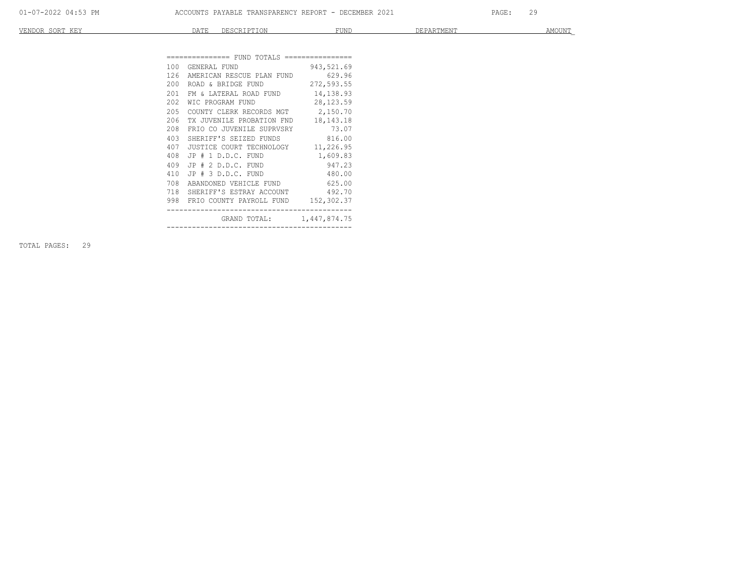| VENDOR<br>SORT<br>777777<br>KE. | ----<br>---- | DECCDIDETOM<br>UNIL LIUN | FUND | DE PARTMENT<br>LE L'AIVITIEN I | AMOUNT |
|---------------------------------|--------------|--------------------------|------|--------------------------------|--------|
|                                 |              |                          |      |                                |        |

| 100 GENERAL FUND 943,521.69              |  |
|------------------------------------------|--|
|                                          |  |
| 126 AMERICAN RESCUE PLAN FUND 629.96     |  |
| 200 ROAD & BRIDGE FUND 272,593.55        |  |
| 201<br>FM & LATERAL ROAD FUND 14,138.93  |  |
| 202<br>WIC PROGRAM FUND 28,123.59        |  |
| COUNTY CLERK RECORDS MGT 2,150.70<br>205 |  |
| 206 TX JUVENILE PROBATION FND 18,143.18  |  |
| FRIO CO JUVENILE SUPRVSRY 73.07<br>208   |  |
| SHERIFF'S SEIZED FUNDS 816.00<br>403     |  |
| 407 JUSTICE COURT TECHNOLOGY 11,226.95   |  |
| 408 JP # 1 D.D.C. FUND 1,609.83          |  |
| 409 JP # 2 D.D.C. FUND 947.23            |  |
| 410 JP # 3 D.D.C. FUND 480.00            |  |
| ABANDONED VEHICLE FUND 625.00<br>708     |  |
| 718 SHERIFF'S ESTRAY ACCOUNT 492.70      |  |
| 998 FRIO COUNTY PAYROLL FUND 152,302.37  |  |
| GRAND TOTAL: 1,447,874.75                |  |

TOTAL PAGES: 29